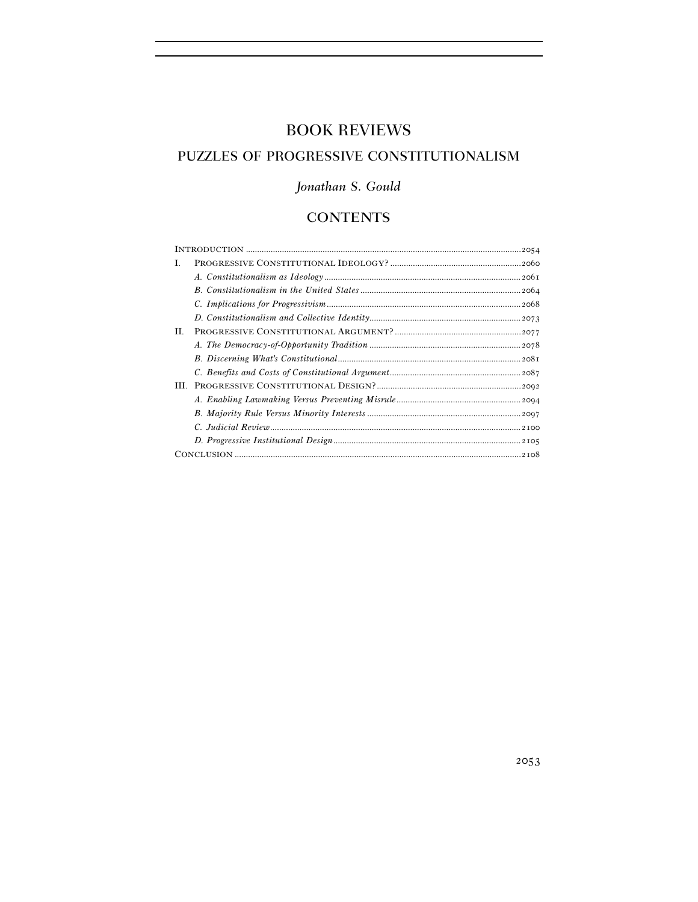# BOOK REVIEWS

# PUZZLES OF PROGRESSIVE CONSTITUTIONALISM

# *Jonathan S. Gould*

# **CONTENTS**

| L.  |  |  |
|-----|--|--|
|     |  |  |
|     |  |  |
|     |  |  |
|     |  |  |
| II. |  |  |
|     |  |  |
|     |  |  |
|     |  |  |
| Ш   |  |  |
|     |  |  |
|     |  |  |
|     |  |  |
|     |  |  |
|     |  |  |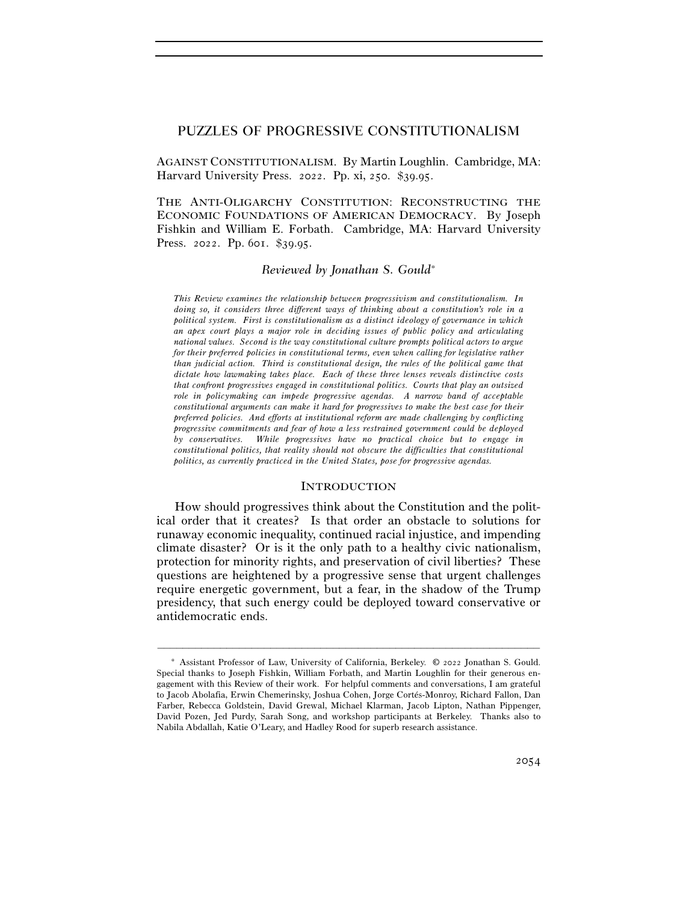# PUZZLES OF PROGRESSIVE CONSTITUTIONALISM

AGAINST CONSTITUTIONALISM. By Martin Loughlin. Cambridge, MA: Harvard University Press. 2022. Pp. xi, 250. \$39.95.

THE ANTI-OLIGARCHY CONSTITUTION: RECONSTRUCTING THE ECONOMIC FOUNDATIONS OF AMERICAN DEMOCRACY. By Joseph Fishkin and William E. Forbath. Cambridge, MA: Harvard University Press. 2022. Pp. 601. \$39.95.

## *Reviewed by Jonathan S. Gould*∗

*This Review examines the relationship between progressivism and constitutionalism. In doing so, it considers three different ways of thinking about a constitution's role in a political system. First is constitutionalism as a distinct ideology of governance in which an apex court plays a major role in deciding issues of public policy and articulating national values. Second is the way constitutional culture prompts political actors to argue for their preferred policies in constitutional terms, even when calling for legislative rather than judicial action. Third is constitutional design, the rules of the political game that dictate how lawmaking takes place. Each of these three lenses reveals distinctive costs that confront progressives engaged in constitutional politics. Courts that play an outsized role in policymaking can impede progressive agendas. A narrow band of acceptable constitutional arguments can make it hard for progressives to make the best case for their preferred policies. And efforts at institutional reform are made challenging by conflicting progressive commitments and fear of how a less restrained government could be deployed by conservatives. While progressives have no practical choice but to engage in constitutional politics, that reality should not obscure the difficulties that constitutional politics, as currently practiced in the United States, pose for progressive agendas.* 

### **INTRODUCTION**

How should progressives think about the Constitution and the political order that it creates? Is that order an obstacle to solutions for runaway economic inequality, continued racial injustice, and impending climate disaster? Or is it the only path to a healthy civic nationalism, protection for minority rights, and preservation of civil liberties? These questions are heightened by a progressive sense that urgent challenges require energetic government, but a fear, in the shadow of the Trump presidency, that such energy could be deployed toward conservative or antidemocratic ends.

<sup>∗</sup> Assistant Professor of Law, University of California, Berkeley. © 2022 Jonathan S. Gould. Special thanks to Joseph Fishkin, William Forbath, and Martin Loughlin for their generous engagement with this Review of their work. For helpful comments and conversations, I am grateful to Jacob Abolafia, Erwin Chemerinsky, Joshua Cohen, Jorge Cortés-Monroy, Richard Fallon, Dan Farber, Rebecca Goldstein, David Grewal, Michael Klarman, Jacob Lipton, Nathan Pippenger, David Pozen, Jed Purdy, Sarah Song, and workshop participants at Berkeley. Thanks also to Nabila Abdallah, Katie O'Leary, and Hadley Rood for superb research assistance.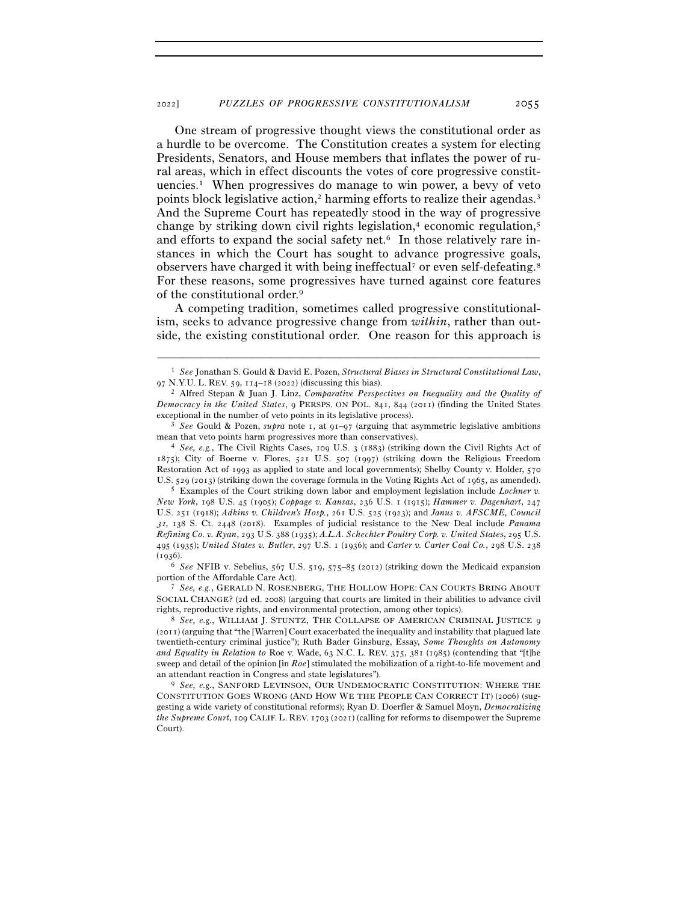One stream of progressive thought views the constitutional order as a hurdle to be overcome. The Constitution creates a system for electing Presidents, Senators, and House members that inflates the power of rural areas, which in effect discounts the votes of core progressive constituencies.1 When progressives do manage to win power, a bevy of veto points block legislative action,<sup>2</sup> harming efforts to realize their agendas.<sup>3</sup> And the Supreme Court has repeatedly stood in the way of progressive change by striking down civil rights legislation, $4$  economic regulation, $5$ and efforts to expand the social safety net.<sup>6</sup> In those relatively rare instances in which the Court has sought to advance progressive goals, observers have charged it with being ineffectual<sup>7</sup> or even self-defeating.<sup>8</sup> For these reasons, some progressives have turned against core features of the constitutional order.9

A competing tradition, sometimes called progressive constitutionalism, seeks to advance progressive change from *within*, rather than outside, the existing constitutional order. One reason for this approach is

*New York*, 198 U.S. 45 (1905); *Coppage v. Kansas*, 236 U.S. 1 (1915); *Hammer v. Dagenhart*, 247 U.S. 251 (1918); *Adkins v. Children's Hosp.*, 261 U.S. 525 (1923); and *Janus v. AFSCME, Council*  <sup>31</sup>, 138 S. Ct. 2448 (2018). Examples of judicial resistance to the New Deal include *Panama Refining Co. v. Ryan*, 293 U.S. 388 (1935); *A.L.A. Schechter Poultry Corp. v. United State*s, 295 U.S. 495 (1935); *United States v. Butler*, 297 U.S. 1 (1936); and *Carter v. Carter Coal Co.*, 298 U.S. 238 (1936).

portion of the Affordable Care Act). 7 *See, e.g.*, GERALD N. ROSENBERG, THE HOLLOW HOPE: CAN COURTS BRING ABOUT SOCIAL CHANGE? (2d ed. 2008) (arguing that courts are limited in their abilities to advance civil rights, reproductive rights, and environmental protection, among other topics). 8 *See, e.g.*, WILLIAM J. STUNTZ, THE COLLAPSE OF AMERICAN CRIMINAL JUSTICE <sup>9</sup>

(2011) (arguing that "the [Warren] Court exacerbated the inequality and instability that plagued late twentieth-century criminal justice"); Ruth Bader Ginsburg, Essay, *Some Thoughts on Autonomy and Equality in Relation to* Roe v. Wade, 63 N.C. L. REV. 375, 381 (1985) (contending that "[t]he sweep and detail of the opinion [in *Roe*] stimulated the mobilization of a right-to-life movement and an attendant reaction in Congress and state legislatures"). 9 *See, e.g.*, SANFORD LEVINSON, OUR UNDEMOCRATIC CONSTITUTION: WHERE THE

CONSTITUTION GOES WRONG (AND HOW WE THE PEOPLE CAN CORRECT IT) (2006) (suggesting a wide variety of constitutional reforms); Ryan D. Doerfler & Samuel Moyn, *Democratizing the Supreme Court*, 109 CALIF. L. REV. 1703 (2021) (calling for reforms to disempower the Supreme Court).

<sup>–––––––––––––––––––––––––––––––––––––––––––––––––––––––––––––</sup> 1 *See* Jonathan S. Gould & David E. Pozen, *Structural Biases in Structural Constitutional Law*, <sup>97</sup> N.Y.U. L. REV. 59, 114–18 (<sup>2022</sup>) (discussing this bias). 2 Alfred Stepan & Juan J. Linz, *Comparative Perspectives on Inequality and the Quality of* 

*Democracy in the United States*, 9 PERSPS. ON POL. 841, 844 (2011) (finding the United States exceptional in the number of veto points in its legislative process). 3 *See* Gould & Pozen, *supra* note 1, at 91–97 (arguing that asymmetric legislative ambitions

mean that veto points harm progressives more than conservatives).<br><sup>4</sup> *See, e.g.*, The Civil Rights Cases, 109 U.S. 3 (1883) (striking down the Civil Rights Act of

<sup>1875</sup>); City of Boerne v. Flores, 521 U.S. 507 (1997) (striking down the Religious Freedom Restoration Act of 1993 as applied to state and local governments); Shelby County v. Holder, 570 U.S. 529 (2013) (striking down the coverage formula in the Voting Rights Act of <sup>1965</sup>, as amended). 5 Examples of the Court striking down labor and employment legislation include *Lochner v.* 

<sup>6</sup> *See* NFIB v. Sebelius, 567 U.S. 519, 575–85 (2012) (striking down the Medicaid expansion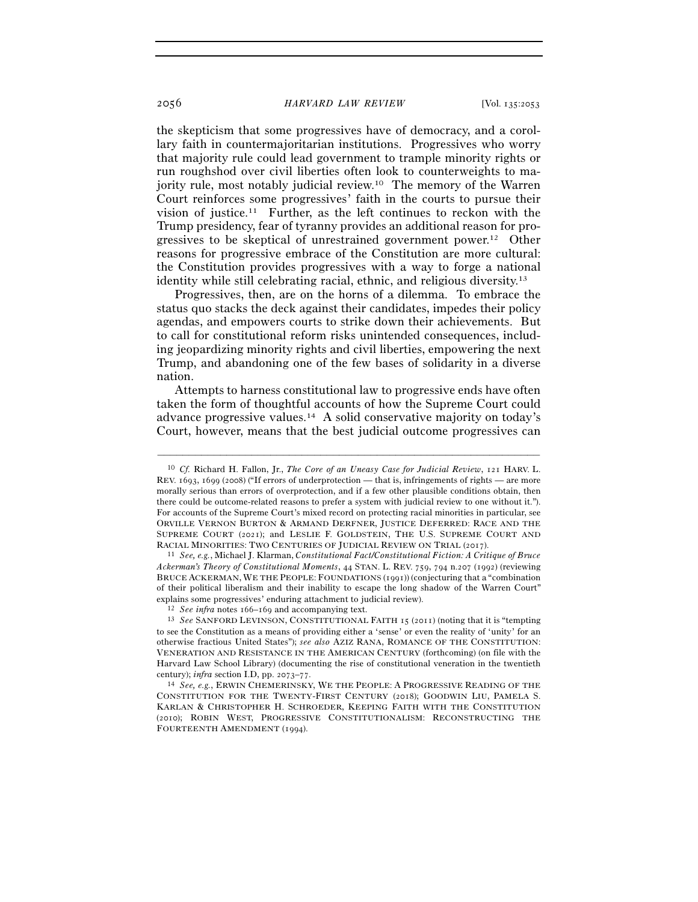the skepticism that some progressives have of democracy, and a corollary faith in countermajoritarian institutions. Progressives who worry that majority rule could lead government to trample minority rights or run roughshod over civil liberties often look to counterweights to majority rule, most notably judicial review.10 The memory of the Warren Court reinforces some progressives' faith in the courts to pursue their vision of justice.11 Further, as the left continues to reckon with the Trump presidency, fear of tyranny provides an additional reason for progressives to be skeptical of unrestrained government power.12 Other reasons for progressive embrace of the Constitution are more cultural: the Constitution provides progressives with a way to forge a national identity while still celebrating racial, ethnic, and religious diversity.13

Progressives, then, are on the horns of a dilemma. To embrace the status quo stacks the deck against their candidates, impedes their policy agendas, and empowers courts to strike down their achievements. But to call for constitutional reform risks unintended consequences, including jeopardizing minority rights and civil liberties, empowering the next Trump, and abandoning one of the few bases of solidarity in a diverse nation.

Attempts to harness constitutional law to progressive ends have often taken the form of thoughtful accounts of how the Supreme Court could advance progressive values.14 A solid conservative majority on today's Court, however, means that the best judicial outcome progressives can

<sup>10</sup> *Cf.* Richard H. Fallon, Jr., *The Core of an Uneasy Case for Judicial Review*, 121 HARV. L. REV. 1693, 1699 (2008) ("If errors of underprotection — that is, infringements of rights — are more morally serious than errors of overprotection, and if a few other plausible conditions obtain, then there could be outcome-related reasons to prefer a system with judicial review to one without it."). For accounts of the Supreme Court's mixed record on protecting racial minorities in particular, see ORVILLE VERNON BURTON & ARMAND DERFNER, JUSTICE DEFERRED: RACE AND THE SUPREME COURT (2021); and LESLIE F. GOLDSTEIN, THE U.S. SUPREME COURT AND RACIAL MINORITIES: TWO CENTURIES OF JUDICIAL REVIEW ON TRIAL (<sup>2017</sup>). 11 *See, e.g.*, Michael J. Klarman, *Constitutional Fact/Constitutional Fiction: A Critique of Bruce* 

*Ackerman's Theory of Constitutional Moments*, 44 STAN. L. REV. 759, 794 n.207 (1992) (reviewing BRUCE ACKERMAN, WE THE PEOPLE: FOUNDATIONS (1991)) (conjecturing that a "combination of their political liberalism and their inability to escape the long shadow of the Warren Court" explains some progressives' enduring attachment to judicial review). 12 *See infra* notes 166–<sup>169</sup> and accompanying text. 13 *See* SANFORD LEVINSON, CONSTITUTIONAL FAITH <sup>15</sup> (2011) (noting that it is "tempting

to see the Constitution as a means of providing either a 'sense' or even the reality of 'unity' for an otherwise fractious United States"); *see also* AZIZ RANA, ROMANCE OF THE CONSTITUTION: VENERATION AND RESISTANCE IN THE AMERICAN CENTURY (forthcoming) (on file with the Harvard Law School Library) (documenting the rise of constitutional veneration in the twentieth century); *infra* section I.D, pp. 2073–<sup>77</sup>. 14 *See, e.g.*, ERWIN CHEMERINSKY, WE THE PEOPLE: <sup>A</sup> PROGRESSIVE READING OF THE

CONSTITUTION FOR THE TWENTY-FIRST CENTURY (2018); GOODWIN LIU, PAMELA S. KARLAN & CHRISTOPHER H. SCHROEDER, KEEPING FAITH WITH THE CONSTITUTION (2010); ROBIN WEST, PROGRESSIVE CONSTITUTIONALISM: RECONSTRUCTING THE FOURTEENTH AMENDMENT (1994).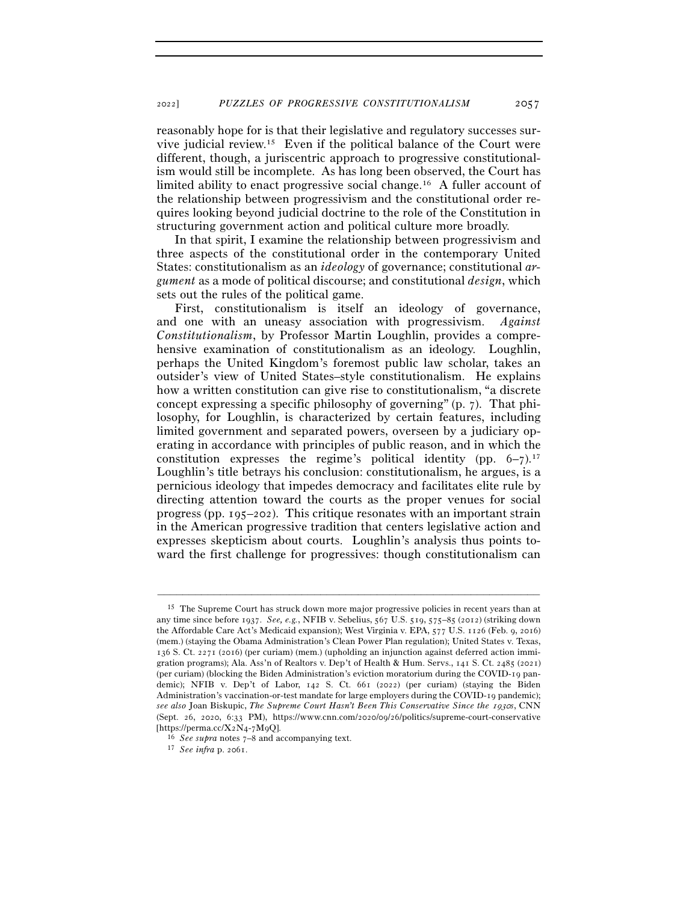reasonably hope for is that their legislative and regulatory successes survive judicial review.15 Even if the political balance of the Court were different, though, a juriscentric approach to progressive constitutionalism would still be incomplete. As has long been observed, the Court has limited ability to enact progressive social change.16 A fuller account of the relationship between progressivism and the constitutional order requires looking beyond judicial doctrine to the role of the Constitution in structuring government action and political culture more broadly.

In that spirit, I examine the relationship between progressivism and three aspects of the constitutional order in the contemporary United States: constitutionalism as an *ideology* of governance; constitutional *argument* as a mode of political discourse; and constitutional *design*, which sets out the rules of the political game.

First, constitutionalism is itself an ideology of governance, and one with an uneasy association with progressivism. *Against Constitutionalism*, by Professor Martin Loughlin, provides a comprehensive examination of constitutionalism as an ideology. Loughlin, perhaps the United Kingdom's foremost public law scholar, takes an outsider's view of United States–style constitutionalism. He explains how a written constitution can give rise to constitutionalism, "a discrete concept expressing a specific philosophy of governing" (p. 7). That philosophy, for Loughlin, is characterized by certain features, including limited government and separated powers, overseen by a judiciary operating in accordance with principles of public reason, and in which the constitution expresses the regime's political identity (pp.  $6-7$ ).<sup>17</sup> Loughlin's title betrays his conclusion: constitutionalism, he argues, is a pernicious ideology that impedes democracy and facilitates elite rule by directing attention toward the courts as the proper venues for social progress (pp. 195–202). This critique resonates with an important strain in the American progressive tradition that centers legislative action and expresses skepticism about courts. Loughlin's analysis thus points toward the first challenge for progressives: though constitutionalism can

<sup>15</sup> The Supreme Court has struck down more major progressive policies in recent years than at any time since before 1937. *See, e.g.*, NFIB v. Sebelius, 567 U.S. 519, 575–85 (2012) (striking down the Affordable Care Act's Medicaid expansion); West Virginia v. EPA, 577 U.S. 1126 (Feb. 9, 2016) (mem.) (staying the Obama Administration's Clean Power Plan regulation); United States v. Texas, 136 S. Ct. 2271 (2016) (per curiam) (mem.) (upholding an injunction against deferred action immigration programs); Ala. Ass'n of Realtors v. Dep't of Health & Hum. Servs., 141 S. Ct. 2485 (2021) (per curiam) (blocking the Biden Administration's eviction moratorium during the COVID-19 pandemic); NFIB v. Dep't of Labor, 142 S. Ct. 661 (2022) (per curiam) (staying the Biden Administration's vaccination-or-test mandate for large employers during the COVID-19 pandemic); *see also* Joan Biskupic, *The Supreme Court Hasn't Been This Conservative Since the 1930s*, CNN (Sept. 26, 2020, 6:33 PM), https://www.cnn.com/2020/09/26/politics/supreme-court-conservative [https://perma.cc/X2N4-7M<sup>9</sup>Q]. 16 *See supra* notes 7–<sup>8</sup> and accompanying text. 17 *See infra* p. 2061.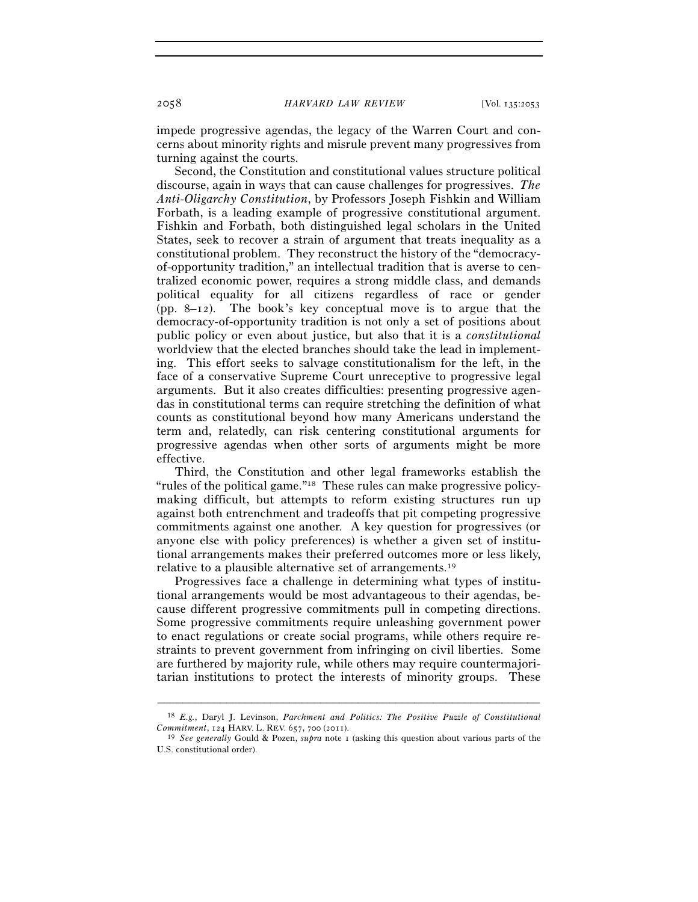impede progressive agendas, the legacy of the Warren Court and concerns about minority rights and misrule prevent many progressives from turning against the courts.

Second, the Constitution and constitutional values structure political discourse, again in ways that can cause challenges for progressives. *The Anti-Oligarchy Constitution*, by Professors Joseph Fishkin and William Forbath, is a leading example of progressive constitutional argument. Fishkin and Forbath, both distinguished legal scholars in the United States, seek to recover a strain of argument that treats inequality as a constitutional problem. They reconstruct the history of the "democracyof-opportunity tradition," an intellectual tradition that is averse to centralized economic power, requires a strong middle class, and demands political equality for all citizens regardless of race or gender (pp. 8–12). The book's key conceptual move is to argue that the democracy-of-opportunity tradition is not only a set of positions about public policy or even about justice, but also that it is a *constitutional* worldview that the elected branches should take the lead in implementing. This effort seeks to salvage constitutionalism for the left, in the face of a conservative Supreme Court unreceptive to progressive legal arguments. But it also creates difficulties: presenting progressive agendas in constitutional terms can require stretching the definition of what counts as constitutional beyond how many Americans understand the term and, relatedly, can risk centering constitutional arguments for progressive agendas when other sorts of arguments might be more effective.

Third, the Constitution and other legal frameworks establish the "rules of the political game."18 These rules can make progressive policymaking difficult, but attempts to reform existing structures run up against both entrenchment and tradeoffs that pit competing progressive commitments against one another. A key question for progressives (or anyone else with policy preferences) is whether a given set of institutional arrangements makes their preferred outcomes more or less likely, relative to a plausible alternative set of arrangements.19

Progressives face a challenge in determining what types of institutional arrangements would be most advantageous to their agendas, because different progressive commitments pull in competing directions. Some progressive commitments require unleashing government power to enact regulations or create social programs, while others require restraints to prevent government from infringing on civil liberties. Some are furthered by majority rule, while others may require countermajoritarian institutions to protect the interests of minority groups. These

<sup>–––––––––––––––––––––––––––––––––––––––––––––––––––––––––––––</sup> 18 *E.g.*, Daryl J. Levinson, *Parchment and Politics: The Positive Puzzle of Constitutional Commitment*, 124 HARV. L. REV. 657, 700 (<sup>2011</sup>). 19 *See generally* Gould & Pozen, *supra* note 1 (asking this question about various parts of the

U.S. constitutional order).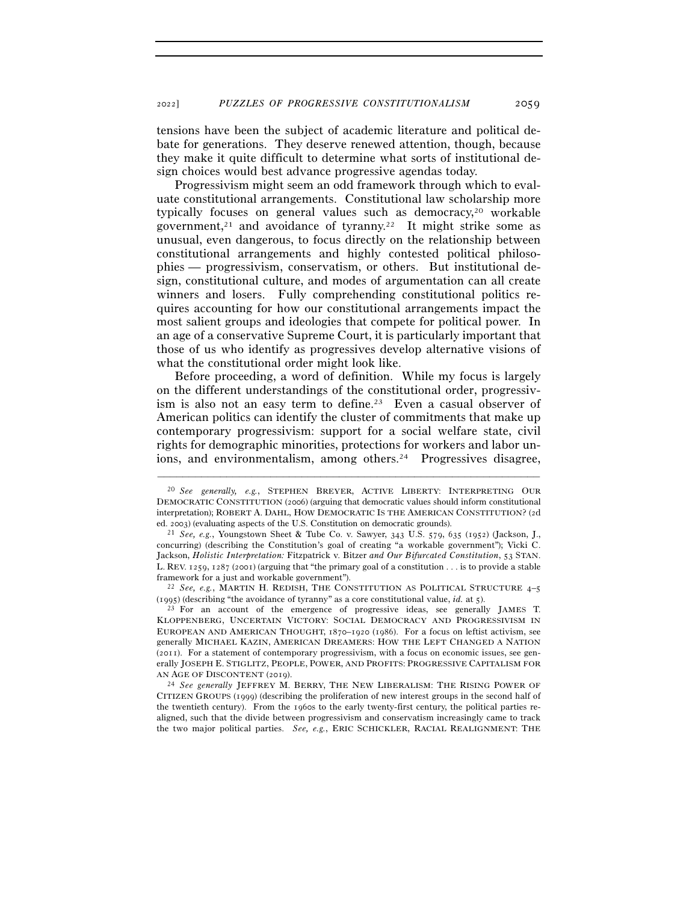tensions have been the subject of academic literature and political debate for generations. They deserve renewed attention, though, because they make it quite difficult to determine what sorts of institutional design choices would best advance progressive agendas today.

Progressivism might seem an odd framework through which to evaluate constitutional arrangements. Constitutional law scholarship more typically focuses on general values such as democracy,<sup>20</sup> workable government,<sup>21</sup> and avoidance of tyranny.<sup>22</sup> It might strike some as unusual, even dangerous, to focus directly on the relationship between constitutional arrangements and highly contested political philosophies — progressivism, conservatism, or others. But institutional design, constitutional culture, and modes of argumentation can all create winners and losers. Fully comprehending constitutional politics requires accounting for how our constitutional arrangements impact the most salient groups and ideologies that compete for political power. In an age of a conservative Supreme Court, it is particularly important that those of us who identify as progressives develop alternative visions of what the constitutional order might look like.

Before proceeding, a word of definition. While my focus is largely on the different understandings of the constitutional order, progressivism is also not an easy term to define.<sup>23</sup> Even a casual observer of American politics can identify the cluster of commitments that make up contemporary progressivism: support for a social welfare state, civil rights for demographic minorities, protections for workers and labor unions, and environmentalism, among others.<sup>24</sup> Progressives disagree,

<sup>20</sup> *See generally, e.g.*, STEPHEN BREYER, ACTIVE LIBERTY: INTERPRETING OUR DEMOCRATIC CONSTITUTION (2006) (arguing that democratic values should inform constitutional interpretation); ROBERT A. DAHL, HOW DEMOCRATIC IS THE AMERICAN CONSTITUTION? (2d ed. <sup>2003</sup>) (evaluating aspects of the U.S. Constitution on democratic grounds). 21 *See, e.g.*, Youngstown Sheet & Tube Co. v. Sawyer, 343 U.S. 579, 635 (1952) (Jackson, J.,

concurring) (describing the Constitution's goal of creating "a workable government"); Vicki C. Jackson, *Holistic Interpretation:* Fitzpatrick v. Bitzer *and Our Bifurcated Constitution*, 53 STAN. L. REV. 1259, 1287 (2001) (arguing that "the primary goal of a constitution . . . is to provide a stable framework for a just and workable government"). 22 *See, e.g.*, MARTIN H. REDISH, THE CONSTITUTION AS POLITICAL STRUCTURE <sup>4</sup>–<sup>5</sup>

<sup>(</sup>1995) (describing "the avoidance of tyranny" as a core constitutional value, *id.* at <sup>5</sup>). 23 For an account of the emergence of progressive ideas, see generally JAMES T.

KLOPPENBERG, UNCERTAIN VICTORY: SOCIAL DEMOCRACY AND PROGRESSIVISM IN EUROPEAN AND AMERICAN THOUGHT, 1870–1920 (1986). For a focus on leftist activism, see generally MICHAEL KAZIN, AMERICAN DREAMERS: HOW THE LEFT CHANGED A NATION (2011). For a statement of contemporary progressivism, with a focus on economic issues, see generally JOSEPH E. STIGLITZ, PEOPLE, POWER, AND PROFITS: PROGRESSIVE CAPITALISM FOR AN AGE OF DISCONTENT (2019).<br><sup>24</sup> *See generally* JEFFREY M. BERRY, THE NEW LIBERALISM: THE RISING POWER OF

CITIZEN GROUPS (1999) (describing the proliferation of new interest groups in the second half of the twentieth century). From the 1960s to the early twenty-first century, the political parties realigned, such that the divide between progressivism and conservatism increasingly came to track the two major political parties. *See, e.g.*, ERIC SCHICKLER, RACIAL REALIGNMENT: THE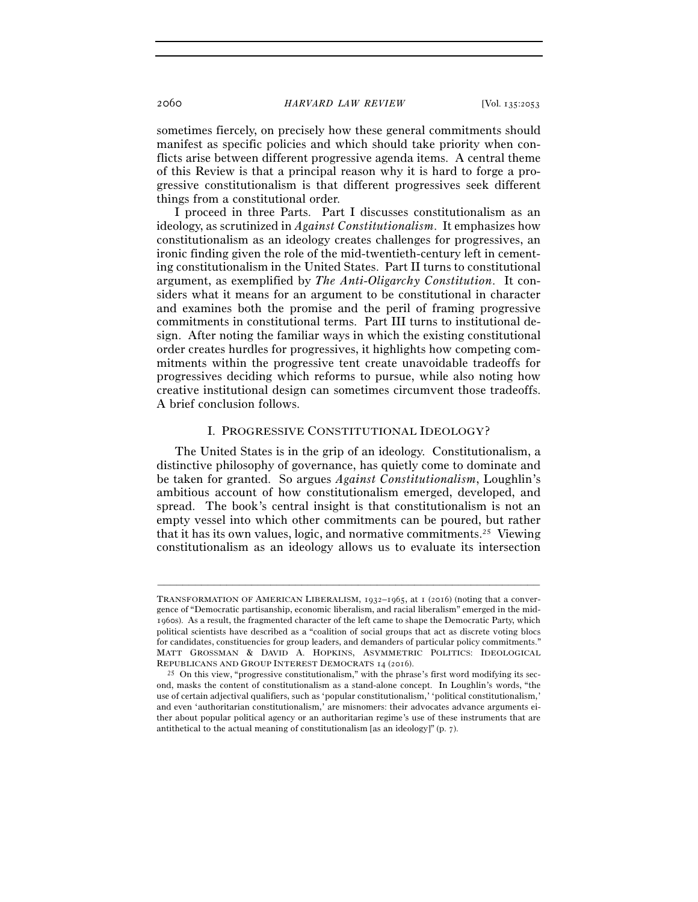sometimes fiercely, on precisely how these general commitments should manifest as specific policies and which should take priority when conflicts arise between different progressive agenda items. A central theme of this Review is that a principal reason why it is hard to forge a progressive constitutionalism is that different progressives seek different things from a constitutional order.

I proceed in three Parts. Part I discusses constitutionalism as an ideology, as scrutinized in *Against Constitutionalism*. It emphasizes how constitutionalism as an ideology creates challenges for progressives, an ironic finding given the role of the mid-twentieth-century left in cementing constitutionalism in the United States. Part II turns to constitutional argument, as exemplified by *The Anti-Oligarchy Constitution*. It considers what it means for an argument to be constitutional in character and examines both the promise and the peril of framing progressive commitments in constitutional terms. Part III turns to institutional design. After noting the familiar ways in which the existing constitutional order creates hurdles for progressives, it highlights how competing commitments within the progressive tent create unavoidable tradeoffs for progressives deciding which reforms to pursue, while also noting how creative institutional design can sometimes circumvent those tradeoffs. A brief conclusion follows.

### I. PROGRESSIVE CONSTITUTIONAL IDEOLOGY?

The United States is in the grip of an ideology. Constitutionalism, a distinctive philosophy of governance, has quietly come to dominate and be taken for granted. So argues *Against Constitutionalism*, Loughlin's ambitious account of how constitutionalism emerged, developed, and spread. The book's central insight is that constitutionalism is not an empty vessel into which other commitments can be poured, but rather that it has its own values, logic, and normative commitments.25 Viewing constitutionalism as an ideology allows us to evaluate its intersection

TRANSFORMATION OF AMERICAN LIBERALISM, 1932–1965, at 1 (2016) (noting that a convergence of "Democratic partisanship, economic liberalism, and racial liberalism" emerged in the mid-1960s). As a result, the fragmented character of the left came to shape the Democratic Party, which political scientists have described as a "coalition of social groups that act as discrete voting blocs for candidates, constituencies for group leaders, and demanders of particular policy commitments." MATT GROSSMAN & DAVID A. HOPKINS, ASYMMETRIC POLITICS: IDEOLOGICAL REPUBLICANS AND GROUP INTEREST DEMOCRATS 14 (2016).<br><sup>25</sup> On this view, "progressive constitutionalism," with the phrase's first word modifying its sec-

ond, masks the content of constitutionalism as a stand-alone concept. In Loughlin's words, "the use of certain adjectival qualifiers, such as 'popular constitutionalism,' 'political constitutionalism,' and even 'authoritarian constitutionalism,' are misnomers: their advocates advance arguments either about popular political agency or an authoritarian regime's use of these instruments that are antithetical to the actual meaning of constitutionalism [as an ideology]" (p. 7).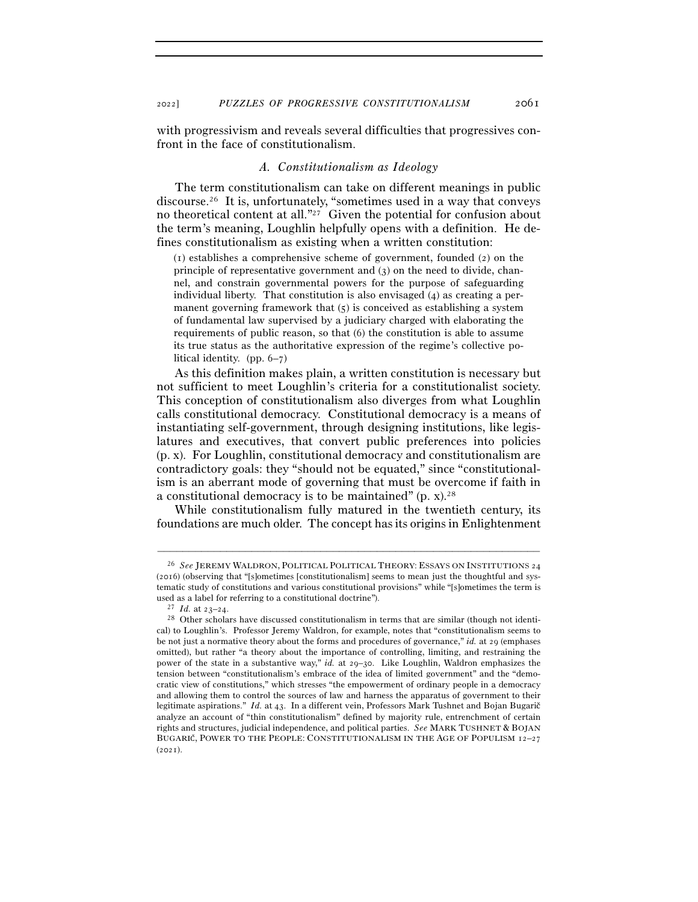with progressivism and reveals several difficulties that progressives confront in the face of constitutionalism.

#### *A. Constitutionalism as Ideology*

The term constitutionalism can take on different meanings in public discourse.26 It is, unfortunately, "sometimes used in a way that conveys no theoretical content at all."27 Given the potential for confusion about the term's meaning, Loughlin helpfully opens with a definition. He defines constitutionalism as existing when a written constitution:

(1) establishes a comprehensive scheme of government, founded (2) on the principle of representative government and (3) on the need to divide, channel, and constrain governmental powers for the purpose of safeguarding individual liberty. That constitution is also envisaged (4) as creating a permanent governing framework that  $(5)$  is conceived as establishing a system of fundamental law supervised by a judiciary charged with elaborating the requirements of public reason, so that (6) the constitution is able to assume its true status as the authoritative expression of the regime's collective political identity. (pp. 6–7)

As this definition makes plain, a written constitution is necessary but not sufficient to meet Loughlin's criteria for a constitutionalist society. This conception of constitutionalism also diverges from what Loughlin calls constitutional democracy. Constitutional democracy is a means of instantiating self-government, through designing institutions, like legislatures and executives, that convert public preferences into policies (p. x). For Loughlin, constitutional democracy and constitutionalism are contradictory goals: they "should not be equated," since "constitutionalism is an aberrant mode of governing that must be overcome if faith in a constitutional democracy is to be maintained" (p. x).28

While constitutionalism fully matured in the twentieth century, its foundations are much older. The concept has its origins in Enlightenment

<sup>26</sup> *See* JEREMY WALDRON, POLITICAL POLITICAL THEORY: ESSAYS ON INSTITUTIONS 24 (2016) (observing that "[s]ometimes [constitutionalism] seems to mean just the thoughtful and systematic study of constitutions and various constitutional provisions" while "[s]ometimes the term is used as a label for referring to a constitutional doctrine").<br><sup>27</sup> *Id.* at  $23-24$ .<br><sup>28</sup> Other scholars have discussed constitutionalism in terms that are similar (though not identi-

cal) to Loughlin's. Professor Jeremy Waldron, for example, notes that "constitutionalism seems to be not just a normative theory about the forms and procedures of governance," *id.* at 29 (emphases omitted), but rather "a theory about the importance of controlling, limiting, and restraining the power of the state in a substantive way," *id.* at 29–30. Like Loughlin, Waldron emphasizes the tension between "constitutionalism's embrace of the idea of limited government" and the "democratic view of constitutions," which stresses "the empowerment of ordinary people in a democracy and allowing them to control the sources of law and harness the apparatus of government to their legitimate aspirations." *Id.* at 43. In a different vein, Professors Mark Tushnet and Bojan Bugarič analyze an account of "thin constitutionalism" defined by majority rule, entrenchment of certain rights and structures, judicial independence, and political parties. *See* MARK TUSHNET & BOJAN BUGARIČ, POWER TO THE PEOPLE: CONSTITUTIONALISM IN THE AGE OF POPULISM 12-27  $(2021)$ .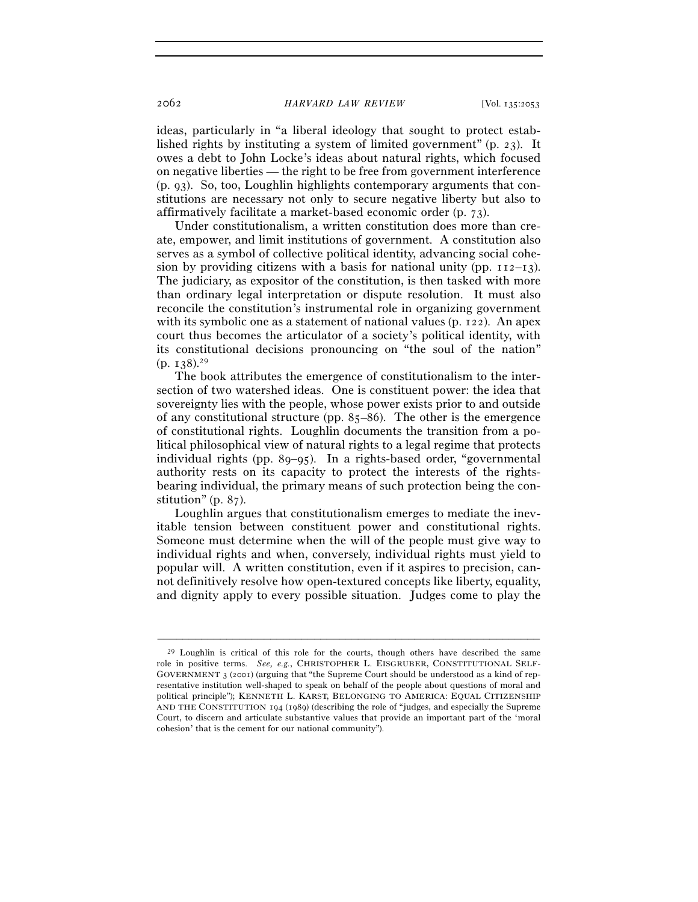ideas, particularly in "a liberal ideology that sought to protect established rights by instituting a system of limited government" (p. 23). It owes a debt to John Locke's ideas about natural rights, which focused on negative liberties — the right to be free from government interference (p. 93). So, too, Loughlin highlights contemporary arguments that constitutions are necessary not only to secure negative liberty but also to affirmatively facilitate a market-based economic order (p. 73).

Under constitutionalism, a written constitution does more than create, empower, and limit institutions of government. A constitution also serves as a symbol of collective political identity, advancing social cohesion by providing citizens with a basis for national unity (pp.  $112-13$ ). The judiciary, as expositor of the constitution, is then tasked with more than ordinary legal interpretation or dispute resolution. It must also reconcile the constitution's instrumental role in organizing government with its symbolic one as a statement of national values (p. 122). An apex court thus becomes the articulator of a society's political identity, with its constitutional decisions pronouncing on "the soul of the nation"  $(p. 138).^{29}$ 

The book attributes the emergence of constitutionalism to the intersection of two watershed ideas. One is constituent power: the idea that sovereignty lies with the people, whose power exists prior to and outside of any constitutional structure (pp. 85–86). The other is the emergence of constitutional rights. Loughlin documents the transition from a political philosophical view of natural rights to a legal regime that protects individual rights (pp. 89–95). In a rights-based order, "governmental authority rests on its capacity to protect the interests of the rightsbearing individual, the primary means of such protection being the constitution" (p. 87).

Loughlin argues that constitutionalism emerges to mediate the inevitable tension between constituent power and constitutional rights. Someone must determine when the will of the people must give way to individual rights and when, conversely, individual rights must yield to popular will. A written constitution, even if it aspires to precision, cannot definitively resolve how open-textured concepts like liberty, equality, and dignity apply to every possible situation. Judges come to play the

 $^{29}$  Loughlin is critical of this role for the courts, though others have described the same role in positive terms. *See, e.g.*, CHRISTOPHER L. EISGRUBER, CONSTITUTIONAL SELF-GOVERNMENT 3 (2001) (arguing that "the Supreme Court should be understood as a kind of representative institution well-shaped to speak on behalf of the people about questions of moral and political principle"); KENNETH L. KARST, BELONGING TO AMERICA: EQUAL CITIZENSHIP AND THE CONSTITUTION 194 (1989) (describing the role of "judges, and especially the Supreme Court, to discern and articulate substantive values that provide an important part of the 'moral cohesion' that is the cement for our national community").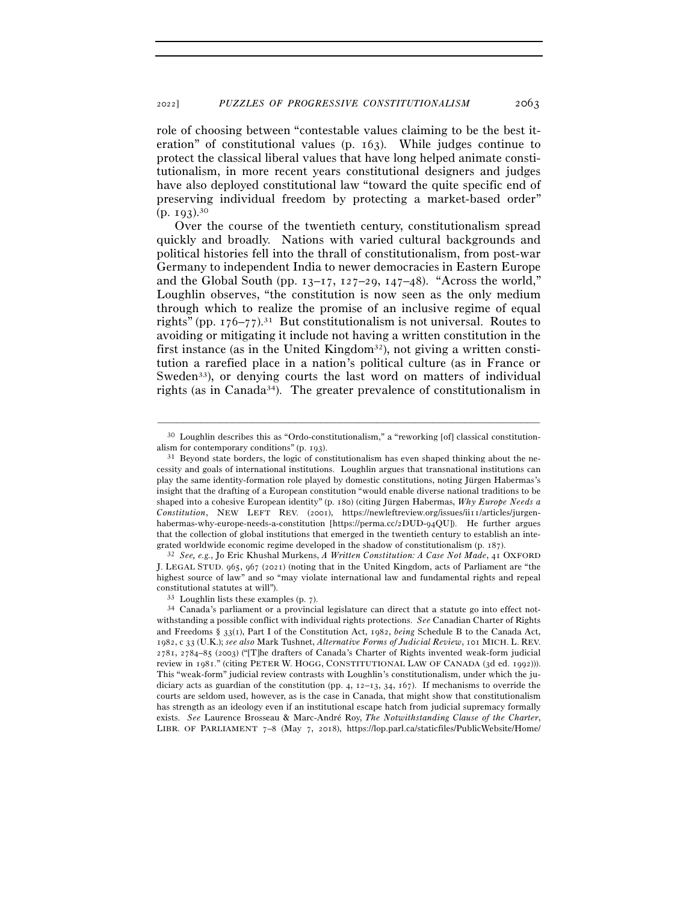role of choosing between "contestable values claiming to be the best iteration" of constitutional values (p. 163). While judges continue to protect the classical liberal values that have long helped animate constitutionalism, in more recent years constitutional designers and judges have also deployed constitutional law "toward the quite specific end of preserving individual freedom by protecting a market-based order"  $(p. 193).^{30}$ 

Over the course of the twentieth century, constitutionalism spread quickly and broadly. Nations with varied cultural backgrounds and political histories fell into the thrall of constitutionalism, from post-war Germany to independent India to newer democracies in Eastern Europe and the Global South (pp.  $13-17$ ,  $127-29$ ,  $147-48$ ). "Across the world," Loughlin observes, "the constitution is now seen as the only medium through which to realize the promise of an inclusive regime of equal rights" (pp.  $176-77$ ).<sup>31</sup> But constitutionalism is not universal. Routes to avoiding or mitigating it include not having a written constitution in the first instance (as in the United Kingdom<sup>32</sup>), not giving a written constitution a rarefied place in a nation's political culture (as in France or Sweden<sup>33</sup>), or denying courts the last word on matters of individual rights (as in Canada<sup>34</sup>). The greater prevalence of constitutionalism in

J. LEGAL STUD. 965, 967 (2021) (noting that in the United Kingdom, acts of Parliament are "the highest source of law" and so "may violate international law and fundamental rights and repeal constitutional statutes at will").<br>  $33$  Loughlin lists these examples (p. 7).<br>  $34$  Canada's parliament or a provincial legislature can direct that a statute go into effect not-<br>  $34$  Canada's parliament or a provincial

<sup>–––––––––––––––––––––––––––––––––––––––––––––––––––––––––––––</sup> 30 Loughlin describes this as "Ordo-constitutionalism," a "reworking [of] classical constitutionalism for contemporary conditions" (p. 193).<br><sup>31</sup> Beyond state borders, the logic of constitutionalism has even shaped thinking about the ne-

cessity and goals of international institutions. Loughlin argues that transnational institutions can play the same identity-formation role played by domestic constitutions, noting Jürgen Habermas's insight that the drafting of a European constitution "would enable diverse national traditions to be shaped into a cohesive European identity" (p. 180) (citing Jürgen Habermas, *Why Europe Needs a Constitution*, NEW LEFT REV. (2001), https://newleftreview.org/issues/ii11/articles/jurgenhabermas-why-europe-needs-a-constitution [https://perma.cc/2DUD-94QU]). He further argues that the collection of global institutions that emerged in the twentieth century to establish an integrated worldwide economic regime developed in the shadow of constitutionalism (p. <sup>187</sup>). 32 *See, e.g.*, Jo Eric Khushal Murkens, *A Written Constitution: A Case Not Made*, 41 OXFORD

withstanding a possible conflict with individual rights protections. *See* Canadian Charter of Rights and Freedoms § 33(1), Part I of the Constitution Act, 1982, *being* Schedule B to the Canada Act, 1982, c 33 (U.K.); *see also* Mark Tushnet, *Alternative Forms of Judicial Review*, 101 MICH. L. REV. 2781, 2784–85 (2003) ("[T]he drafters of Canada's Charter of Rights invented weak-form judicial review in 1981." (citing PETER W. HOGG, CONSTITUTIONAL LAW OF CANADA (3d ed. 1992))). This "weak-form" judicial review contrasts with Loughlin's constitutionalism, under which the judiciary acts as guardian of the constitution (pp. 4,  $12-13$ ,  $34$ ,  $167$ ). If mechanisms to override the courts are seldom used, however, as is the case in Canada, that might show that constitutionalism has strength as an ideology even if an institutional escape hatch from judicial supremacy formally exists. *See* Laurence Brosseau & Marc-André Roy, *The Notwithstanding Clause of the Charter*, LIBR. OF PARLIAMENT 7–8 (May 7, 2018), https://lop.parl.ca/staticfiles/PublicWebsite/Home/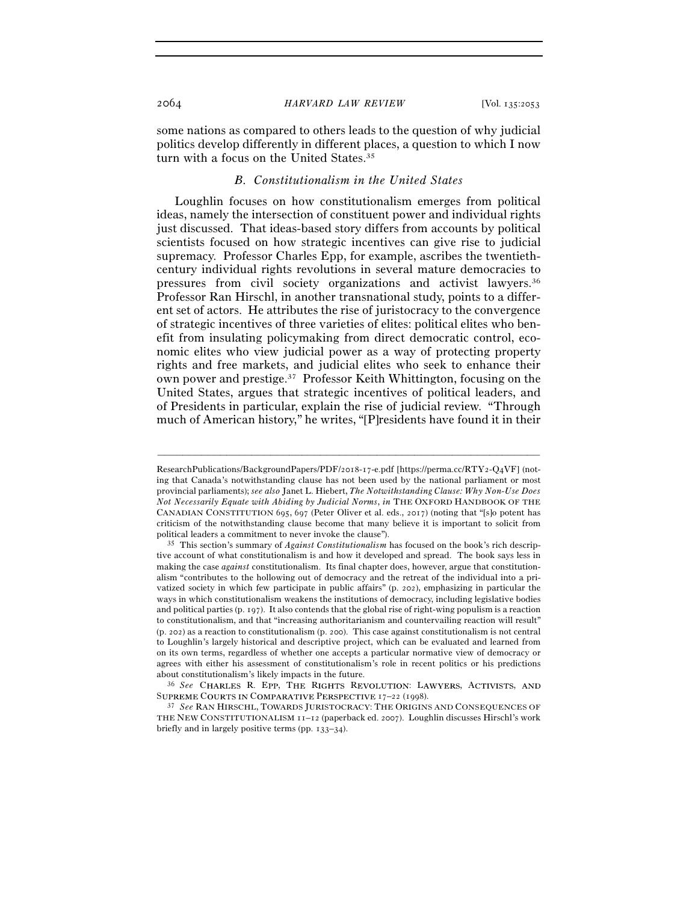some nations as compared to others leads to the question of why judicial politics develop differently in different places, a question to which I now turn with a focus on the United States.<sup>35</sup>

# *B. Constitutionalism in the United States*

Loughlin focuses on how constitutionalism emerges from political ideas, namely the intersection of constituent power and individual rights just discussed. That ideas-based story differs from accounts by political scientists focused on how strategic incentives can give rise to judicial supremacy. Professor Charles Epp, for example, ascribes the twentiethcentury individual rights revolutions in several mature democracies to pressures from civil society organizations and activist lawyers.36 Professor Ran Hirschl, in another transnational study, points to a different set of actors. He attributes the rise of juristocracy to the convergence of strategic incentives of three varieties of elites: political elites who benefit from insulating policymaking from direct democratic control, economic elites who view judicial power as a way of protecting property rights and free markets, and judicial elites who seek to enhance their own power and prestige.37 Professor Keith Whittington, focusing on the United States, argues that strategic incentives of political leaders, and of Presidents in particular, explain the rise of judicial review. "Through much of American history," he writes, "[P]residents have found it in their

–––––––––––––––––––––––––––––––––––––––––––––––––––––––––––––

SUPREME COURTS IN COMPARATIVE PERSPECTIVE 17–22 (1998).<br><sup>37</sup> *See* Ran Hirschl, Towards Juristocracy: The Origins and Consequences of

ResearchPublications/BackgroundPapers/PDF/2018-17-e.pdf [https://perma.cc/RTY2-Q4VF] (noting that Canada's notwithstanding clause has not been used by the national parliament or most provincial parliaments); *see also* Janet L. Hiebert, *The Notwithstanding Clause: Why Non-Use Does Not Necessarily Equate with Abiding by Judicial Norms*, *in* THE OXFORD HANDBOOK OF THE CANADIAN CONSTITUTION 695, 697 (Peter Oliver et al. eds., 2017) (noting that "[s]o potent has criticism of the notwithstanding clause become that many believe it is important to solicit from political leaders a commitment to never invoke the clause"). 35 This section's summary of *Against Constitutionalism* has focused on the book's rich descrip-

tive account of what constitutionalism is and how it developed and spread. The book says less in making the case *against* constitutionalism. Its final chapter does, however, argue that constitutionalism "contributes to the hollowing out of democracy and the retreat of the individual into a privatized society in which few participate in public affairs" (p. 202), emphasizing in particular the ways in which constitutionalism weakens the institutions of democracy, including legislative bodies and political parties (p. 197). It also contends that the global rise of right-wing populism is a reaction to constitutionalism, and that "increasing authoritarianism and countervailing reaction will result" (p. 202) as a reaction to constitutionalism (p. 200). This case against constitutionalism is not central to Loughlin's largely historical and descriptive project, which can be evaluated and learned from on its own terms, regardless of whether one accepts a particular normative view of democracy or agrees with either his assessment of constitutionalism's role in recent politics or his predictions about constitutionalism's likely impacts in the future.<br><sup>36</sup> *See* CHARLES R. EPP, THE RIGHTS REVOLUTION: LAWYERS, ACTIVISTS, AND

THE NEW CONSTITUTIONALISM 11–12 (paperback ed. 2007). Loughlin discusses Hirschl's work briefly and in largely positive terms (pp. 133–34).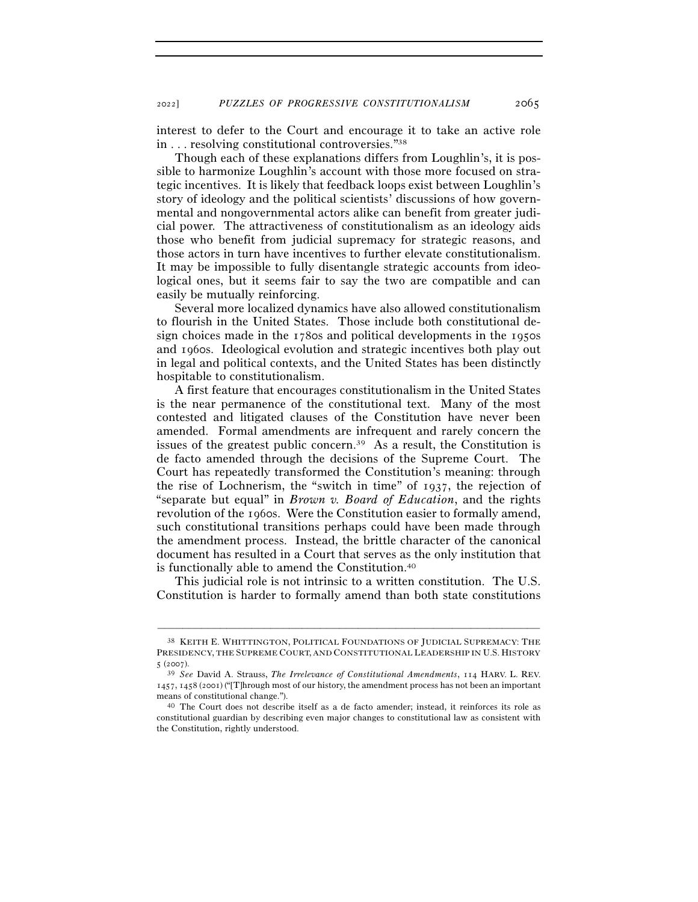interest to defer to the Court and encourage it to take an active role in . . . resolving constitutional controversies."38

Though each of these explanations differs from Loughlin's, it is possible to harmonize Loughlin's account with those more focused on strategic incentives. It is likely that feedback loops exist between Loughlin's story of ideology and the political scientists' discussions of how governmental and nongovernmental actors alike can benefit from greater judicial power. The attractiveness of constitutionalism as an ideology aids those who benefit from judicial supremacy for strategic reasons, and those actors in turn have incentives to further elevate constitutionalism. It may be impossible to fully disentangle strategic accounts from ideological ones, but it seems fair to say the two are compatible and can easily be mutually reinforcing.

Several more localized dynamics have also allowed constitutionalism to flourish in the United States. Those include both constitutional design choices made in the 1780s and political developments in the 1950s and 1960s. Ideological evolution and strategic incentives both play out in legal and political contexts, and the United States has been distinctly hospitable to constitutionalism.

A first feature that encourages constitutionalism in the United States is the near permanence of the constitutional text. Many of the most contested and litigated clauses of the Constitution have never been amended. Formal amendments are infrequent and rarely concern the issues of the greatest public concern.39 As a result, the Constitution is de facto amended through the decisions of the Supreme Court. The Court has repeatedly transformed the Constitution's meaning: through the rise of Lochnerism, the "switch in time" of 1937, the rejection of "separate but equal" in *Brown v. Board of Education*, and the rights revolution of the 1960s. Were the Constitution easier to formally amend, such constitutional transitions perhaps could have been made through the amendment process. Instead, the brittle character of the canonical document has resulted in a Court that serves as the only institution that is functionally able to amend the Constitution.40

This judicial role is not intrinsic to a written constitution. The U.S. Constitution is harder to formally amend than both state constitutions

<sup>38</sup> KEITH E. WHITTINGTON, POLITICAL FOUNDATIONS OF JUDICIAL SUPREMACY: THE PRESIDENCY, THE SUPREME COURT, AND CONSTITUTIONAL LEADERSHIP IN U.S. HISTORY <sup>5</sup> (<sup>2007</sup>). 39 *See* David A. Strauss, *The Irrelevance of Constitutional Amendments*, 114 HARV. L. REV.

<sup>1457</sup>, 1458 (2001) ("[T]hrough most of our history, the amendment process has not been an important means of constitutional change.").<br><sup>40</sup> The Court does not describe itself as a de facto amender; instead, it reinforces its role as

constitutional guardian by describing even major changes to constitutional law as consistent with the Constitution, rightly understood.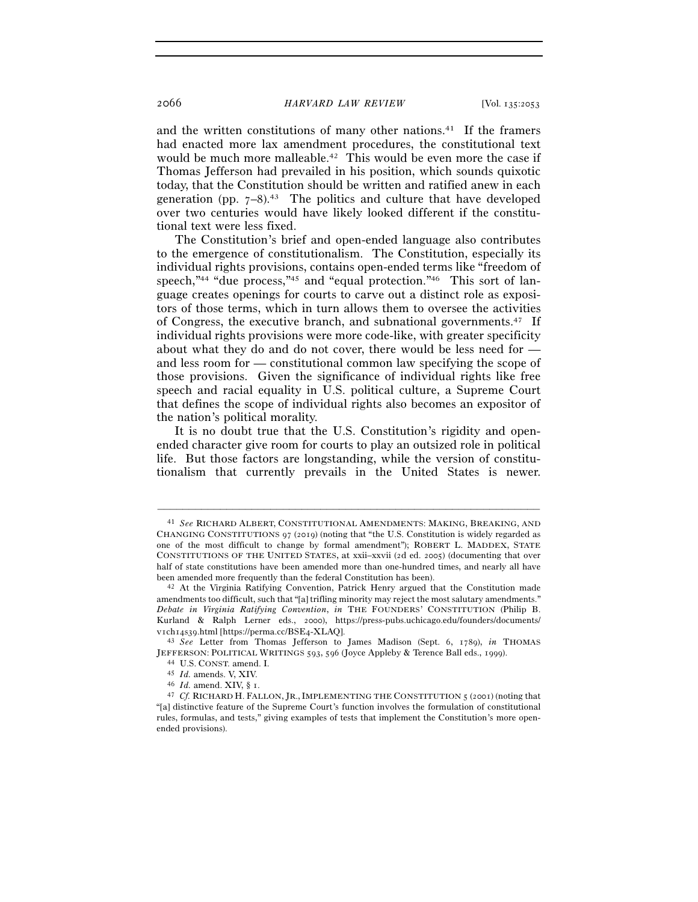and the written constitutions of many other nations.41 If the framers had enacted more lax amendment procedures, the constitutional text would be much more malleable.<sup>42</sup> This would be even more the case if Thomas Jefferson had prevailed in his position, which sounds quixotic today, that the Constitution should be written and ratified anew in each generation (pp.  $7-8$ ).<sup>43</sup> The politics and culture that have developed over two centuries would have likely looked different if the constitutional text were less fixed.

The Constitution's brief and open-ended language also contributes to the emergence of constitutionalism. The Constitution, especially its individual rights provisions, contains open-ended terms like "freedom of speech,"<sup>44</sup> "due process,"<sup>45</sup> and "equal protection."<sup>46</sup> This sort of language creates openings for courts to carve out a distinct role as expositors of those terms, which in turn allows them to oversee the activities of Congress, the executive branch, and subnational governments.47 If individual rights provisions were more code-like, with greater specificity about what they do and do not cover, there would be less need for and less room for — constitutional common law specifying the scope of those provisions. Given the significance of individual rights like free speech and racial equality in U.S. political culture, a Supreme Court that defines the scope of individual rights also becomes an expositor of the nation's political morality.

It is no doubt true that the U.S. Constitution's rigidity and openended character give room for courts to play an outsized role in political life. But those factors are longstanding, while the version of constitutionalism that currently prevails in the United States is newer.

<sup>41</sup> *See* RICHARD ALBERT, CONSTITUTIONAL AMENDMENTS: MAKING, BREAKING, AND CHANGING CONSTITUTIONS 97 (2019) (noting that "the U.S. Constitution is widely regarded as one of the most difficult to change by formal amendment"); ROBERT L. MADDEX, STATE CONSTITUTIONS OF THE UNITED STATES, at xxii–xxvii (2d ed. 2005) (documenting that over half of state constitutions have been amended more than one-hundred times, and nearly all have

been amended more frequently than the federal Constitution has been). 42 At the Virginia Ratifying Convention, Patrick Henry argued that the Constitution made amendments too difficult, such that "[a] trifling minority may reject the most salutary amendments." *Debate in Virginia Ratifying Convention*, *in* THE FOUNDERS' CONSTITUTION (Philip B. Kurland & Ralph Lerner eds., 2000), https://press-pubs.uchicago.edu/founders/documents/ <sup>v</sup>1ch14s39.html [https://perma.cc/BSE<sup>4</sup>-XLAQ]. 43 *See* Letter from Thomas Jefferson to James Madison (Sept. 6, 1789), *in* THOMAS

JEFFERSON: POLITICAL WRITINGS 593, 596 (Joyce Appleby & Terence Ball eds., 1999).<br>
44 U.S. CONST. amend. I.<br>
45 Id. amends. V, XIV.<br>
46 Id. amend. XIV, § 1.<br>
47 Cf. RICHARD H. FALLON, JR., IMPLEMENTING THE CONSTITUTION 5 (

<sup>&</sup>quot;[a] distinctive feature of the Supreme Court's function involves the formulation of constitutional rules, formulas, and tests," giving examples of tests that implement the Constitution's more openended provisions).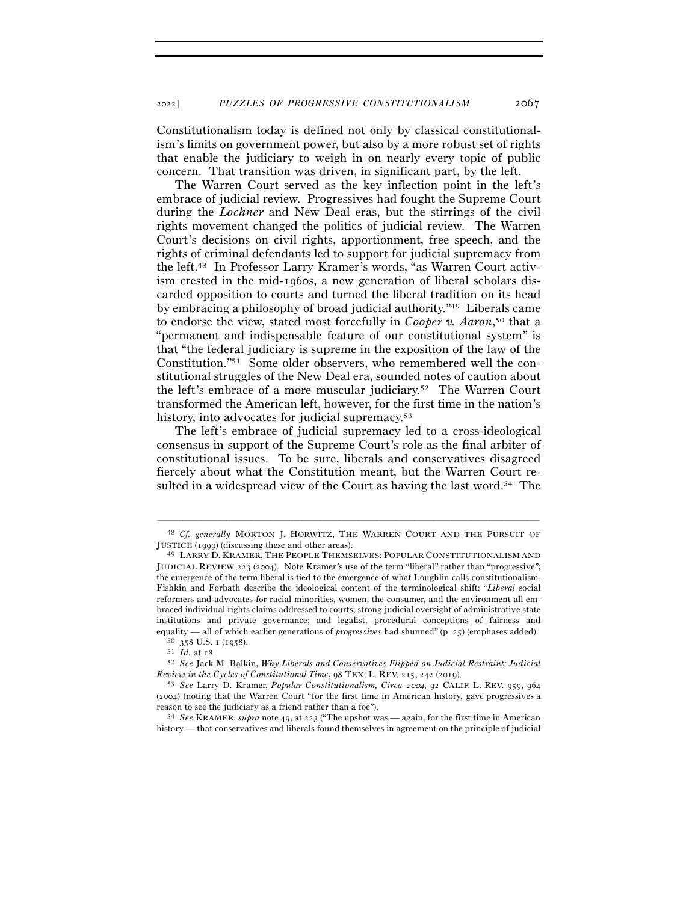Constitutionalism today is defined not only by classical constitutionalism's limits on government power, but also by a more robust set of rights that enable the judiciary to weigh in on nearly every topic of public concern. That transition was driven, in significant part, by the left.

The Warren Court served as the key inflection point in the left's embrace of judicial review. Progressives had fought the Supreme Court during the *Lochner* and New Deal eras, but the stirrings of the civil rights movement changed the politics of judicial review. The Warren Court's decisions on civil rights, apportionment, free speech, and the rights of criminal defendants led to support for judicial supremacy from the left.48 In Professor Larry Kramer's words, "as Warren Court activism crested in the mid-1960s, a new generation of liberal scholars discarded opposition to courts and turned the liberal tradition on its head by embracing a philosophy of broad judicial authority."49 Liberals came to endorse the view, stated most forcefully in *Cooper v. Aaron*, 50 that a "permanent and indispensable feature of our constitutional system" is that "the federal judiciary is supreme in the exposition of the law of the Constitution."51 Some older observers, who remembered well the constitutional struggles of the New Deal era, sounded notes of caution about the left's embrace of a more muscular judiciary.52 The Warren Court transformed the American left, however, for the first time in the nation's history, into advocates for judicial supremacy.<sup>53</sup>

The left's embrace of judicial supremacy led to a cross-ideological consensus in support of the Supreme Court's role as the final arbiter of constitutional issues. To be sure, liberals and conservatives disagreed fiercely about what the Constitution meant, but the Warren Court resulted in a widespread view of the Court as having the last word.<sup>54</sup> The

<sup>–––––––––––––––––––––––––––––––––––––––––––––––––––––––––––––</sup> 48 *Cf. generally* MORTON J. HORWITZ, THE WARREN COURT AND THE PURSUIT OF JUSTICE (<sup>1999</sup>) (discussing these and other areas). 49 LARRY D. KRAMER, THE PEOPLE THEMSELVES: POPULAR CONSTITUTIONALISM AND

JUDICIAL REVIEW 223 (2004). Note Kramer's use of the term "liberal" rather than "progressive"; the emergence of the term liberal is tied to the emergence of what Loughlin calls constitutionalism. Fishkin and Forbath describe the ideological content of the terminological shift: "*Liberal* social reformers and advocates for racial minorities, women, the consumer, and the environment all embraced individual rights claims addressed to courts; strong judicial oversight of administrative state institutions and private governance; and legalist, procedural conceptions of fairness and

equality — all of which earlier generations of *progressives* had shunned" (p. 25) (emphases added).<br><sup>50</sup> 358 U.S. 1 (1958).<br><sup>51</sup> Id. at 18.<br><sup>52</sup> See Jack M. Balkin, *Why Liberals and Conservatives Flipped on Judicial Res* 

*Review in the Cycles of Constitutional Time*, 98 TEX. L. REV. 215, 242 (<sup>2019</sup>). 53 *See* Larry D. Kramer, *Popular Constitutionalism, Circa* 2004, 92 CALIF. L. REV. 959, <sup>964</sup> (2004) (noting that the Warren Court "for the first time in American history, gave progressives a reason to see the judiciary as a friend rather than a foe"). 54 *See* KRAMER, *supra* note 49, at 223 ("The upshot was — again, for the first time in American

history — that conservatives and liberals found themselves in agreement on the principle of judicial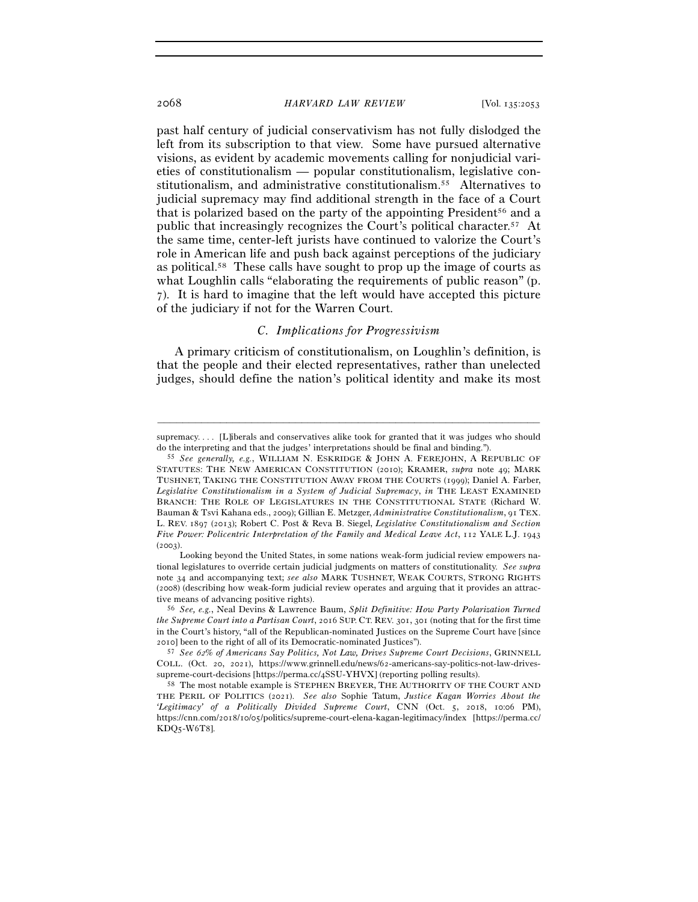past half century of judicial conservativism has not fully dislodged the left from its subscription to that view. Some have pursued alternative visions, as evident by academic movements calling for nonjudicial varieties of constitutionalism — popular constitutionalism, legislative constitutionalism, and administrative constitutionalism.55 Alternatives to judicial supremacy may find additional strength in the face of a Court that is polarized based on the party of the appointing President<sup>56</sup> and a public that increasingly recognizes the Court's political character.57 At the same time, center-left jurists have continued to valorize the Court's role in American life and push back against perceptions of the judiciary as political.58 These calls have sought to prop up the image of courts as what Loughlin calls "elaborating the requirements of public reason" (p. 7). It is hard to imagine that the left would have accepted this picture of the judiciary if not for the Warren Court.

## *C. Implications for Progressivism*

A primary criticism of constitutionalism, on Loughlin's definition, is that the people and their elected representatives, rather than unelected judges, should define the nation's political identity and make its most

<sup>–––––––––––––––––––––––––––––––––––––––––––––––––––––––––––––</sup> supremacy.... [L]iberals and conservatives alike took for granted that it was judges who should do the interpreting and that the judges' interpretations should be final and binding."). 55 *See generally, e.g.*, WILLIAM N. ESKRIDGE & JOHN A. FEREJOHN, <sup>A</sup> REPUBLIC OF

STATUTES: THE NEW AMERICAN CONSTITUTION (2010); KRAMER, *supra* note 49; MARK TUSHNET, TAKING THE CONSTITUTION AWAY FROM THE COURTS (1999); Daniel A. Farber, *Legislative Constitutionalism in a System of Judicial Supremacy*, *in* THE LEAST EXAMINED BRANCH: THE ROLE OF LEGISLATURES IN THE CONSTITUTIONAL STATE (Richard W. Bauman & Tsvi Kahana eds., 2009); Gillian E. Metzger, *Administrative Constitutionalism*, 91 TEX. L. REV. 1897 (2013); Robert C. Post & Reva B. Siegel, *Legislative Constitutionalism and Section Five Power: Policentric Interpretation of the Family and Medical Leave Act*, 112 YALE L.J. 1943  $(2003)$ 

Looking beyond the United States, in some nations weak-form judicial review empowers national legislatures to override certain judicial judgments on matters of constitutionality. *See supra* note 34 and accompanying text; *see also* MARK TUSHNET, WEAK COURTS, STRONG RIGHTS (2008) (describing how weak-form judicial review operates and arguing that it provides an attractive means of advancing positive rights). 56 *See, e.g.*, Neal Devins & Lawrence Baum, *Split Definitive: How Party Polarization Turned* 

*the Supreme Court into a Partisan Court*, 2016 SUP. CT. REV. 301, 301 (noting that for the first time in the Court's history, "all of the Republican-nominated Justices on the Supreme Court have [since 2010] been to the right of all of its Democratic-nominated Justices").

<sup>57</sup> *See* 62*% of Americans Say Politics, Not Law, Drives Supreme Court Decisions*, GRINNELL COLL. (Oct. 20, 2021), https://www.grinnell.edu/news/62-americans-say-politics-not-law-drivessupreme-court-decisions [https://perma.cc/<sup>4</sup>SSU-YHVX] (reporting polling results). 58 The most notable example is STEPHEN BREYER, THE AUTHORITY OF THE COURT AND

THE PERIL OF POLITICS (2021). *See also* Sophie Tatum, *Justice Kagan Worries About the 'Legitimacy' of a Politically Divided Supreme Court*, CNN (Oct. 5, 2018, 10:06 PM), https://cnn.com/2018/10/05/politics/supreme-court-elena-kagan-legitimacy/index [https://perma.cc/ KDQ5-W6T8].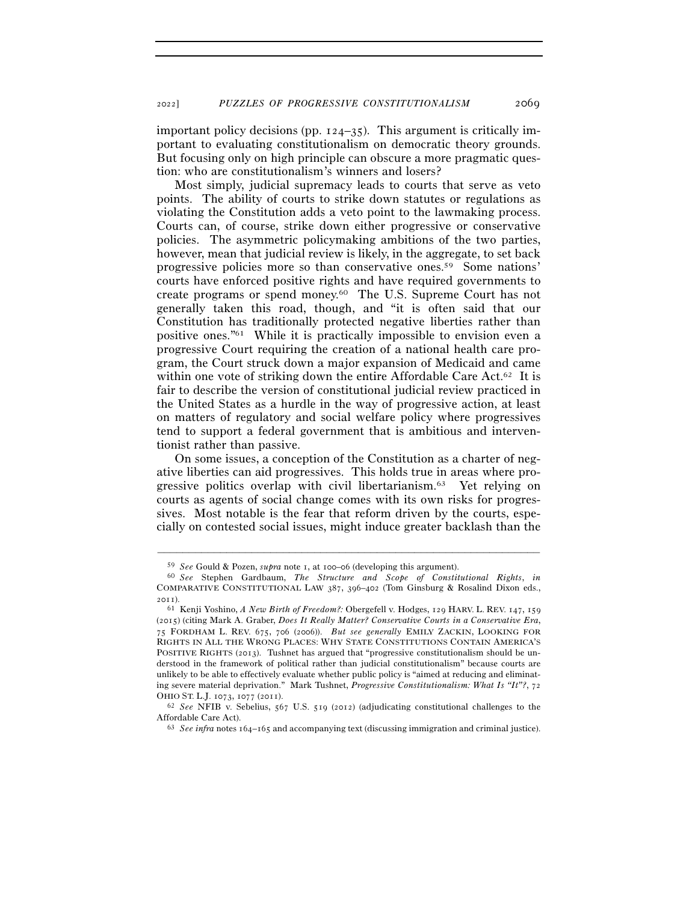important policy decisions (pp. 124–35). This argument is critically important to evaluating constitutionalism on democratic theory grounds. But focusing only on high principle can obscure a more pragmatic question: who are constitutionalism's winners and losers?

Most simply, judicial supremacy leads to courts that serve as veto points. The ability of courts to strike down statutes or regulations as violating the Constitution adds a veto point to the lawmaking process. Courts can, of course, strike down either progressive or conservative policies. The asymmetric policymaking ambitions of the two parties, however, mean that judicial review is likely, in the aggregate, to set back progressive policies more so than conservative ones.59 Some nations' courts have enforced positive rights and have required governments to create programs or spend money.60 The U.S. Supreme Court has not generally taken this road, though, and "it is often said that our Constitution has traditionally protected negative liberties rather than positive ones."61 While it is practically impossible to envision even a progressive Court requiring the creation of a national health care program, the Court struck down a major expansion of Medicaid and came within one vote of striking down the entire Affordable Care Act.<sup>62</sup> It is fair to describe the version of constitutional judicial review practiced in the United States as a hurdle in the way of progressive action, at least on matters of regulatory and social welfare policy where progressives tend to support a federal government that is ambitious and interventionist rather than passive.

On some issues, a conception of the Constitution as a charter of negative liberties can aid progressives. This holds true in areas where progressive politics overlap with civil libertarianism.63 Yet relying on courts as agents of social change comes with its own risks for progressives. Most notable is the fear that reform driven by the courts, especially on contested social issues, might induce greater backlash than the

<sup>59</sup> *See* Gould & Pozen, *supra* note 1, at 100–<sup>06</sup> (developing this argument). 60 *See* Stephen Gardbaum, *The Structure and Scope of Constitutional Rights*, *in* COMPARATIVE CONSTITUTIONAL LAW 387, 396–402 (Tom Ginsburg & Rosalind Dixon eds., 2011).

<sup>61</sup> Kenji Yoshino, *A New Birth of Freedom?:* Obergefell v. Hodges, 129 HARV. L. REV. 147, 159 (2015) (citing Mark A. Graber, *Does It Really Matter? Conservative Courts in a Conservative Era*, 75 FORDHAM L. REV. 675, 706 (2006)). *But see generally* EMILY ZACKIN, LOOKING FOR RIGHTS IN ALL THE WRONG PLACES: WHY STATE CONSTITUTIONS CONTAIN AMERICA'S POSITIVE RIGHTS (2013). Tushnet has argued that "progressive constitutionalism should be understood in the framework of political rather than judicial constitutionalism" because courts are unlikely to be able to effectively evaluate whether public policy is "aimed at reducing and eliminating severe material deprivation." Mark Tushnet, *Progressive Constitutionalism: What Is "It"?*, 72 OHIO ST. L.J. 1073, 1077 (<sup>2011</sup>). 62 *See* NFIB v. Sebelius, 567 U.S. 519 (2012) (adjudicating constitutional challenges to the

Affordable Care Act). 63 *See infra* notes 164–165 and accompanying text (discussing immigration and criminal justice).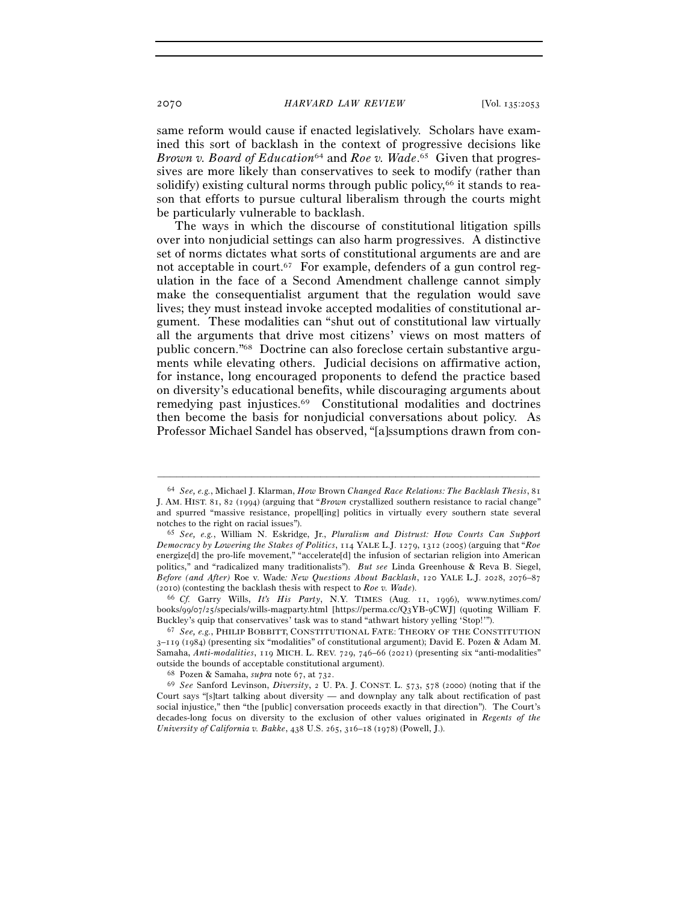same reform would cause if enacted legislatively. Scholars have examined this sort of backlash in the context of progressive decisions like *Brown v. Board of Education*64 and *Roe v. Wade*. 65 Given that progressives are more likely than conservatives to seek to modify (rather than solidify) existing cultural norms through public policy, $66$  it stands to reason that efforts to pursue cultural liberalism through the courts might be particularly vulnerable to backlash.

The ways in which the discourse of constitutional litigation spills over into nonjudicial settings can also harm progressives. A distinctive set of norms dictates what sorts of constitutional arguments are and are not acceptable in court.<sup>67</sup> For example, defenders of a gun control regulation in the face of a Second Amendment challenge cannot simply make the consequentialist argument that the regulation would save lives; they must instead invoke accepted modalities of constitutional argument. These modalities can "shut out of constitutional law virtually all the arguments that drive most citizens' views on most matters of public concern."68 Doctrine can also foreclose certain substantive arguments while elevating others. Judicial decisions on affirmative action, for instance, long encouraged proponents to defend the practice based on diversity's educational benefits, while discouraging arguments about remedying past injustices.69 Constitutional modalities and doctrines then become the basis for nonjudicial conversations about policy. As Professor Michael Sandel has observed, "[a]ssumptions drawn from con-

<sup>64</sup> *See, e.g.*, Michael J. Klarman, *How* Brown *Changed Race Relations: The Backlash Thesis*, 81 J. AM. HIST. 81, 82 (1994) (arguing that "*Brown* crystallized southern resistance to racial change" and spurred "massive resistance, propell[ing] politics in virtually every southern state several notches to the right on racial issues"). 65 *See, e.g.*, William N. Eskridge, Jr., *Pluralism and Distrust: How Courts Can Support* 

*Democracy by Lowering the Stakes of Politics*, 114 YALE L.J. 1279, 1312 (2005) (arguing that "*Roe* energize[d] the pro-life movement," "accelerate[d] the infusion of sectarian religion into American politics," and "radicalized many traditionalists"). *But see* Linda Greenhouse & Reva B. Siegel, *Before (and After)* Roe v. Wade*: New Questions About Backlash*, 120 YALE L.J. 2028, 2076–87 (2010) (contesting the backlash thesis with respect to *Roe v. Wade*). 66 *Cf.* Garry Wills, *It's His Party*, N.Y. TIMES (Aug. 11, 1996), www.nytimes.com/

books/99/07/25/specials/wills-magparty.html [https://perma.cc/Q3YB-9CWJ] (quoting William F. Buckley's quip that conservatives' task was to stand "athwart history yelling 'Stop!'"). 67 *See, e.g.*, PHILIP BOBBITT, CONSTITUTIONAL FATE: THEORY OF THE CONSTITUTION

<sup>3</sup>–119 (1984) (presenting six "modalities" of constitutional argument); David E. Pozen & Adam M. Samaha, *Anti-modalities*, 119 MICH. L. REV. 729, 746–66 (2021) (presenting six "anti-modalities" outside the bounds of acceptable constitutional argument).<br><sup>68</sup> Pozen & Samaha, *supra* note 67, at 732.<br><sup>69</sup> *See* Sanford Levinson, *Diversity*, 2 U. PA. J. CONST. L. 573, 578 (2000) (noting that if the

Court says "[s]tart talking about diversity — and downplay any talk about rectification of past social injustice," then "the [public] conversation proceeds exactly in that direction"). The Court's decades-long focus on diversity to the exclusion of other values originated in *Regents of the University of California v. Bakke*, 438 U.S. 265, 316–18 (1978) (Powell, J.).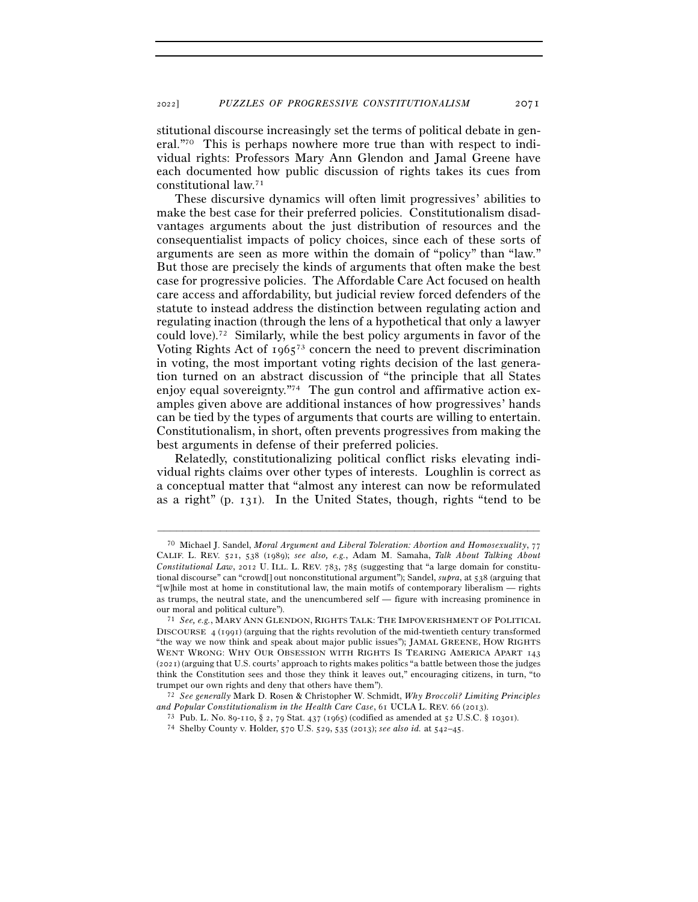stitutional discourse increasingly set the terms of political debate in general."70 This is perhaps nowhere more true than with respect to individual rights: Professors Mary Ann Glendon and Jamal Greene have each documented how public discussion of rights takes its cues from constitutional law.71

These discursive dynamics will often limit progressives' abilities to make the best case for their preferred policies. Constitutionalism disadvantages arguments about the just distribution of resources and the consequentialist impacts of policy choices, since each of these sorts of arguments are seen as more within the domain of "policy" than "law." But those are precisely the kinds of arguments that often make the best case for progressive policies. The Affordable Care Act focused on health care access and affordability, but judicial review forced defenders of the statute to instead address the distinction between regulating action and regulating inaction (through the lens of a hypothetical that only a lawyer could love).72 Similarly, while the best policy arguments in favor of the Voting Rights Act of  $1965^{73}$  concern the need to prevent discrimination in voting, the most important voting rights decision of the last generation turned on an abstract discussion of "the principle that all States enjoy equal sovereignty."<sup>74</sup> The gun control and affirmative action examples given above are additional instances of how progressives' hands can be tied by the types of arguments that courts are willing to entertain. Constitutionalism, in short, often prevents progressives from making the best arguments in defense of their preferred policies.

Relatedly, constitutionalizing political conflict risks elevating individual rights claims over other types of interests. Loughlin is correct as a conceptual matter that "almost any interest can now be reformulated as a right" (p. 131). In the United States, though, rights "tend to be

<sup>70</sup> Michael J. Sandel, *Moral Argument and Liberal Toleration: Abortion and Homosexuality*, 77 CALIF. L. REV. 521, 538 (1989); *see also, e.g.*, Adam M. Samaha, *Talk About Talking About Constitutional Law*, 2012 U. ILL. L. REV. 783, 785 (suggesting that "a large domain for constitutional discourse" can "crowd[] out nonconstitutional argument"); Sandel, *supra*, at 538 (arguing that "[w]hile most at home in constitutional law, the main motifs of contemporary liberalism — rights as trumps, the neutral state, and the unencumbered self — figure with increasing prominence in our moral and political culture"). 71 *See, e.g.*, MARY ANN GLENDON, RIGHTS TALK: THE IMPOVERISHMENT OF POLITICAL

DISCOURSE 4 (1991) (arguing that the rights revolution of the mid-twentieth century transformed "the way we now think and speak about major public issues"); JAMAL GREENE, HOW RIGHTS WENT WRONG: WHY OUR OBSESSION WITH RIGHTS IS TEARING AMERICA APART 143 (2021) (arguing that U.S. courts' approach to rights makes politics "a battle between those the judges think the Constitution sees and those they think it leaves out," encouraging citizens, in turn, "to trumpet our own rights and deny that others have them"). 72 *See generally* Mark D. Rosen & Christopher W. Schmidt, *Why Broccoli? Limiting Principles* 

 $\label{eq:1} \begin{array}{ll} \textit{and Popular Constitutionalism in the Health Care Case, 61 UCLA L. REV. 66 (2013).}\\ \textit{73 Pub. L. No. 89-110, $2$, 79 Stat. 437 (1965) (colified as amended at 52 U.S.C. $10301).}\\ \textit{74 Shelby County v. Holder, 570 U.S. 529, 535 (2013); see also id. at 542-45.} \end{array}$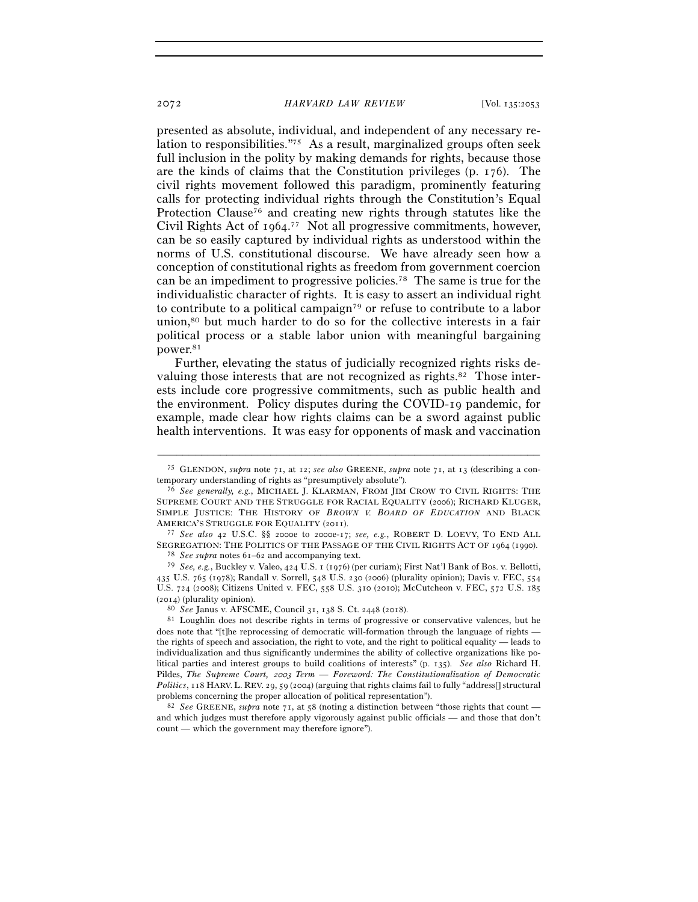presented as absolute, individual, and independent of any necessary relation to responsibilities."75 As a result, marginalized groups often seek full inclusion in the polity by making demands for rights, because those are the kinds of claims that the Constitution privileges (p. 176). The civil rights movement followed this paradigm, prominently featuring calls for protecting individual rights through the Constitution's Equal Protection Clause<sup>76</sup> and creating new rights through statutes like the Civil Rights Act of 1964. 77 Not all progressive commitments, however, can be so easily captured by individual rights as understood within the norms of U.S. constitutional discourse. We have already seen how a conception of constitutional rights as freedom from government coercion can be an impediment to progressive policies.78 The same is true for the individualistic character of rights. It is easy to assert an individual right to contribute to a political campaign79 or refuse to contribute to a labor union,80 but much harder to do so for the collective interests in a fair political process or a stable labor union with meaningful bargaining power.81

Further, elevating the status of judicially recognized rights risks devaluing those interests that are not recognized as rights.<sup>82</sup> Those interests include core progressive commitments, such as public health and the environment. Policy disputes during the COVID-19 pandemic, for example, made clear how rights claims can be a sword against public health interventions. It was easy for opponents of mask and vaccination

<sup>–––––––––––––––––––––––––––––––––––––––––––––––––––––––––––––</sup> <sup>75</sup> GLENDON, *supra* note 71, at 12; *see also* GREENE, *supra* note 71, at 13 (describing a contemporary understanding of rights as "presumptively absolute"). 76 *See generally, e.g.*, MICHAEL J. KLARMAN, FROM JIM CROW TO CIVIL RIGHTS: THE

SUPREME COURT AND THE STRUGGLE FOR RACIAL EQUALITY (2006); RICHARD KLUGER, SIMPLE JUSTICE: THE HISTORY OF *BROWN V. BOARD OF EDUCATION* AND BLACK AMERICA'S STRUGGLE FOR EQUALITY (<sup>2011</sup>). 77 *See also* <sup>42</sup> U.S.C. §§ 2000e to 2000e-17; *see, e.g.*, ROBERT D. LOEVY, TO END ALL

SEGREGATION: THE POLITICS OF THE PASSAGE OF THE CIVIL RIGHTS ACT OF <sup>1964</sup> (<sup>1990</sup>). 78 *See supra* notes 61–62 and accompanying text.

<sup>79</sup> *See, e.g.*, Buckley v. Valeo, 424 U.S. 1 (1976) (per curiam); First Nat'l Bank of Bos. v. Bellotti, 435 U.S. 765 (1978); Randall v. Sorrell, 548 U.S. 230 (2006) (plurality opinion); Davis v. FEC, 554 U.S. 724 (2008); Citizens United v. FEC, 558 U.S. 310 (2010); McCutcheon v. FEC, 572 U.S. 185 (<sup>2014</sup>) (plurality opinion). 80 *See* Janus v. AFSCME, Council 31, 138 S. Ct. 2448 (<sup>2018</sup>). 81 Loughlin does not describe rights in terms of progressive or conservative valences, but he

does note that "[t]he reprocessing of democratic will-formation through the language of rights the rights of speech and association, the right to vote, and the right to political equality — leads to individualization and thus significantly undermines the ability of collective organizations like political parties and interest groups to build coalitions of interests" (p. 135). *See also* Richard H. Pildes, *The Supreme Court,* 2003 *Term — Foreword: The Constitutionalization of Democratic Politics*, 118 HARV. L. REV. 29, 59 (2004) (arguing that rights claims fail to fully "address<sup>[]</sup> structural problems concerning the proper allocation of political representation").<br><sup>82</sup> *See* GREENE, *supra* note 71, at 58 (noting a distinction between "those rights that count —

and which judges must therefore apply vigorously against public officials — and those that don't count — which the government may therefore ignore").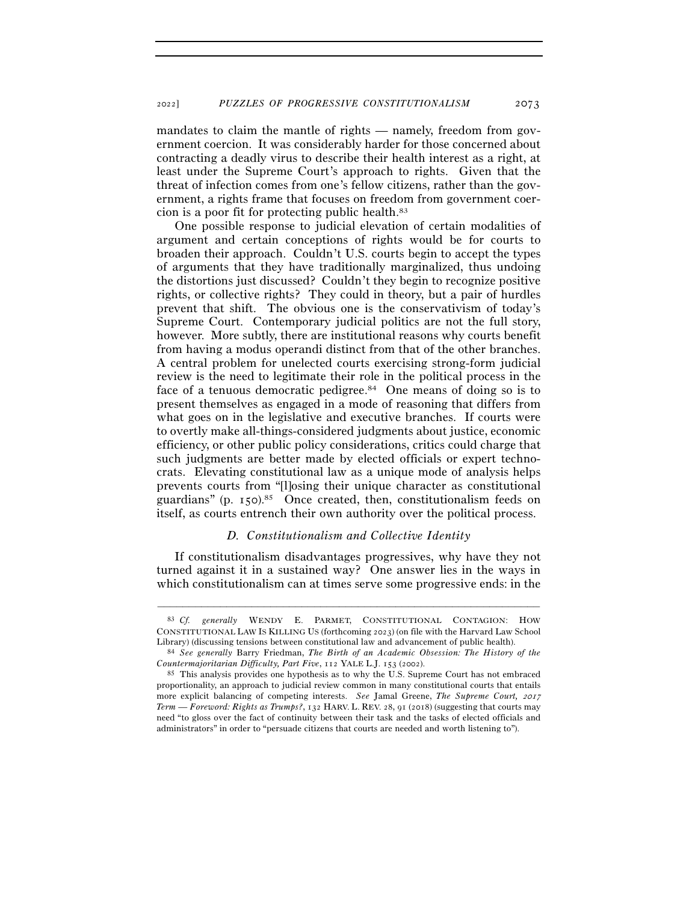mandates to claim the mantle of rights — namely, freedom from government coercion. It was considerably harder for those concerned about contracting a deadly virus to describe their health interest as a right, at least under the Supreme Court's approach to rights. Given that the threat of infection comes from one's fellow citizens, rather than the government, a rights frame that focuses on freedom from government coercion is a poor fit for protecting public health.83

One possible response to judicial elevation of certain modalities of argument and certain conceptions of rights would be for courts to broaden their approach. Couldn't U.S. courts begin to accept the types of arguments that they have traditionally marginalized, thus undoing the distortions just discussed? Couldn't they begin to recognize positive rights, or collective rights? They could in theory, but a pair of hurdles prevent that shift. The obvious one is the conservativism of today's Supreme Court. Contemporary judicial politics are not the full story, however. More subtly, there are institutional reasons why courts benefit from having a modus operandi distinct from that of the other branches. A central problem for unelected courts exercising strong-form judicial review is the need to legitimate their role in the political process in the face of a tenuous democratic pedigree.<sup>84</sup> One means of doing so is to present themselves as engaged in a mode of reasoning that differs from what goes on in the legislative and executive branches. If courts were to overtly make all-things-considered judgments about justice, economic efficiency, or other public policy considerations, critics could charge that such judgments are better made by elected officials or expert technocrats. Elevating constitutional law as a unique mode of analysis helps prevents courts from "[l]osing their unique character as constitutional guardians" (p. 150).<sup>85</sup> Once created, then, constitutionalism feeds on itself, as courts entrench their own authority over the political process.

#### *D. Constitutionalism and Collective Identity*

If constitutionalism disadvantages progressives, why have they not turned against it in a sustained way? One answer lies in the ways in which constitutionalism can at times serve some progressive ends: in the

<sup>83</sup> *Cf. generally* WENDY E. PARMET, CONSTITUTIONAL CONTAGION: HOW CONSTITUTIONAL LAW IS KILLING US (forthcoming 2023) (on file with the Harvard Law School

Library) (discussing tensions between constitutional law and advancement of public health). 84 *See generally* Barry Friedman, *The Birth of an Academic Obsession: The History of the Countermajoritarian Difficulty, Part Five*, 112 YALE L.J. 153 (<sup>2002</sup>). 85 This analysis provides one hypothesis as to why the U.S. Supreme Court has not embraced

proportionality, an approach to judicial review common in many constitutional courts that entails more explicit balancing of competing interests. *See* Jamal Greene, *The Supreme Court,* <sup>2017</sup> *Term — Foreword: Rights as Trumps?*, 132 HARV. L. REV. 28, 91 (2018) (suggesting that courts may need "to gloss over the fact of continuity between their task and the tasks of elected officials and administrators" in order to "persuade citizens that courts are needed and worth listening to").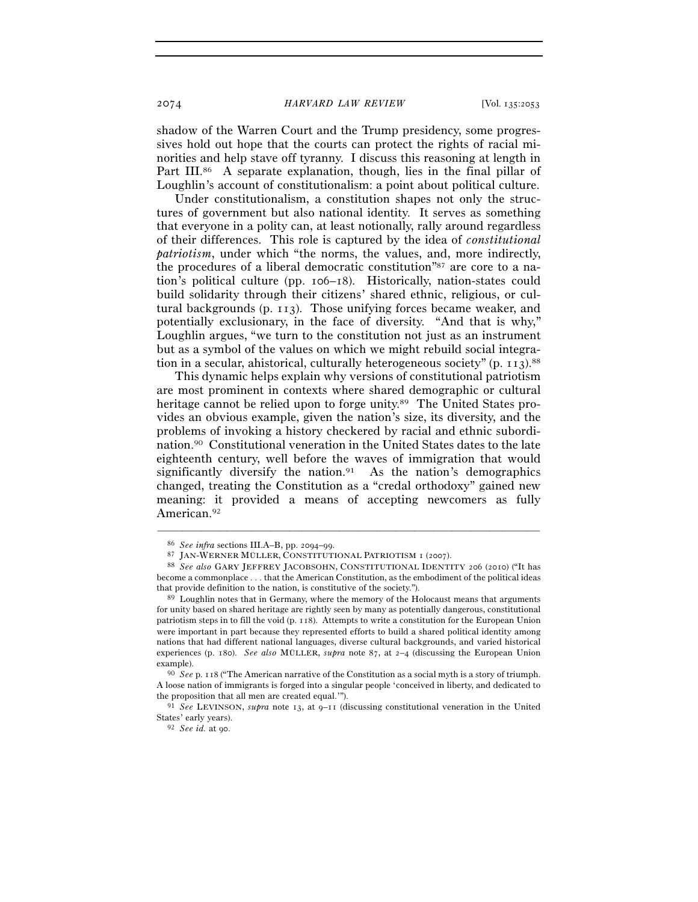shadow of the Warren Court and the Trump presidency, some progressives hold out hope that the courts can protect the rights of racial minorities and help stave off tyranny. I discuss this reasoning at length in Part III.<sup>86</sup> A separate explanation, though, lies in the final pillar of Loughlin's account of constitutionalism: a point about political culture.

Under constitutionalism, a constitution shapes not only the structures of government but also national identity. It serves as something that everyone in a polity can, at least notionally, rally around regardless of their differences. This role is captured by the idea of *constitutional patriotism*, under which "the norms, the values, and, more indirectly, the procedures of a liberal democratic constitution"87 are core to a nation's political culture (pp. 106–18). Historically, nation-states could build solidarity through their citizens' shared ethnic, religious, or cultural backgrounds (p. 113). Those unifying forces became weaker, and potentially exclusionary, in the face of diversity. "And that is why," Loughlin argues, "we turn to the constitution not just as an instrument but as a symbol of the values on which we might rebuild social integration in a secular, ahistorical, culturally heterogeneous society" (p. 113).<sup>88</sup>

This dynamic helps explain why versions of constitutional patriotism are most prominent in contexts where shared demographic or cultural heritage cannot be relied upon to forge unity.<sup>89</sup> The United States provides an obvious example, given the nation's size, its diversity, and the problems of invoking a history checkered by racial and ethnic subordination.90 Constitutional veneration in the United States dates to the late eighteenth century, well before the waves of immigration that would significantly diversify the nation.<sup>91</sup> As the nation's demographics changed, treating the Constitution as a "credal orthodoxy" gained new meaning: it provided a means of accepting newcomers as fully American.<sup>92</sup>

<sup>86</sup> *See infra* sections III.A–B, pp. 2094–<sup>99</sup>. 87 JAN-WERNER MÜLLER, CONSTITUTIONAL PATRIOTISM <sup>1</sup> (<sup>2007</sup>). 88 *See also* GARY JEFFREY JACOBSOHN, CONSTITUTIONAL IDENTITY <sup>206</sup> (2010) ("It has become a commonplace . . . that the American Constitution, as the embodiment of the political ideas that provide definition to the nation, is constitutive of the society."). 89 Loughlin notes that in Germany, where the memory of the Holocaust means that arguments

for unity based on shared heritage are rightly seen by many as potentially dangerous, constitutional patriotism steps in to fill the void (p. 118). Attempts to write a constitution for the European Union were important in part because they represented efforts to build a shared political identity among nations that had different national languages, diverse cultural backgrounds, and varied historical experiences (p. 180). *See also* MÜLLER, *supra* note 87, at 2–4 (discussing the European Union example). 90 *See* p. 118 ("The American narrative of the Constitution as a social myth is a story of triumph.

A loose nation of immigrants is forged into a singular people 'conceived in liberty, and dedicated to the proposition that all men are created equal.'"). 91 *See* LEVINSON, *supra* note 13, at 9–11 (discussing constitutional veneration in the United

States' early years). 92 *See id.* at 90.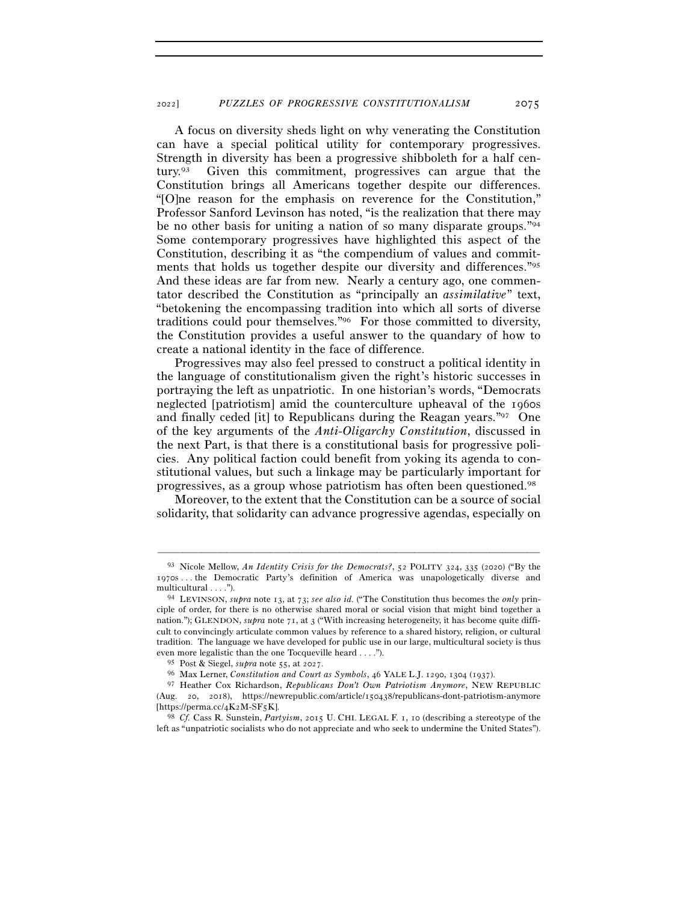A focus on diversity sheds light on why venerating the Constitution can have a special political utility for contemporary progressives. Strength in diversity has been a progressive shibboleth for a half century.93 Given this commitment, progressives can argue that the Constitution brings all Americans together despite our differences. "[O]ne reason for the emphasis on reverence for the Constitution," Professor Sanford Levinson has noted, "is the realization that there may be no other basis for uniting a nation of so many disparate groups."94 Some contemporary progressives have highlighted this aspect of the Constitution, describing it as "the compendium of values and commitments that holds us together despite our diversity and differences."95 And these ideas are far from new. Nearly a century ago, one commentator described the Constitution as "principally an *assimilative*" text, "betokening the encompassing tradition into which all sorts of diverse traditions could pour themselves."96 For those committed to diversity, the Constitution provides a useful answer to the quandary of how to create a national identity in the face of difference.

Progressives may also feel pressed to construct a political identity in the language of constitutionalism given the right's historic successes in portraying the left as unpatriotic. In one historian's words, "Democrats neglected [patriotism] amid the counterculture upheaval of the 1960s and finally ceded [it] to Republicans during the Reagan years."97 One of the key arguments of the *Anti-Oligarchy Constitution*, discussed in the next Part, is that there is a constitutional basis for progressive policies. Any political faction could benefit from yoking its agenda to constitutional values, but such a linkage may be particularly important for progressives, as a group whose patriotism has often been questioned.98

Moreover, to the extent that the Constitution can be a source of social solidarity, that solidarity can advance progressive agendas, especially on

<sup>93</sup> Nicole Mellow, *An Identity Crisis for the Democrats?*, 52 POLITY 324, 335 (2020) ("By the 1970s . . . the Democratic Party's definition of America was unapologetically diverse and multicultural . . . ."). 94 LEVINSON, *supra* note 13, at 73; *see also id.* ("The Constitution thus becomes the *only* prin-

ciple of order, for there is no otherwise shared moral or social vision that might bind together a nation."); GLENDON, *supra* note 71, at 3 ("With increasing heterogeneity, it has become quite difficult to convincingly articulate common values by reference to a shared history, religion, or cultural tradition. The language we have developed for public use in our large, multicultural society is thus even more legalistic than the one Tocqueville heard . . . .").

<sup>95</sup> Post & Siegel, *supra* note 55, at <sup>2027</sup>. 96 Max Lerner, *Constitution and Court as Symbols*, <sup>46</sup> YALE L.J. <sup>1290</sup>, 1304 (1937).

<sup>97</sup> Heather Cox Richardson, *Republicans Don't Own Patriotism Anymore*, NEW REPUBLIC (Aug. 20, 2018), https://newrepublic.com/article/150438/republicans-dont-patriotism-anymore [https://perma.cc/4K2M-SF<sup>5</sup>K]. 98 *Cf.* Cass R. Sunstein, *Partyism*, 2015 U. CHI. LEGAL F. 1, 10 (describing a stereotype of the

left as "unpatriotic socialists who do not appreciate and who seek to undermine the United States").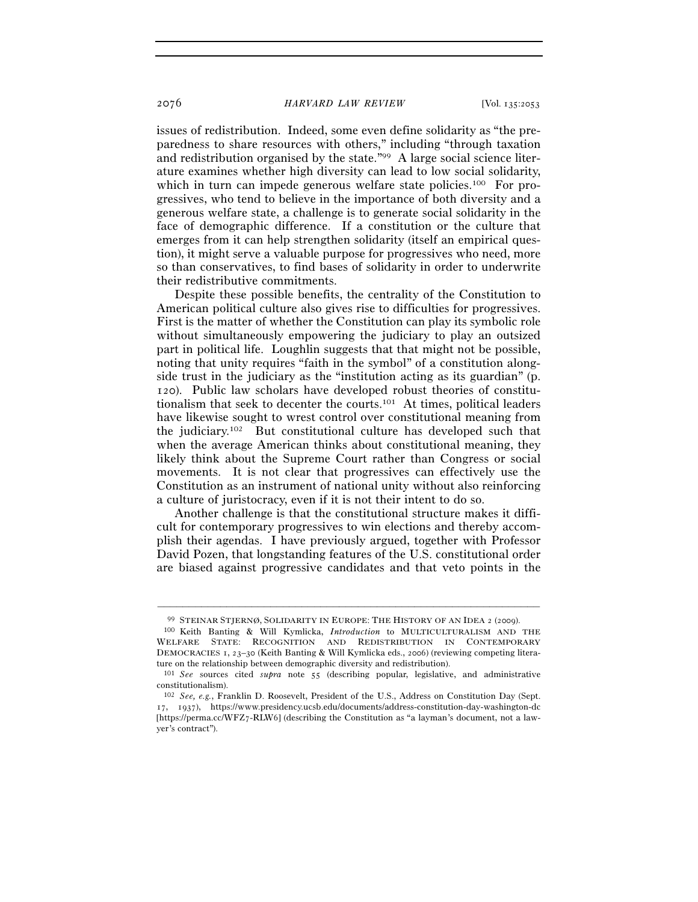issues of redistribution. Indeed, some even define solidarity as "the preparedness to share resources with others," including "through taxation and redistribution organised by the state."99 A large social science literature examines whether high diversity can lead to low social solidarity, which in turn can impede generous welfare state policies.<sup>100</sup> For progressives, who tend to believe in the importance of both diversity and a generous welfare state, a challenge is to generate social solidarity in the face of demographic difference. If a constitution or the culture that emerges from it can help strengthen solidarity (itself an empirical question), it might serve a valuable purpose for progressives who need, more so than conservatives, to find bases of solidarity in order to underwrite their redistributive commitments.

Despite these possible benefits, the centrality of the Constitution to American political culture also gives rise to difficulties for progressives. First is the matter of whether the Constitution can play its symbolic role without simultaneously empowering the judiciary to play an outsized part in political life. Loughlin suggests that that might not be possible, noting that unity requires "faith in the symbol" of a constitution alongside trust in the judiciary as the "institution acting as its guardian" (p. 120). Public law scholars have developed robust theories of constitutionalism that seek to decenter the courts.101 At times, political leaders have likewise sought to wrest control over constitutional meaning from the judiciary.102 But constitutional culture has developed such that when the average American thinks about constitutional meaning, they likely think about the Supreme Court rather than Congress or social movements. It is not clear that progressives can effectively use the Constitution as an instrument of national unity without also reinforcing a culture of juristocracy, even if it is not their intent to do so.

Another challenge is that the constitutional structure makes it difficult for contemporary progressives to win elections and thereby accomplish their agendas. I have previously argued, together with Professor David Pozen, that longstanding features of the U.S. constitutional order are biased against progressive candidates and that veto points in the

<sup>–––––––––––––––––––––––––––––––––––––––––––––––––––––––––––––</sup> <sup>99</sup> STEINAR STJERNØ, SOLIDARITY IN EUROPE: THE HISTORY OF AN IDEA <sup>2</sup> (<sup>2009</sup>). 100 Keith Banting & Will Kymlicka, *Introduction* to MULTICULTURALISM AND THE

WELFARE STATE: RECOGNITION AND REDISTRIBUTION IN CONTEMPORARY DEMOCRACIES 1, 23–30 (Keith Banting & Will Kymlicka eds., 2006) (reviewing competing literature on the relationship between demographic diversity and redistribution).

<sup>101</sup> *See* sources cited *supra* note 55 (describing popular, legislative, and administrative constitutionalism).

<sup>102</sup> *See, e.g.*, Franklin D. Roosevelt, President of the U.S., Address on Constitution Day (Sept. 17, 1937), https://www.presidency.ucsb.edu/documents/address-constitution-day-washington-dc [https://perma.cc/WFZ7-RLW6] (describing the Constitution as "a layman's document, not a lawyer's contract").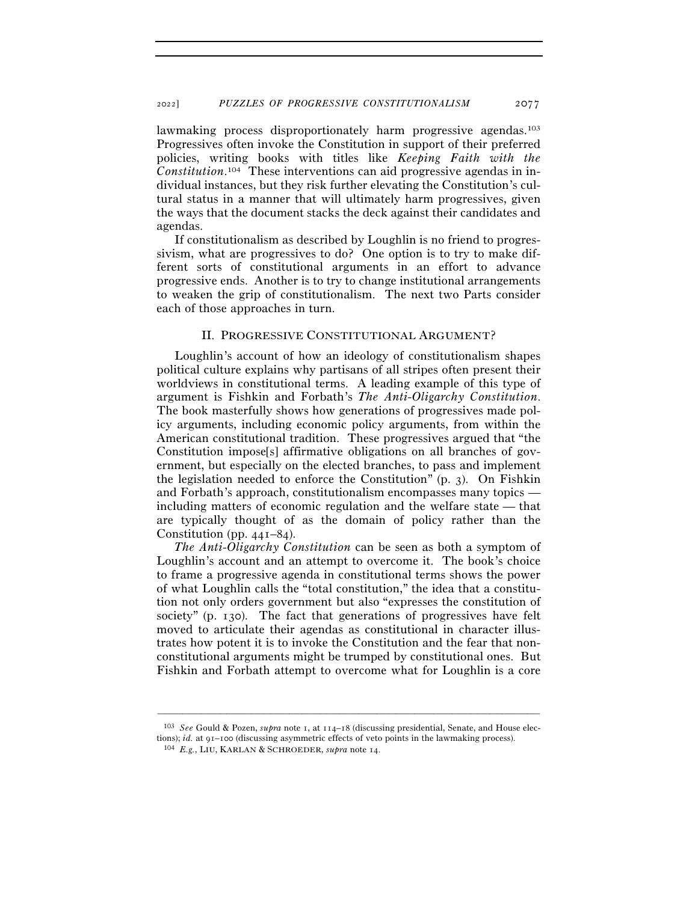lawmaking process disproportionately harm progressive agendas.<sup>103</sup> Progressives often invoke the Constitution in support of their preferred policies, writing books with titles like *Keeping Faith with the Constitution*. 104 These interventions can aid progressive agendas in individual instances, but they risk further elevating the Constitution's cultural status in a manner that will ultimately harm progressives, given the ways that the document stacks the deck against their candidates and agendas.

If constitutionalism as described by Loughlin is no friend to progressivism, what are progressives to do? One option is to try to make different sorts of constitutional arguments in an effort to advance progressive ends. Another is to try to change institutional arrangements to weaken the grip of constitutionalism. The next two Parts consider each of those approaches in turn.

### II. PROGRESSIVE CONSTITUTIONAL ARGUMENT?

Loughlin's account of how an ideology of constitutionalism shapes political culture explains why partisans of all stripes often present their worldviews in constitutional terms. A leading example of this type of argument is Fishkin and Forbath's *The Anti-Oligarchy Constitution*. The book masterfully shows how generations of progressives made policy arguments, including economic policy arguments, from within the American constitutional tradition. These progressives argued that "the Constitution impose[s] affirmative obligations on all branches of government, but especially on the elected branches, to pass and implement the legislation needed to enforce the Constitution" (p. 3). On Fishkin and Forbath's approach, constitutionalism encompasses many topics including matters of economic regulation and the welfare state — that are typically thought of as the domain of policy rather than the Constitution (pp. 441–84).

*The Anti-Oligarchy Constitution* can be seen as both a symptom of Loughlin's account and an attempt to overcome it. The book's choice to frame a progressive agenda in constitutional terms shows the power of what Loughlin calls the "total constitution," the idea that a constitution not only orders government but also "expresses the constitution of society" (p. 130). The fact that generations of progressives have felt moved to articulate their agendas as constitutional in character illustrates how potent it is to invoke the Constitution and the fear that nonconstitutional arguments might be trumped by constitutional ones. But Fishkin and Forbath attempt to overcome what for Loughlin is a core

<sup>103</sup> *See* Gould & Pozen, *supra* note 1, at 114–18 (discussing presidential, Senate, and House elections); *id.* at 91–<sup>100</sup> (discussing asymmetric effects of veto points in the lawmaking process). 104 *E.g.*, LIU, KARLAN & SCHROEDER, *supra* note 14.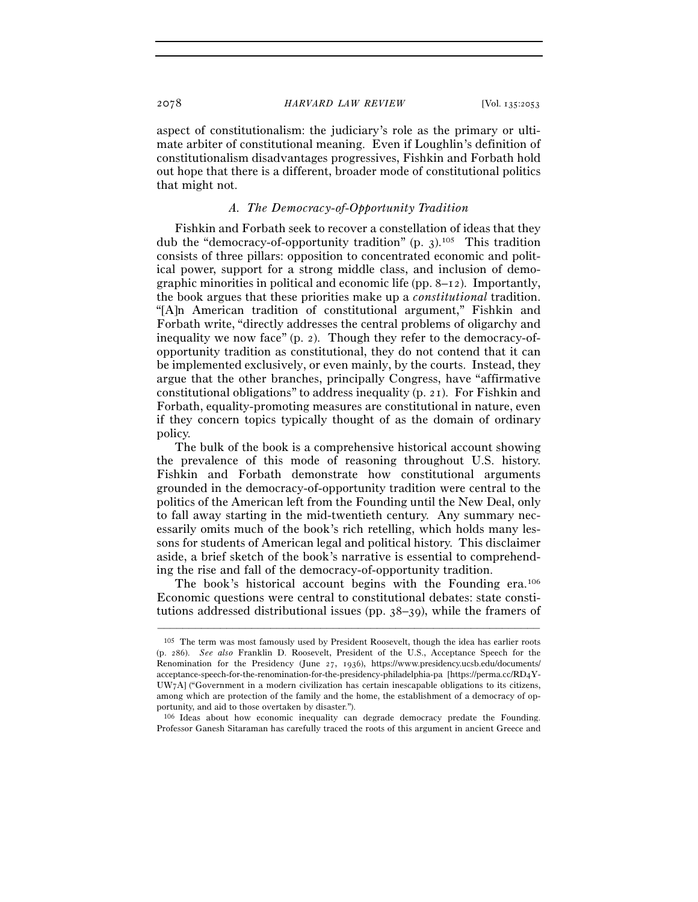aspect of constitutionalism: the judiciary's role as the primary or ultimate arbiter of constitutional meaning. Even if Loughlin's definition of constitutionalism disadvantages progressives, Fishkin and Forbath hold out hope that there is a different, broader mode of constitutional politics that might not.

# *A. The Democracy-of-Opportunity Tradition*

Fishkin and Forbath seek to recover a constellation of ideas that they dub the "democracy-of-opportunity tradition" (p. 3).105 This tradition consists of three pillars: opposition to concentrated economic and political power, support for a strong middle class, and inclusion of demographic minorities in political and economic life (pp. 8–12). Importantly, the book argues that these priorities make up a *constitutional* tradition. "[A]n American tradition of constitutional argument," Fishkin and Forbath write, "directly addresses the central problems of oligarchy and inequality we now face" (p. 2). Though they refer to the democracy-ofopportunity tradition as constitutional, they do not contend that it can be implemented exclusively, or even mainly, by the courts. Instead, they argue that the other branches, principally Congress, have "affirmative constitutional obligations" to address inequality (p. 21). For Fishkin and Forbath, equality-promoting measures are constitutional in nature, even if they concern topics typically thought of as the domain of ordinary policy.

The bulk of the book is a comprehensive historical account showing the prevalence of this mode of reasoning throughout U.S. history. Fishkin and Forbath demonstrate how constitutional arguments grounded in the democracy-of-opportunity tradition were central to the politics of the American left from the Founding until the New Deal, only to fall away starting in the mid-twentieth century. Any summary necessarily omits much of the book's rich retelling, which holds many lessons for students of American legal and political history. This disclaimer aside, a brief sketch of the book's narrative is essential to comprehending the rise and fall of the democracy-of-opportunity tradition.

The book's historical account begins with the Founding era.<sup>106</sup> Economic questions were central to constitutional debates: state constitutions addressed distributional issues (pp. 38–39), while the framers of

–––––––––––––––––––––––––––––––––––––––––––––––––––––––––––––

106 Ideas about how economic inequality can degrade democracy predate the Founding. Professor Ganesh Sitaraman has carefully traced the roots of this argument in ancient Greece and

<sup>105</sup> The term was most famously used by President Roosevelt, though the idea has earlier roots (p. 286). *See also* Franklin D. Roosevelt, President of the U.S., Acceptance Speech for the Renomination for the Presidency (June 27, 1936), https://www.presidency.ucsb.edu/documents/ acceptance-speech-for-the-renomination-for-the-presidency-philadelphia-pa [https://perma.cc/RD4Y-UW7A] ("Government in a modern civilization has certain inescapable obligations to its citizens, among which are protection of the family and the home, the establishment of a democracy of opportunity, and aid to those overtaken by disaster.").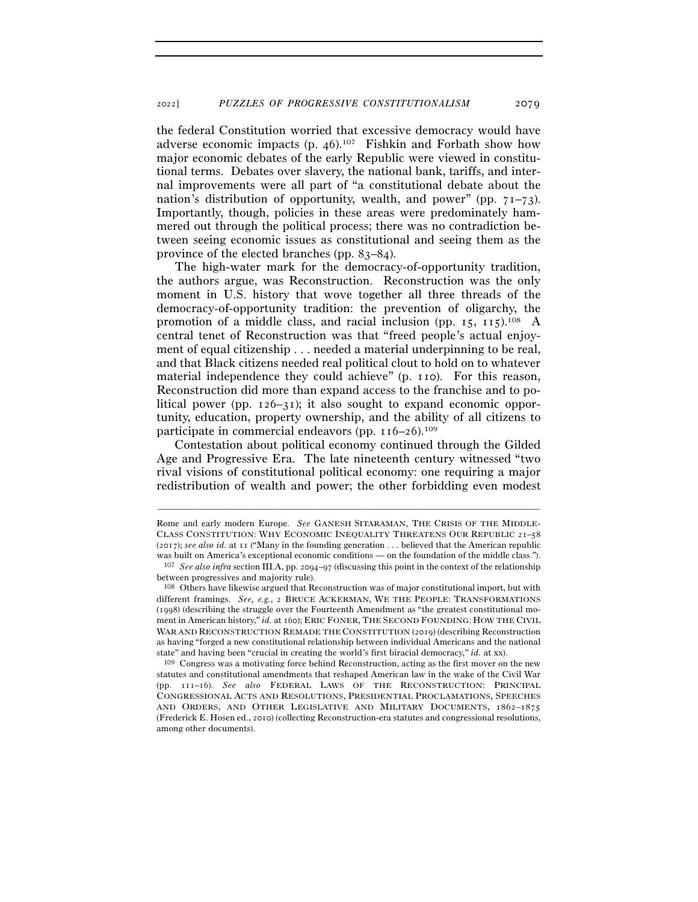the federal Constitution worried that excessive democracy would have adverse economic impacts (p.  $46$ ).<sup>107</sup> Fishkin and Forbath show how major economic debates of the early Republic were viewed in constitutional terms. Debates over slavery, the national bank, tariffs, and internal improvements were all part of "a constitutional debate about the nation's distribution of opportunity, wealth, and power" (pp.  $71-73$ ). Importantly, though, policies in these areas were predominately hammered out through the political process; there was no contradiction between seeing economic issues as constitutional and seeing them as the province of the elected branches (pp. 83–84).

The high-water mark for the democracy-of-opportunity tradition, the authors argue, was Reconstruction. Reconstruction was the only moment in U.S. history that wove together all three threads of the democracy-of-opportunity tradition: the prevention of oligarchy, the promotion of a middle class, and racial inclusion (pp.  $15$ ,  $115$ ).<sup>108</sup> A central tenet of Reconstruction was that "freed people's actual enjoyment of equal citizenship . . . needed a material underpinning to be real, and that Black citizens needed real political clout to hold on to whatever material independence they could achieve" (p. 110). For this reason, Reconstruction did more than expand access to the franchise and to political power (pp. 126–31); it also sought to expand economic opportunity, education, property ownership, and the ability of all citizens to participate in commercial endeavors (pp. 116–26).109

Contestation about political economy continued through the Gilded Age and Progressive Era. The late nineteenth century witnessed "two rival visions of constitutional political economy: one requiring a major redistribution of wealth and power; the other forbidding even modest

–––––––––––––––––––––––––––––––––––––––––––––––––––––––––––––

statutes and constitutional amendments that reshaped American law in the wake of the Civil War (pp. 111–16). *See also* FEDERAL LAWS OF THE RECONSTRUCTION: PRINCIPAL CONGRESSIONAL ACTS AND RESOLUTIONS, PRESIDENTIAL PROCLAMATIONS, SPEECHES AND ORDERS, AND OTHER LEGISLATIVE AND MILITARY DOCUMENTS, 1862-1875 (Frederick E. Hosen ed., 2010) (collecting Reconstruction-era statutes and congressional resolutions, among other documents).

Rome and early modern Europe. *See* GANESH SITARAMAN, THE CRISIS OF THE MIDDLE-CLASS CONSTITUTION: WHY ECONOMIC INEQUALITY THREATENS OUR REPUBLIC 21–58 (2017); *see also id.* at 11 ("Many in the founding generation . . . believed that the American republic was built on America's exceptional economic conditions — on the foundation of the middle class."). <sup>107</sup> *See also infra* section III.A, pp. 2094–97 (discussing this point in the context of the relationship

between progressives and majority rule).

<sup>108</sup> Others have likewise argued that Reconstruction was of major constitutional import, but with different framings. *See, e.g.*, 2 BRUCE ACKERMAN, WE THE PEOPLE: TRANSFORMATIONS (1998) (describing the struggle over the Fourteenth Amendment as "the greatest constitutional moment in American history," *id.* at 160); ERIC FONER, THE SECOND FOUNDING: HOW THE CIVIL WAR AND RECONSTRUCTION REMADE THE CONSTITUTION (2019) (describing Reconstruction as having "forged a new constitutional relationship between individual Americans and the national state" and having been "crucial in creating the world's first biracial democracy," *id.* at xx). 109 Congress was a motivating force behind Reconstruction, acting as the first mover on the new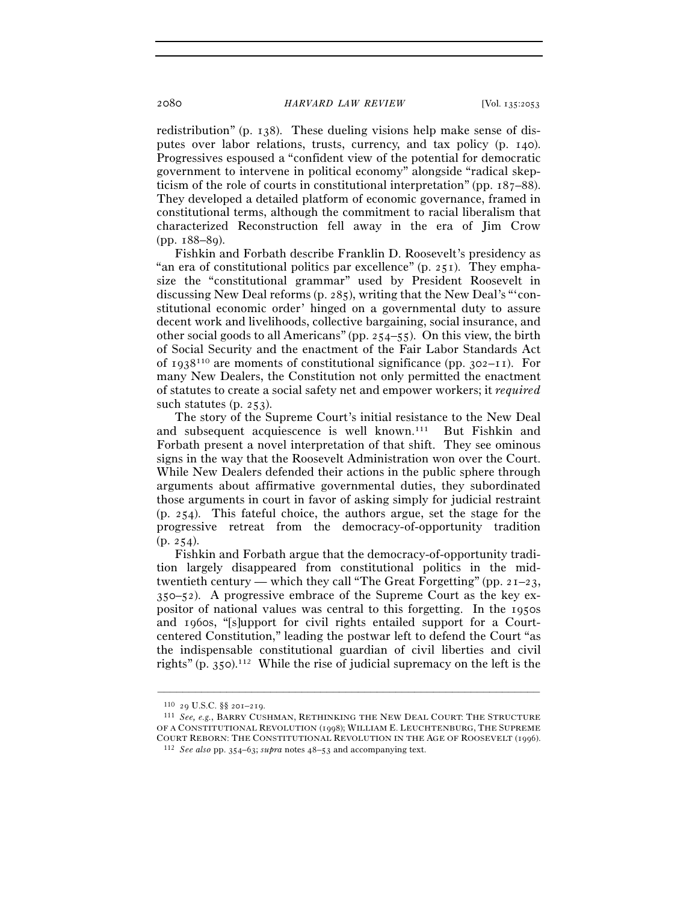redistribution" (p. 138). These dueling visions help make sense of disputes over labor relations, trusts, currency, and tax policy (p. 140). Progressives espoused a "confident view of the potential for democratic government to intervene in political economy" alongside "radical skepticism of the role of courts in constitutional interpretation" (pp. 187–88). They developed a detailed platform of economic governance, framed in constitutional terms, although the commitment to racial liberalism that characterized Reconstruction fell away in the era of Jim Crow (pp. 188–89).

Fishkin and Forbath describe Franklin D. Roosevelt's presidency as "an era of constitutional politics par excellence"  $(p. 251)$ . They emphasize the "constitutional grammar" used by President Roosevelt in discussing New Deal reforms (p. 285), writing that the New Deal's "'constitutional economic order' hinged on a governmental duty to assure decent work and livelihoods, collective bargaining, social insurance, and other social goods to all Americans" (pp. 254–55). On this view, the birth of Social Security and the enactment of the Fair Labor Standards Act of 1938<sup>110</sup> are moments of constitutional significance (pp. 302–11). For many New Dealers, the Constitution not only permitted the enactment of statutes to create a social safety net and empower workers; it *required* such statutes (p. 253).

The story of the Supreme Court's initial resistance to the New Deal and subsequent acquiescence is well known.111 But Fishkin and Forbath present a novel interpretation of that shift. They see ominous signs in the way that the Roosevelt Administration won over the Court. While New Dealers defended their actions in the public sphere through arguments about affirmative governmental duties, they subordinated those arguments in court in favor of asking simply for judicial restraint (p. 254). This fateful choice, the authors argue, set the stage for the progressive retreat from the democracy-of-opportunity tradition  $(p. 254)$ .

Fishkin and Forbath argue that the democracy-of-opportunity tradition largely disappeared from constitutional politics in the midtwentieth century — which they call "The Great Forgetting" (pp.  $2I-23$ , 350–52). A progressive embrace of the Supreme Court as the key expositor of national values was central to this forgetting. In the 1950s and 1960s, "[s]upport for civil rights entailed support for a Courtcentered Constitution," leading the postwar left to defend the Court "as the indispensable constitutional guardian of civil liberties and civil rights" (p. 350).112 While the rise of judicial supremacy on the left is the

<sup>&</sup>lt;sup>110</sup> 29 U.S.C. §§ 201–219.<br><sup>111</sup> *See, e.g.*, BARRY CUSHMAN, RETHINKING THE NEW DEAL COURT: THE STRUCTURE OF A CONSTITUTIONAL REVOLUTION (1998); WILLIAM E. LEUCHTENBURG, THE SUPREME COURT REBORN: THE CONSTITUTIONAL REVOLUTION IN THE AGE OF ROOSEVELT (<sup>1996</sup>). 112 *See also* pp. 354–63; *supra* notes 48–53 and accompanying text.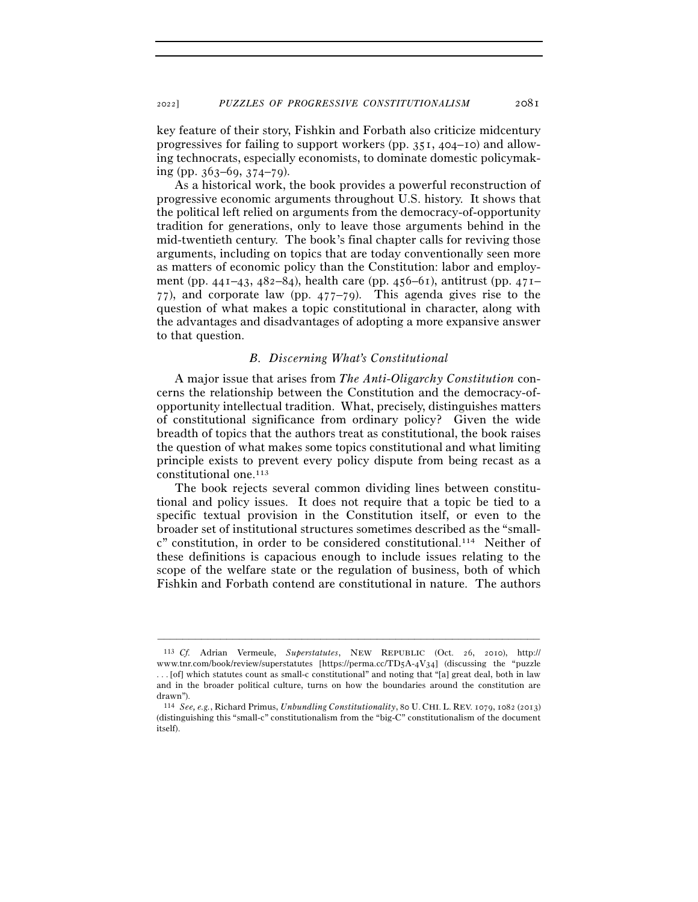key feature of their story, Fishkin and Forbath also criticize midcentury progressives for failing to support workers (pp. 351, 404–10) and allowing technocrats, especially economists, to dominate domestic policymaking (pp.  $363-69$ ,  $374-79$ ).

As a historical work, the book provides a powerful reconstruction of progressive economic arguments throughout U.S. history. It shows that the political left relied on arguments from the democracy-of-opportunity tradition for generations, only to leave those arguments behind in the mid-twentieth century. The book's final chapter calls for reviving those arguments, including on topics that are today conventionally seen more as matters of economic policy than the Constitution: labor and employment (pp. 441–43, 482–84), health care (pp. 456–61), antitrust (pp. 471– 77), and corporate law (pp. 477–79). This agenda gives rise to the question of what makes a topic constitutional in character, along with the advantages and disadvantages of adopting a more expansive answer to that question.

# *B. Discerning What's Constitutional*

A major issue that arises from *The Anti-Oligarchy Constitution* concerns the relationship between the Constitution and the democracy-ofopportunity intellectual tradition. What, precisely, distinguishes matters of constitutional significance from ordinary policy? Given the wide breadth of topics that the authors treat as constitutional, the book raises the question of what makes some topics constitutional and what limiting principle exists to prevent every policy dispute from being recast as a constitutional one.113

The book rejects several common dividing lines between constitutional and policy issues. It does not require that a topic be tied to a specific textual provision in the Constitution itself, or even to the broader set of institutional structures sometimes described as the "smallc" constitution, in order to be considered constitutional.114 Neither of these definitions is capacious enough to include issues relating to the scope of the welfare state or the regulation of business, both of which Fishkin and Forbath contend are constitutional in nature. The authors

<sup>113</sup> *Cf.* Adrian Vermeule, *Superstatutes*, NEW REPUBLIC (Oct. 26, 2010), http:// www.tnr.com/book/review/superstatutes [https://perma.cc/TD5A-4V34] (discussing the "puzzle . . . [of] which statutes count as small-c constitutional" and noting that "[a] great deal, both in law and in the broader political culture, turns on how the boundaries around the constitution are drawn").

<sup>114</sup> *See, e.g.*, Richard Primus, *Unbundling Constitutionality*, 80 U. CHI. L. REV. 1079, 1082 (2013) (distinguishing this "small-c" constitutionalism from the "big-C" constitutionalism of the document itself).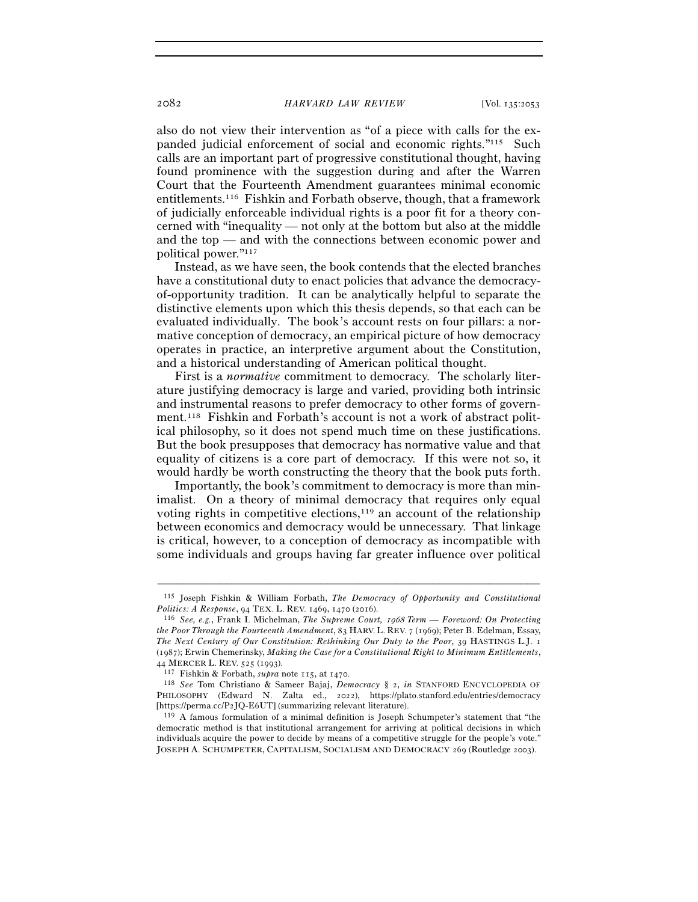also do not view their intervention as "of a piece with calls for the expanded judicial enforcement of social and economic rights."115 Such calls are an important part of progressive constitutional thought, having found prominence with the suggestion during and after the Warren Court that the Fourteenth Amendment guarantees minimal economic entitlements.116 Fishkin and Forbath observe, though, that a framework of judicially enforceable individual rights is a poor fit for a theory concerned with "inequality — not only at the bottom but also at the middle and the top — and with the connections between economic power and political power."117

Instead, as we have seen, the book contends that the elected branches have a constitutional duty to enact policies that advance the democracyof-opportunity tradition. It can be analytically helpful to separate the distinctive elements upon which this thesis depends, so that each can be evaluated individually. The book's account rests on four pillars: a normative conception of democracy, an empirical picture of how democracy operates in practice, an interpretive argument about the Constitution, and a historical understanding of American political thought.

First is a *normative* commitment to democracy. The scholarly literature justifying democracy is large and varied, providing both intrinsic and instrumental reasons to prefer democracy to other forms of government.118 Fishkin and Forbath's account is not a work of abstract political philosophy, so it does not spend much time on these justifications. But the book presupposes that democracy has normative value and that equality of citizens is a core part of democracy. If this were not so, it would hardly be worth constructing the theory that the book puts forth.

Importantly, the book's commitment to democracy is more than minimalist. On a theory of minimal democracy that requires only equal voting rights in competitive elections, $119$  an account of the relationship between economics and democracy would be unnecessary. That linkage is critical, however, to a conception of democracy as incompatible with some individuals and groups having far greater influence over political

<sup>–––––––––––––––––––––––––––––––––––––––––––––––––––––––––––––</sup> 115 Joseph Fishkin & William Forbath, *The Democracy of Opportunity and Constitutional* 

*Politics: A Response*, 94 TEX. L. REV. 1469, 1470 (<sup>2016</sup>). 116 *See, e.g.*, Frank I. Michelman, *The Supreme Court,* 1968 *Term — Foreword: On Protecting the Poor Through the Fourteenth Amendment*, 83 HARV. L. REV. 7 (1969); Peter B. Edelman, Essay, *The Next Century of Our Constitution: Rethinking Our Duty to the Poor*, 39 HASTINGS L.J. 1 (1987); Erwin Chemerinsky, *Making the Case for a Constitutional Right to Minimum Entitlements*, <sup>44</sup> MERCER L. REV. 525 (<sup>1993</sup>). 117 Fishkin & Forbath, *supra* note 115, at <sup>1470</sup>. 118 *See* Tom Christiano & Sameer Bajaj, *Democracy* § 2, *in* STANFORD ENCYCLOPEDIA OF

PHILOSOPHY (Edward N. Zalta ed., 2022), https://plato.stanford.edu/entries/democracy [https://perma.cc/P2JQ-E<sup>6</sup>UT] (summarizing relevant literature). 119 A famous formulation of a minimal definition is Joseph Schumpeter's statement that "the

democratic method is that institutional arrangement for arriving at political decisions in which individuals acquire the power to decide by means of a competitive struggle for the people's vote." JOSEPH A. SCHUMPETER, CAPITALISM, SOCIALISM AND DEMOCRACY 269 (Routledge 2003).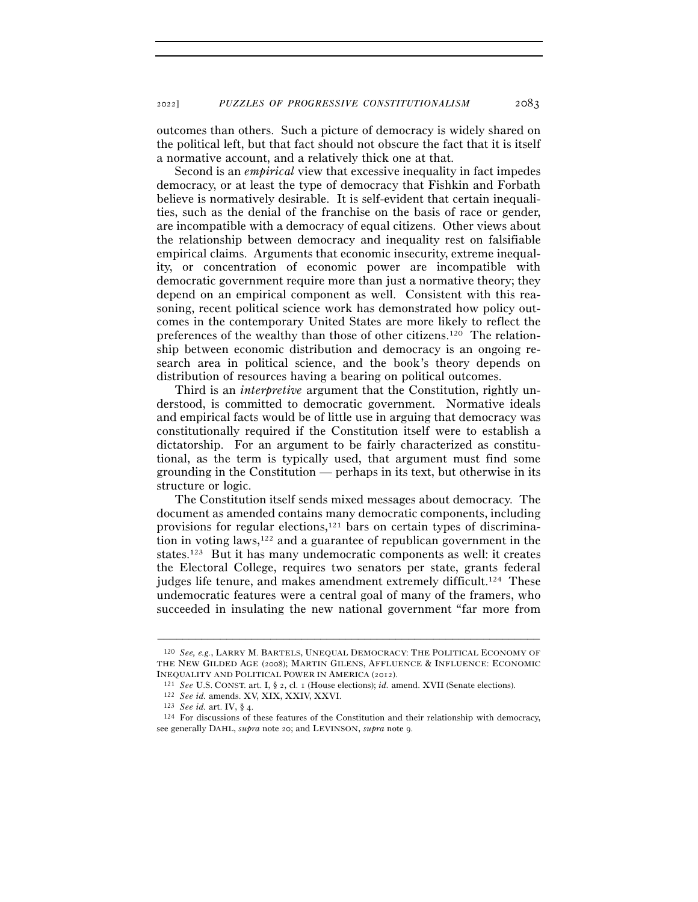outcomes than others. Such a picture of democracy is widely shared on the political left, but that fact should not obscure the fact that it is itself a normative account, and a relatively thick one at that.

Second is an *empirical* view that excessive inequality in fact impedes democracy, or at least the type of democracy that Fishkin and Forbath believe is normatively desirable. It is self-evident that certain inequalities, such as the denial of the franchise on the basis of race or gender, are incompatible with a democracy of equal citizens. Other views about the relationship between democracy and inequality rest on falsifiable empirical claims. Arguments that economic insecurity, extreme inequality, or concentration of economic power are incompatible with democratic government require more than just a normative theory; they depend on an empirical component as well. Consistent with this reasoning, recent political science work has demonstrated how policy outcomes in the contemporary United States are more likely to reflect the preferences of the wealthy than those of other citizens.120 The relationship between economic distribution and democracy is an ongoing research area in political science, and the book's theory depends on distribution of resources having a bearing on political outcomes.

Third is an *interpretive* argument that the Constitution, rightly understood, is committed to democratic government. Normative ideals and empirical facts would be of little use in arguing that democracy was constitutionally required if the Constitution itself were to establish a dictatorship. For an argument to be fairly characterized as constitutional, as the term is typically used, that argument must find some grounding in the Constitution — perhaps in its text, but otherwise in its structure or logic.

The Constitution itself sends mixed messages about democracy. The document as amended contains many democratic components, including provisions for regular elections,121 bars on certain types of discrimination in voting  $laws,122}$  and a guarantee of republican government in the states.123 But it has many undemocratic components as well: it creates the Electoral College, requires two senators per state, grants federal judges life tenure, and makes amendment extremely difficult.<sup>124</sup> These undemocratic features were a central goal of many of the framers, who succeeded in insulating the new national government "far more from

<sup>120</sup> *See, e.g.*, LARRY M. BARTELS, UNEQUAL DEMOCRACY: THE POLITICAL ECONOMY OF THE NEW GILDED AGE (2008); MARTIN GILENS, AFFLUENCE & INFLUENCE: ECONOMIC INEQUALITY AND POLITICAL POWER IN AMERICA (2012).<br>
<sup>121</sup> *See U.S. CONST. art. I,* § 2, cl. 1 (House elections); *id.* amend. XVII (Senate elections).<br>
<sup>122</sup> *See id.* amends. XV, XIX, XXIV, XXVI.<br>
<sup>123</sup> *See id.* art. IV

see generally DAHL, *supra* note 20; and LEVINSON, *supra* note 9.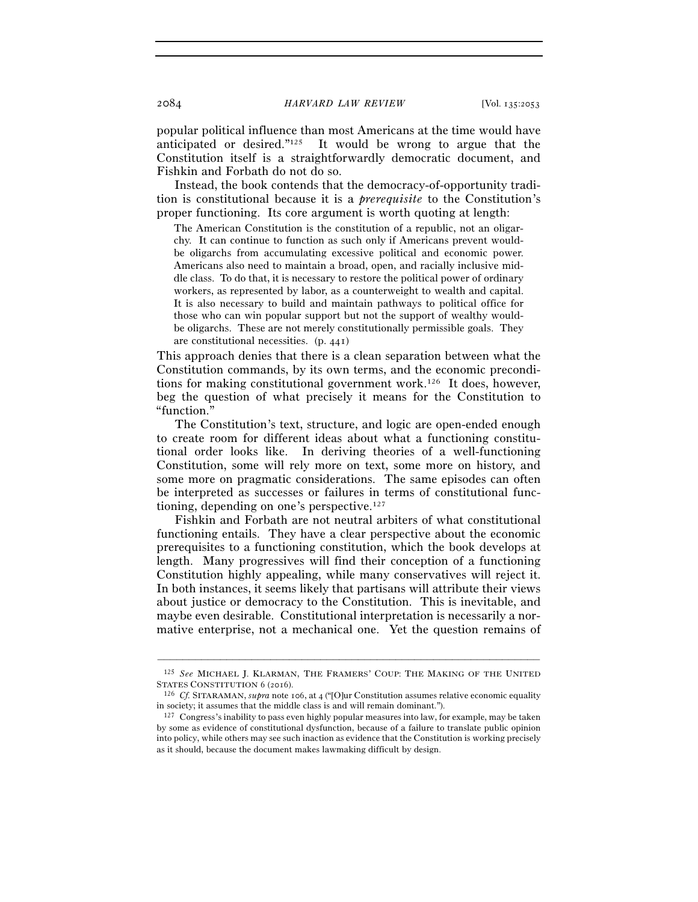popular political influence than most Americans at the time would have anticipated or desired."125 It would be wrong to argue that the Constitution itself is a straightforwardly democratic document, and Fishkin and Forbath do not do so.

Instead, the book contends that the democracy-of-opportunity tradition is constitutional because it is a *prerequisite* to the Constitution's proper functioning. Its core argument is worth quoting at length:

The American Constitution is the constitution of a republic, not an oligarchy. It can continue to function as such only if Americans prevent wouldbe oligarchs from accumulating excessive political and economic power. Americans also need to maintain a broad, open, and racially inclusive middle class. To do that, it is necessary to restore the political power of ordinary workers, as represented by labor, as a counterweight to wealth and capital. It is also necessary to build and maintain pathways to political office for those who can win popular support but not the support of wealthy wouldbe oligarchs. These are not merely constitutionally permissible goals. They are constitutional necessities. (p. 441)

This approach denies that there is a clean separation between what the Constitution commands, by its own terms, and the economic preconditions for making constitutional government work.126 It does, however, beg the question of what precisely it means for the Constitution to "function."

The Constitution's text, structure, and logic are open-ended enough to create room for different ideas about what a functioning constitutional order looks like. In deriving theories of a well-functioning Constitution, some will rely more on text, some more on history, and some more on pragmatic considerations. The same episodes can often be interpreted as successes or failures in terms of constitutional functioning, depending on one's perspective.127

Fishkin and Forbath are not neutral arbiters of what constitutional functioning entails. They have a clear perspective about the economic prerequisites to a functioning constitution, which the book develops at length. Many progressives will find their conception of a functioning Constitution highly appealing, while many conservatives will reject it. In both instances, it seems likely that partisans will attribute their views about justice or democracy to the Constitution. This is inevitable, and maybe even desirable. Constitutional interpretation is necessarily a normative enterprise, not a mechanical one. Yet the question remains of

<sup>–––––––––––––––––––––––––––––––––––––––––––––––––––––––––––––</sup> 125 *See* MICHAEL J. KLARMAN, THE FRAMERS' COUP: THE MAKING OF THE UNITED STATES CONSTITUTION <sup>6</sup> (<sup>2016</sup>). 126 *Cf.* SITARAMAN, *supra* note 106, at 4 ("[O]ur Constitution assumes relative economic equality

in society; it assumes that the middle class is and will remain dominant.").

<sup>127</sup> Congress's inability to pass even highly popular measures into law, for example, may be taken by some as evidence of constitutional dysfunction, because of a failure to translate public opinion into policy, while others may see such inaction as evidence that the Constitution is working precisely as it should, because the document makes lawmaking difficult by design.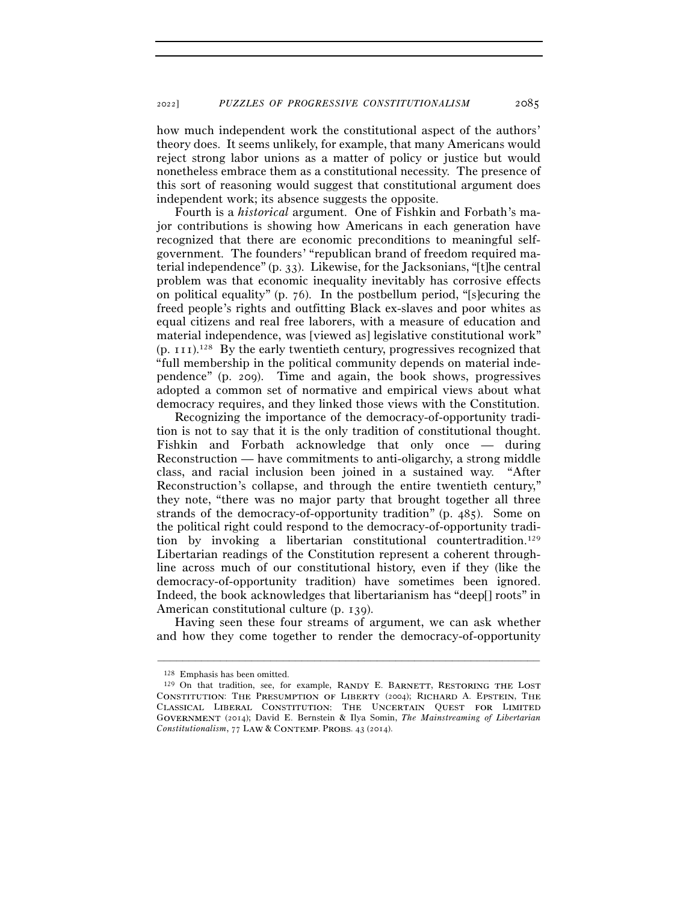how much independent work the constitutional aspect of the authors' theory does. It seems unlikely, for example, that many Americans would reject strong labor unions as a matter of policy or justice but would nonetheless embrace them as a constitutional necessity. The presence of this sort of reasoning would suggest that constitutional argument does independent work; its absence suggests the opposite.

Fourth is a *historical* argument. One of Fishkin and Forbath's major contributions is showing how Americans in each generation have recognized that there are economic preconditions to meaningful selfgovernment. The founders' "republican brand of freedom required material independence" (p. 33). Likewise, for the Jacksonians, "[t]he central problem was that economic inequality inevitably has corrosive effects on political equality" (p. 76). In the postbellum period, "[s]ecuring the freed people's rights and outfitting Black ex-slaves and poor whites as equal citizens and real free laborers, with a measure of education and material independence, was [viewed as] legislative constitutional work" (p. 111).128 By the early twentieth century, progressives recognized that "full membership in the political community depends on material independence" (p. 209). Time and again, the book shows, progressives adopted a common set of normative and empirical views about what democracy requires, and they linked those views with the Constitution.

Recognizing the importance of the democracy-of-opportunity tradition is not to say that it is the only tradition of constitutional thought. Fishkin and Forbath acknowledge that only once — during Reconstruction — have commitments to anti-oligarchy, a strong middle class, and racial inclusion been joined in a sustained way. "After Reconstruction's collapse, and through the entire twentieth century," they note, "there was no major party that brought together all three strands of the democracy-of-opportunity tradition" (p. 485). Some on the political right could respond to the democracy-of-opportunity tradition by invoking a libertarian constitutional countertradition.129 Libertarian readings of the Constitution represent a coherent throughline across much of our constitutional history, even if they (like the democracy-of-opportunity tradition) have sometimes been ignored. Indeed, the book acknowledges that libertarianism has "deep[] roots" in American constitutional culture (p. 139).

Having seen these four streams of argument, we can ask whether and how they come together to render the democracy-of-opportunity

<sup>&</sup>lt;sup>128</sup> Emphasis has been omitted.  $129$  On that tradition, see, for example, RANDY E. BARNETT, RESTORING THE LOST CONSTITUTION: THE PRESUMPTION OF LIBERTY (2004); RICHARD A. EPSTEIN, THE CLASSICAL LIBERAL CONSTITUTION: THE UNCERTAIN OUEST FOR LIMITED G (2014); David E. Bernstein & Ilya Somin, *The Mainstreaming of Libertarian Constitutionalism*, 77 LAW & CONTEMP. PROBS. 43 (2014).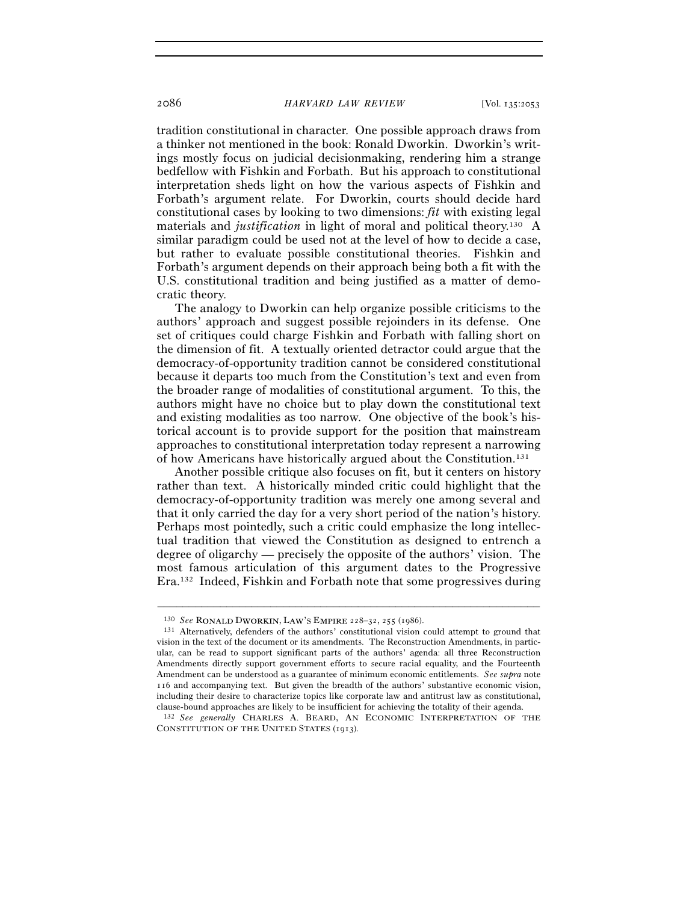tradition constitutional in character. One possible approach draws from a thinker not mentioned in the book: Ronald Dworkin. Dworkin's writings mostly focus on judicial decisionmaking, rendering him a strange bedfellow with Fishkin and Forbath. But his approach to constitutional interpretation sheds light on how the various aspects of Fishkin and Forbath's argument relate. For Dworkin, courts should decide hard constitutional cases by looking to two dimensions: *fit* with existing legal materials and *justification* in light of moral and political theory.130 A similar paradigm could be used not at the level of how to decide a case, but rather to evaluate possible constitutional theories. Fishkin and Forbath's argument depends on their approach being both a fit with the U.S. constitutional tradition and being justified as a matter of democratic theory.

The analogy to Dworkin can help organize possible criticisms to the authors' approach and suggest possible rejoinders in its defense. One set of critiques could charge Fishkin and Forbath with falling short on the dimension of fit. A textually oriented detractor could argue that the democracy-of-opportunity tradition cannot be considered constitutional because it departs too much from the Constitution's text and even from the broader range of modalities of constitutional argument. To this, the authors might have no choice but to play down the constitutional text and existing modalities as too narrow. One objective of the book's historical account is to provide support for the position that mainstream approaches to constitutional interpretation today represent a narrowing of how Americans have historically argued about the Constitution.131

Another possible critique also focuses on fit, but it centers on history rather than text. A historically minded critic could highlight that the democracy-of-opportunity tradition was merely one among several and that it only carried the day for a very short period of the nation's history. Perhaps most pointedly, such a critic could emphasize the long intellectual tradition that viewed the Constitution as designed to entrench a degree of oligarchy — precisely the opposite of the authors' vision. The most famous articulation of this argument dates to the Progressive Era.132 Indeed, Fishkin and Forbath note that some progressives during

<sup>&</sup>lt;sup>130</sup> *See* RONALD DWORKIN, LAW'S EMPIRE 228–32, 255 (1986).<br><sup>131</sup> Alternatively, defenders of the authors' constitutional vision could attempt to ground that vision in the text of the document or its amendments. The Reconstruction Amendments, in particular, can be read to support significant parts of the authors' agenda: all three Reconstruction Amendments directly support government efforts to secure racial equality, and the Fourteenth Amendment can be understood as a guarantee of minimum economic entitlements. *See supra* note 116 and accompanying text. But given the breadth of the authors' substantive economic vision, including their desire to characterize topics like corporate law and antitrust law as constitutional, clause-bound approaches are likely to be insufficient for achieving the totality of their agenda.

<sup>132</sup> *See generally* CHARLES A. BEARD, AN ECONOMIC INTERPRETATION OF THE CONSTITUTION OF THE UNITED STATES (1913).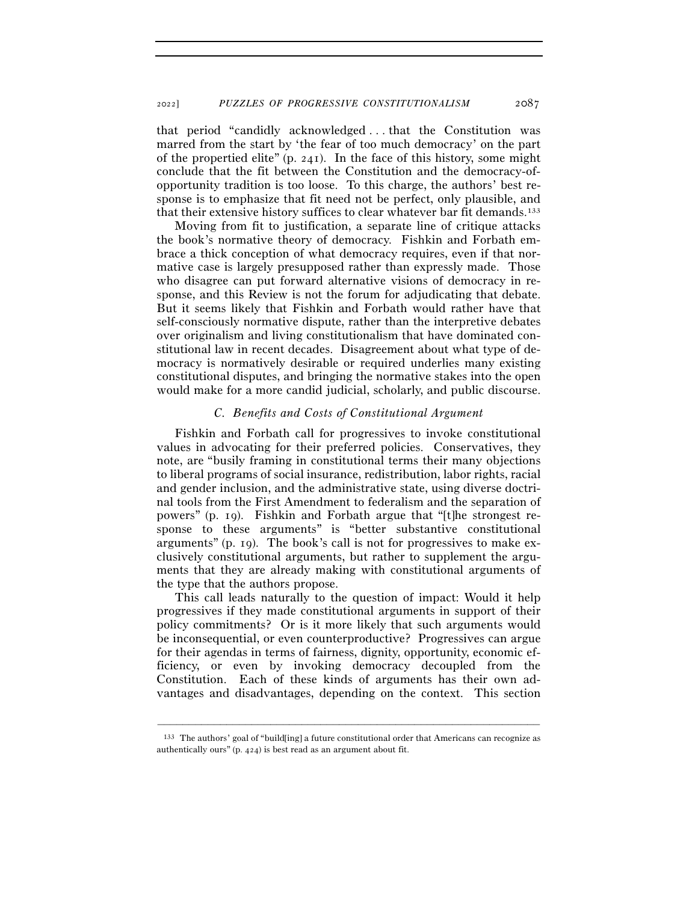that period "candidly acknowledged . . . that the Constitution was marred from the start by 'the fear of too much democracy' on the part of the propertied elite" (p. 241). In the face of this history, some might conclude that the fit between the Constitution and the democracy-ofopportunity tradition is too loose. To this charge, the authors' best response is to emphasize that fit need not be perfect, only plausible, and that their extensive history suffices to clear whatever bar fit demands.<sup>133</sup>

Moving from fit to justification, a separate line of critique attacks the book's normative theory of democracy. Fishkin and Forbath embrace a thick conception of what democracy requires, even if that normative case is largely presupposed rather than expressly made. Those who disagree can put forward alternative visions of democracy in response, and this Review is not the forum for adjudicating that debate. But it seems likely that Fishkin and Forbath would rather have that self-consciously normative dispute, rather than the interpretive debates over originalism and living constitutionalism that have dominated constitutional law in recent decades. Disagreement about what type of democracy is normatively desirable or required underlies many existing constitutional disputes, and bringing the normative stakes into the open would make for a more candid judicial, scholarly, and public discourse.

## *C. Benefits and Costs of Constitutional Argument*

Fishkin and Forbath call for progressives to invoke constitutional values in advocating for their preferred policies. Conservatives, they note, are "busily framing in constitutional terms their many objections to liberal programs of social insurance, redistribution, labor rights, racial and gender inclusion, and the administrative state, using diverse doctrinal tools from the First Amendment to federalism and the separation of powers" (p. 19). Fishkin and Forbath argue that "[t]he strongest response to these arguments" is "better substantive constitutional arguments" (p. 19). The book's call is not for progressives to make exclusively constitutional arguments, but rather to supplement the arguments that they are already making with constitutional arguments of the type that the authors propose.

This call leads naturally to the question of impact: Would it help progressives if they made constitutional arguments in support of their policy commitments? Or is it more likely that such arguments would be inconsequential, or even counterproductive? Progressives can argue for their agendas in terms of fairness, dignity, opportunity, economic efficiency, or even by invoking democracy decoupled from the Constitution. Each of these kinds of arguments has their own advantages and disadvantages, depending on the context. This section

<sup>–––––––––––––––––––––––––––––––––––––––––––––––––––––––––––––</sup> 133 The authors' goal of "build[ing] a future constitutional order that Americans can recognize as authentically ours" (p. 424) is best read as an argument about fit.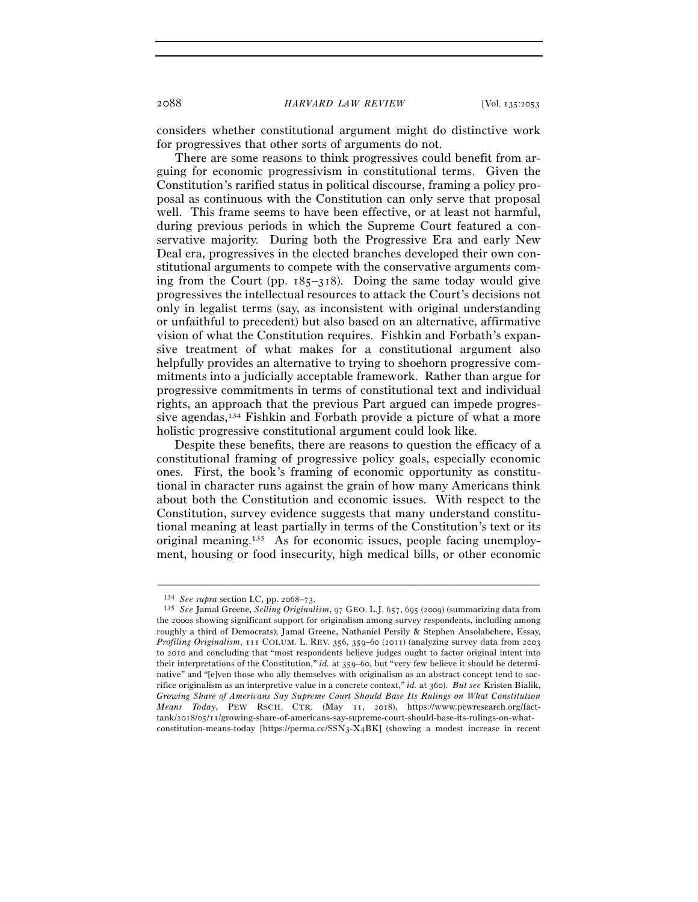considers whether constitutional argument might do distinctive work for progressives that other sorts of arguments do not.

There are some reasons to think progressives could benefit from arguing for economic progressivism in constitutional terms. Given the Constitution's rarified status in political discourse, framing a policy proposal as continuous with the Constitution can only serve that proposal well. This frame seems to have been effective, or at least not harmful, during previous periods in which the Supreme Court featured a conservative majority. During both the Progressive Era and early New Deal era, progressives in the elected branches developed their own constitutional arguments to compete with the conservative arguments coming from the Court (pp. 185–318). Doing the same today would give progressives the intellectual resources to attack the Court's decisions not only in legalist terms (say, as inconsistent with original understanding or unfaithful to precedent) but also based on an alternative, affirmative vision of what the Constitution requires. Fishkin and Forbath's expansive treatment of what makes for a constitutional argument also helpfully provides an alternative to trying to shoehorn progressive commitments into a judicially acceptable framework. Rather than argue for progressive commitments in terms of constitutional text and individual rights, an approach that the previous Part argued can impede progressive agendas,134 Fishkin and Forbath provide a picture of what a more holistic progressive constitutional argument could look like.

Despite these benefits, there are reasons to question the efficacy of a constitutional framing of progressive policy goals, especially economic ones. First, the book's framing of economic opportunity as constitutional in character runs against the grain of how many Americans think about both the Constitution and economic issues. With respect to the Constitution, survey evidence suggests that many understand constitutional meaning at least partially in terms of the Constitution's text or its original meaning.135 As for economic issues, people facing unemployment, housing or food insecurity, high medical bills, or other economic

<sup>134</sup> *See supra* section I.C, pp. 2068–<sup>73</sup>. 135 *See* Jamal Greene, *Selling Originalism*, 97 GEO. L.J. 657, 695 (2009) (summarizing data from the 2000s showing significant support for originalism among survey respondents, including among roughly a third of Democrats); Jamal Greene, Nathaniel Persily & Stephen Ansolabehere, Essay, *Profiling Originalism*, 111 COLUM. L. REV. 356, 359–60 (2011) (analyzing survey data from 2003 to 2010 and concluding that "most respondents believe judges ought to factor original intent into their interpretations of the Constitution," *id.* at 359–60, but "very few believe it should be determinative" and "[e]ven those who ally themselves with originalism as an abstract concept tend to sacrifice originalism as an interpretive value in a concrete context," *id.* at 360). *But see* Kristen Bialik, *Growing Share of Americans Say Supreme Court Should Base Its Rulings on What Constitution Means Today*, PEW RSCH. CTR. (May 11, 2018), https://www.pewresearch.org/facttank/2018/05/11/growing-share-of-americans-say-supreme-court-should-base-its-rulings-on-whatconstitution-means-today [https://perma.cc/SSN3-X4BK] (showing a modest increase in recent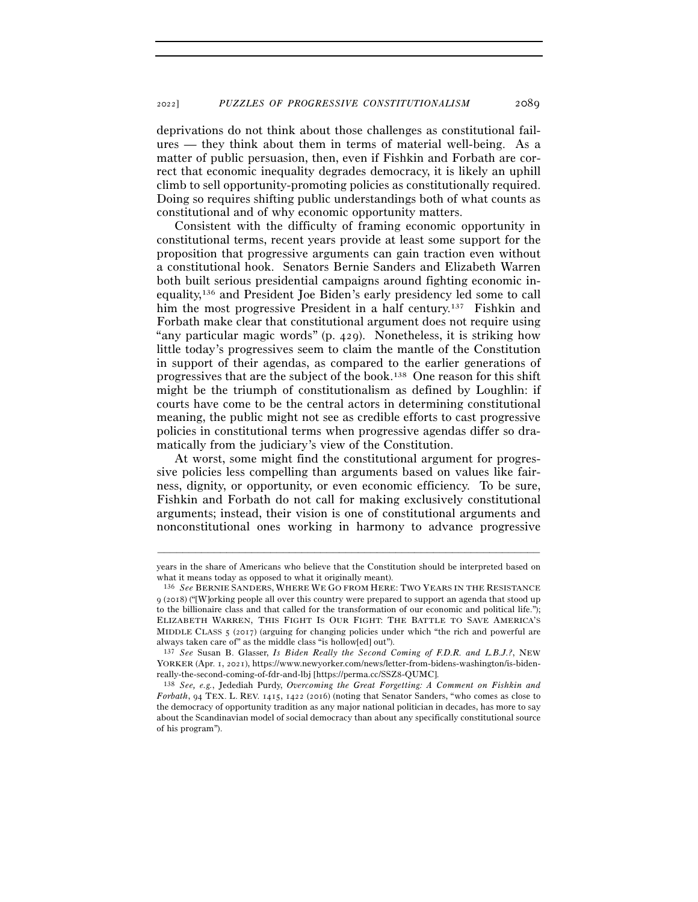deprivations do not think about those challenges as constitutional failures — they think about them in terms of material well-being. As a matter of public persuasion, then, even if Fishkin and Forbath are correct that economic inequality degrades democracy, it is likely an uphill climb to sell opportunity-promoting policies as constitutionally required. Doing so requires shifting public understandings both of what counts as constitutional and of why economic opportunity matters.

Consistent with the difficulty of framing economic opportunity in constitutional terms, recent years provide at least some support for the proposition that progressive arguments can gain traction even without a constitutional hook. Senators Bernie Sanders and Elizabeth Warren both built serious presidential campaigns around fighting economic inequality,136 and President Joe Biden's early presidency led some to call him the most progressive President in a half century.<sup>137</sup> Fishkin and Forbath make clear that constitutional argument does not require using "any particular magic words" (p. 429). Nonetheless, it is striking how little today's progressives seem to claim the mantle of the Constitution in support of their agendas, as compared to the earlier generations of progressives that are the subject of the book.138 One reason for this shift might be the triumph of constitutionalism as defined by Loughlin: if courts have come to be the central actors in determining constitutional meaning, the public might not see as credible efforts to cast progressive policies in constitutional terms when progressive agendas differ so dramatically from the judiciary's view of the Constitution.

At worst, some might find the constitutional argument for progressive policies less compelling than arguments based on values like fairness, dignity, or opportunity, or even economic efficiency. To be sure, Fishkin and Forbath do not call for making exclusively constitutional arguments; instead, their vision is one of constitutional arguments and nonconstitutional ones working in harmony to advance progressive

<sup>–––––––––––––––––––––––––––––––––––––––––––––––––––––––––––––</sup> years in the share of Americans who believe that the Constitution should be interpreted based on what it means today as opposed to what it originally meant).

<sup>136</sup> *See* BERNIE SANDERS, WHERE WE GO FROM HERE: TWO YEARS IN THE RESISTANCE 9 (2018) ("[W]orking people all over this country were prepared to support an agenda that stood up to the billionaire class and that called for the transformation of our economic and political life."); ELIZABETH WARREN, THIS FIGHT IS OUR FIGHT: THE BATTLE TO SAVE AMERICA'S MIDDLE CLASS  $5 \frac{(2017)}{(2017)}$  (arguing for changing policies under which "the rich and powerful are always taken care of" as the middle class "is hollow[ed] out").

<sup>137</sup> *See* Susan B. Glasser, *Is Biden Really the Second Coming of F.D.R. and L.B.J.?*, NEW YORKER (Apr. 1, 2021), https://www.newyorker.com/news/letter-from-bidens-washington/is-bidenreally-the-second-coming-of-fdr-and-lbj [https://perma.cc/SSZ<sup>8</sup>-QUMC]. 138 *See, e.g.*, Jedediah Purdy, *Overcoming the Great Forgetting: A Comment on Fishkin and* 

*Forbath*, 94 TEX. L. REV. 1415, 1422 (2016) (noting that Senator Sanders, "who comes as close to the democracy of opportunity tradition as any major national politician in decades, has more to say about the Scandinavian model of social democracy than about any specifically constitutional source of his program").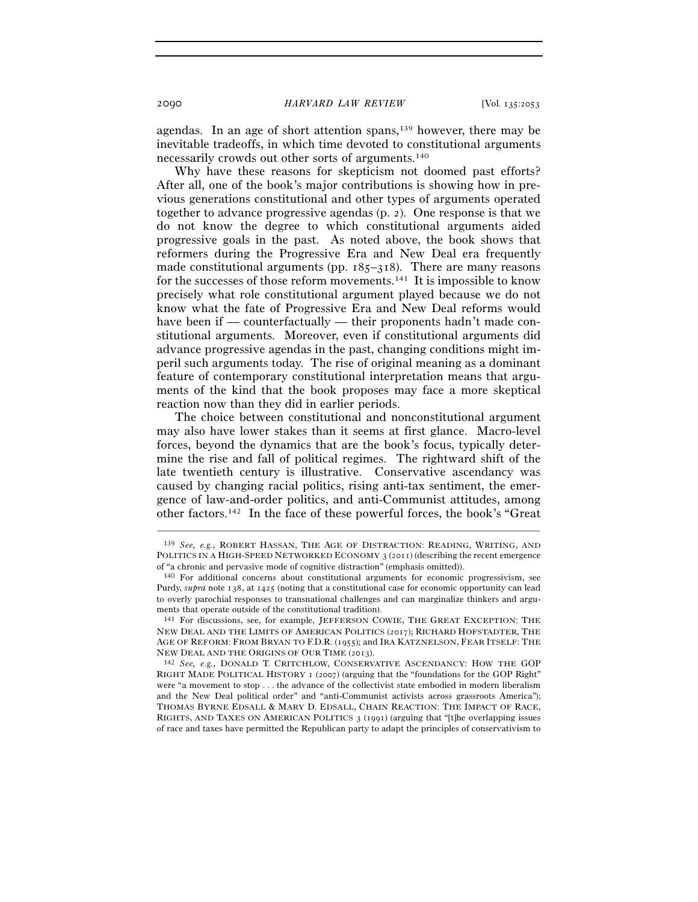agendas. In an age of short attention spans,139 however, there may be inevitable tradeoffs, in which time devoted to constitutional arguments necessarily crowds out other sorts of arguments.140

Why have these reasons for skepticism not doomed past efforts? After all, one of the book's major contributions is showing how in previous generations constitutional and other types of arguments operated together to advance progressive agendas (p. 2). One response is that we do not know the degree to which constitutional arguments aided progressive goals in the past. As noted above, the book shows that reformers during the Progressive Era and New Deal era frequently made constitutional arguments (pp.  $185-318$ ). There are many reasons for the successes of those reform movements.141 It is impossible to know precisely what role constitutional argument played because we do not know what the fate of Progressive Era and New Deal reforms would have been if — counterfactually — their proponents hadn't made constitutional arguments. Moreover, even if constitutional arguments did advance progressive agendas in the past, changing conditions might imperil such arguments today. The rise of original meaning as a dominant feature of contemporary constitutional interpretation means that arguments of the kind that the book proposes may face a more skeptical reaction now than they did in earlier periods.

The choice between constitutional and nonconstitutional argument may also have lower stakes than it seems at first glance. Macro-level forces, beyond the dynamics that are the book's focus, typically determine the rise and fall of political regimes. The rightward shift of the late twentieth century is illustrative. Conservative ascendancy was caused by changing racial politics, rising anti-tax sentiment, the emergence of law-and-order politics, and anti-Communist attitudes, among other factors.142 In the face of these powerful forces, the book's "Great

<sup>139</sup> *See, e.g.*, ROBERT HASSAN, THE AGE OF DISTRACTION: READING, WRITING, AND POLITICS IN A HIGH-SPEED NETWORKED ECONOMY 3 (2011) (describing the recent emergence of "a chronic and pervasive mode of cognitive distraction" (emphasis omitted)).

<sup>140</sup> For additional concerns about constitutional arguments for economic progressivism, see Purdy, *supra* note 138, at 1425 (noting that a constitutional case for economic opportunity can lead to overly parochial responses to transnational challenges and can marginalize thinkers and arguments that operate outside of the constitutional tradition).

<sup>141</sup> For discussions, see, for example, JEFFERSON COWIE, THE GREAT EXCEPTION: THE NEW DEAL AND THE LIMITS OF AMERICAN POLITICS (2017); RICHARD HOFSTADTER, THE AGE OF REFORM: FROM BRYAN TO F.D.R. (1955); and IRA KATZNELSON, FEAR ITSELF: THE NEW DEAL AND THE ORIGINS OF OUR TIME (<sup>2013</sup>). 142 *See, e.g.*, DONALD T. CRITCHLOW, CONSERVATIVE ASCENDANCY: HOW THE GOP

RIGHT MADE POLITICAL HISTORY 1 (2007) (arguing that the "foundations for the GOP Right" were "a movement to stop . . . the advance of the collectivist state embodied in modern liberalism and the New Deal political order" and "anti-Communist activists across grassroots America"); THOMAS BYRNE EDSALL & MARY D. EDSALL, CHAIN REACTION: THE IMPACT OF RACE, RIGHTS, AND TAXES ON AMERICAN POLITICS 3 (1991) (arguing that "[t]he overlapping issues of race and taxes have permitted the Republican party to adapt the principles of conservativism to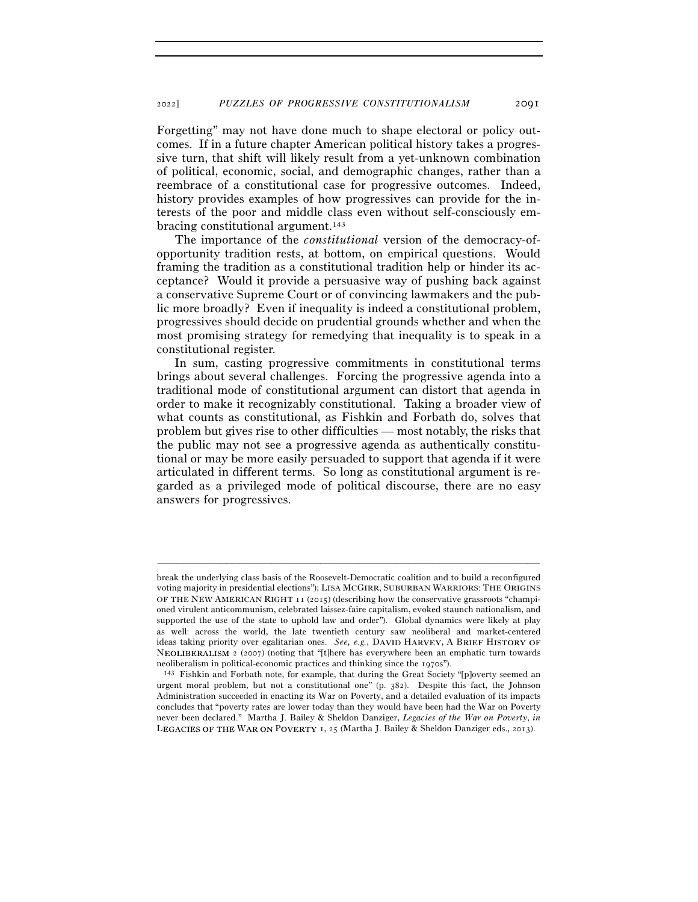Forgetting" may not have done much to shape electoral or policy outcomes. If in a future chapter American political history takes a progressive turn, that shift will likely result from a yet-unknown combination of political, economic, social, and demographic changes, rather than a reembrace of a constitutional case for progressive outcomes. Indeed, history provides examples of how progressives can provide for the interests of the poor and middle class even without self-consciously embracing constitutional argument.143

The importance of the *constitutional* version of the democracy-ofopportunity tradition rests, at bottom, on empirical questions. Would framing the tradition as a constitutional tradition help or hinder its acceptance? Would it provide a persuasive way of pushing back against a conservative Supreme Court or of convincing lawmakers and the public more broadly? Even if inequality is indeed a constitutional problem, progressives should decide on prudential grounds whether and when the most promising strategy for remedying that inequality is to speak in a constitutional register.

In sum, casting progressive commitments in constitutional terms brings about several challenges. Forcing the progressive agenda into a traditional mode of constitutional argument can distort that agenda in order to make it recognizably constitutional. Taking a broader view of what counts as constitutional, as Fishkin and Forbath do, solves that problem but gives rise to other difficulties — most notably, the risks that the public may not see a progressive agenda as authentically constitutional or may be more easily persuaded to support that agenda if it were articulated in different terms. So long as constitutional argument is regarded as a privileged mode of political discourse, there are no easy answers for progressives.

break the underlying class basis of the Roosevelt-Democratic coalition and to build a reconfigured voting majority in presidential elections"); LISA MCGIRR, SUBURBAN WARRIORS: THE ORIGINS OF THE NEW AMERICAN RIGHT 11 (2015) (describing how the conservative grassroots "championed virulent anticommunism, celebrated laissez-faire capitalism, evoked staunch nationalism, and supported the use of the state to uphold law and order"). Global dynamics were likely at play as well: across the world, the late twentieth century saw neoliberal and market-centered ideas taking priority over egalitarian ones. *See, e.g.*, DAVID HARVEY, A BRIEF HISTORY OF NEOLIBERALISM 2 (2007) (noting that "[t]here has everywhere been an emphatic turn towards

neoliberalism in political-economic practices and thinking since the 1970s").<br><sup>143</sup> Fishkin and Forbath note, for example, that during the Great Society "[p]overty seemed an urgent moral problem, but not a constitutional one" (p. 382). Despite this fact, the Johnson Administration succeeded in enacting its War on Poverty, and a detailed evaluation of its impacts concludes that "poverty rates are lower today than they would have been had the War on Poverty never been declared." Martha J. Bailey & Sheldon Danziger, *Legacies of the War on Poverty*, *in* LEGACIES OF THE WAR ON POVERTY 1, 25 (Martha J. Bailey & Sheldon Danziger eds., 2013).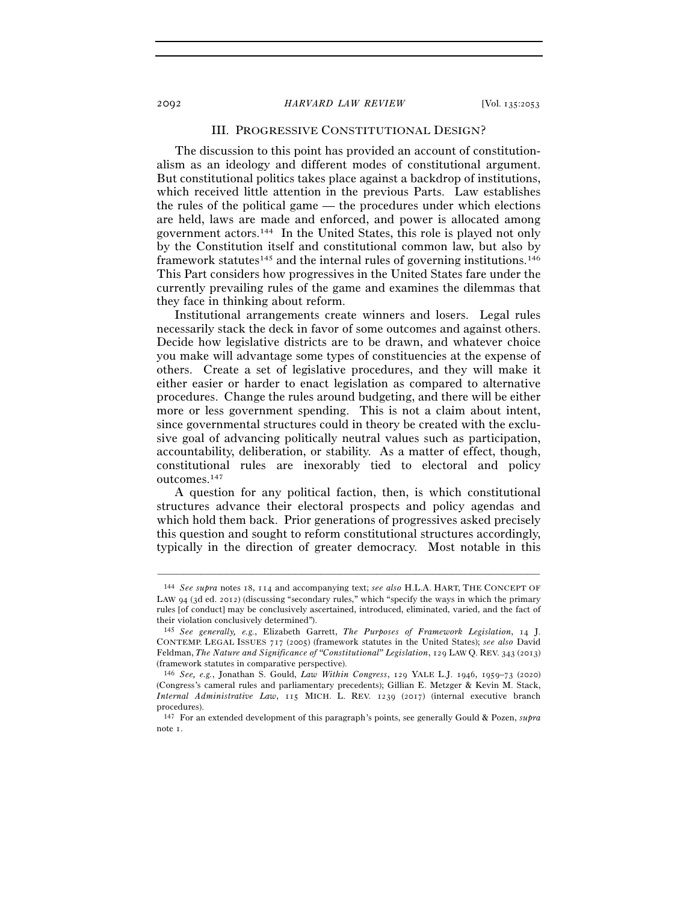## III. PROGRESSIVE CONSTITUTIONAL DESIGN?

The discussion to this point has provided an account of constitutionalism as an ideology and different modes of constitutional argument. But constitutional politics takes place against a backdrop of institutions, which received little attention in the previous Parts. Law establishes the rules of the political game — the procedures under which elections are held, laws are made and enforced, and power is allocated among government actors.144 In the United States, this role is played not only by the Constitution itself and constitutional common law, but also by framework statutes<sup>145</sup> and the internal rules of governing institutions.<sup>146</sup> This Part considers how progressives in the United States fare under the currently prevailing rules of the game and examines the dilemmas that they face in thinking about reform.

Institutional arrangements create winners and losers. Legal rules necessarily stack the deck in favor of some outcomes and against others. Decide how legislative districts are to be drawn, and whatever choice you make will advantage some types of constituencies at the expense of others. Create a set of legislative procedures, and they will make it either easier or harder to enact legislation as compared to alternative procedures. Change the rules around budgeting, and there will be either more or less government spending. This is not a claim about intent, since governmental structures could in theory be created with the exclusive goal of advancing politically neutral values such as participation, accountability, deliberation, or stability. As a matter of effect, though, constitutional rules are inexorably tied to electoral and policy outcomes.147

A question for any political faction, then, is which constitutional structures advance their electoral prospects and policy agendas and which hold them back. Prior generations of progressives asked precisely this question and sought to reform constitutional structures accordingly, typically in the direction of greater democracy. Most notable in this

<sup>144</sup> *See supra* notes 18, 114 and accompanying text; *see also* H.L.A. HART, THE CONCEPT OF LAW 94 (3d ed. 2012) (discussing "secondary rules," which "specify the ways in which the primary rules [of conduct] may be conclusively ascertained, introduced, eliminated, varied, and the fact of their violation conclusively determined").

<sup>145</sup> *See generally, e.g.*, Elizabeth Garrett, *The Purposes of Framework Legislation*, 14 J. CONTEMP. LEGAL ISSUES 717 (2005) (framework statutes in the United States); *see also* David Feldman, *The Nature and Significance of "Constitutional" Legislation*, 129 LAW Q. REV. 343 (2013) (framework statutes in comparative perspective).

<sup>146</sup> *See, e.g.*, Jonathan S. Gould, *Law Within Congress*, 129 YALE L.J. 1946, 1959–73 (2020) (Congress's cameral rules and parliamentary precedents); Gillian E. Metzger & Kevin M. Stack, *Internal Administrative Law*, 115 MICH. L. REV. 1239 (2017) (internal executive branch procedures).

<sup>147</sup> For an extended development of this paragraph's points, see generally Gould & Pozen, *supra* note 1.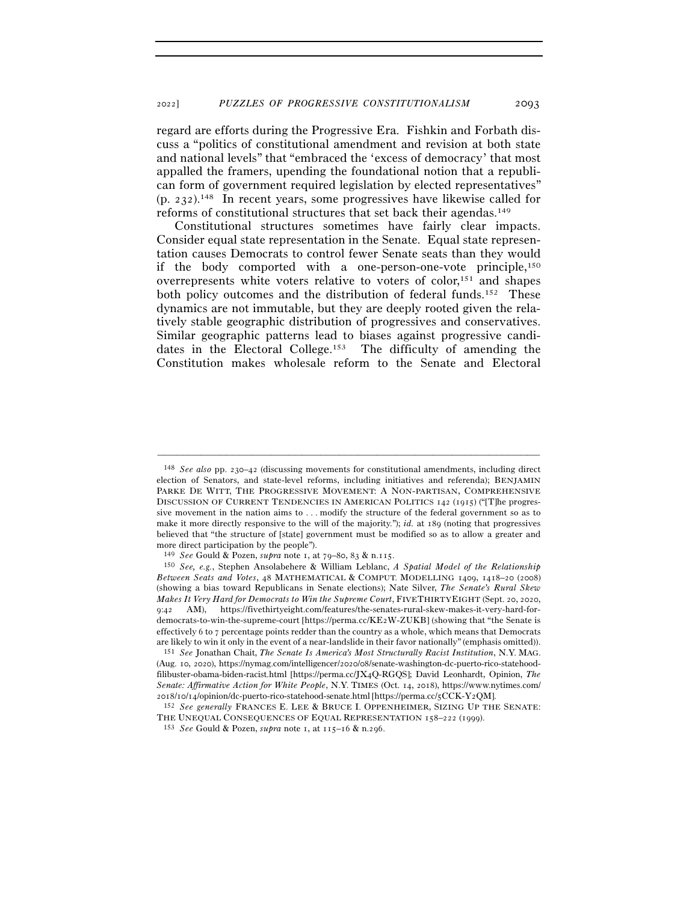regard are efforts during the Progressive Era. Fishkin and Forbath discuss a "politics of constitutional amendment and revision at both state and national levels" that "embraced the 'excess of democracy' that most appalled the framers, upending the foundational notion that a republican form of government required legislation by elected representatives" (p. 232).148 In recent years, some progressives have likewise called for reforms of constitutional structures that set back their agendas.149

Constitutional structures sometimes have fairly clear impacts. Consider equal state representation in the Senate. Equal state representation causes Democrats to control fewer Senate seats than they would if the body comported with a one-person-one-vote principle,150 overrepresents white voters relative to voters of color,151 and shapes both policy outcomes and the distribution of federal funds.152 These dynamics are not immutable, but they are deeply rooted given the relatively stable geographic distribution of progressives and conservatives. Similar geographic patterns lead to biases against progressive candidates in the Electoral College.153 The difficulty of amending the Constitution makes wholesale reform to the Senate and Electoral

<sup>148</sup> *See also* pp. 230–42 (discussing movements for constitutional amendments, including direct election of Senators, and state-level reforms, including initiatives and referenda); BENJAMIN PARKE DE WITT, THE PROGRESSIVE MOVEMENT: A NON-PARTISAN, COMPREHENSIVE DISCUSSION OF CURRENT TENDENCIES IN AMERICAN POLITICS 142 (1915) ("[T]he progressive movement in the nation aims to . . . modify the structure of the federal government so as to make it more directly responsive to the will of the majority."); *id.* at 189 (noting that progressives believed that "the structure of [state] government must be modified so as to allow a greater and more direct participation by the people").

<sup>149</sup> *See* Gould & Pozen, *supra* note 1, at 79–80, 83 & n.<sup>115</sup>. 150 *See, e.g.*, Stephen Ansolabehere & William Leblanc, *A Spatial Model of the Relationship Between Seats and Votes*, 48 MATHEMATICAL & COMPUT. MODELLING 1409, 1418–20 (2008) (showing a bias toward Republicans in Senate elections); Nate Silver, *The Senate's Rural Skew Makes It Very Hard for Democrats to Win the Supreme Court*, FIVETHIRTYEIGHT (Sept. 20, 2020, 9:42 AM), https://fivethirtyeight.com/features/the-senates-rural-skew-makes-it-very-hard-fordemocrats-to-win-the-supreme-court [https://perma.cc/KE2W-ZUKB] (showing that "the Senate is effectively 6 to 7 percentage points redder than the country as a whole, which means that Democrats are likely to win it only in the event of a near-landslide in their favor nationally" (emphasis omitted)).

<sup>151</sup> *See* Jonathan Chait, *The Senate Is America's Most Structurally Racist Institution*, N.Y. MAG. (Aug. 10, 2020), https://nymag.com/intelligencer/2020/08/senate-washington-dc-puerto-rico-statehoodfilibuster-obama-biden-racist.html [https://perma.cc/JX4Q-RGQS]; David Leonhardt, Opinion, *The Senate: Affirmative Action for White People*, N.Y. TIMES (Oct. 14, 2018), https://www.nytimes.com/ <sup>2018</sup>/10/14/opinion/dc-puerto-rico-statehood-senate.html [https://perma.cc/5CCK-Y<sup>2</sup>QM]. 152 *See generally* FRANCES E. LEE & BRUCE I. OPPENHEIMER, SIZING UP THE SENATE:

THE UNEQUAL CONSEQUENCES OF EQUAL REPRESENTATION <sup>158</sup>–222 (<sup>1999</sup>). 153 *See* Gould & Pozen, *supra* note 1, at 115–16 & n.296.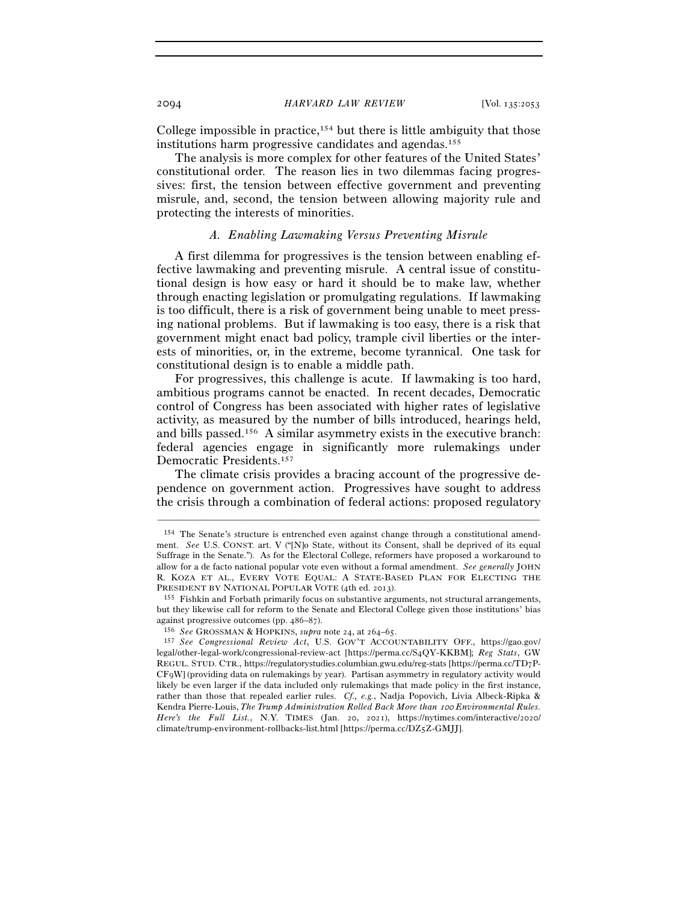College impossible in practice, $154$  but there is little ambiguity that those institutions harm progressive candidates and agendas.155

The analysis is more complex for other features of the United States' constitutional order. The reason lies in two dilemmas facing progressives: first, the tension between effective government and preventing misrule, and, second, the tension between allowing majority rule and protecting the interests of minorities.

# *A. Enabling Lawmaking Versus Preventing Misrule*

A first dilemma for progressives is the tension between enabling effective lawmaking and preventing misrule. A central issue of constitutional design is how easy or hard it should be to make law, whether through enacting legislation or promulgating regulations. If lawmaking is too difficult, there is a risk of government being unable to meet pressing national problems. But if lawmaking is too easy, there is a risk that government might enact bad policy, trample civil liberties or the interests of minorities, or, in the extreme, become tyrannical. One task for constitutional design is to enable a middle path.

For progressives, this challenge is acute. If lawmaking is too hard, ambitious programs cannot be enacted. In recent decades, Democratic control of Congress has been associated with higher rates of legislative activity, as measured by the number of bills introduced, hearings held, and bills passed.156 A similar asymmetry exists in the executive branch: federal agencies engage in significantly more rulemakings under Democratic Presidents.157

The climate crisis provides a bracing account of the progressive dependence on government action. Progressives have sought to address the crisis through a combination of federal actions: proposed regulatory

<sup>154</sup> The Senate's structure is entrenched even against change through a constitutional amendment. *See* U.S. CONST. art. V ("[N]o State, without its Consent, shall be deprived of its equal Suffrage in the Senate."). As for the Electoral College, reformers have proposed a workaround to allow for a de facto national popular vote even without a formal amendment. *See generally* JOHN R. KOZA ET AL., EVERY VOTE EQUAL: A STATE-BASED PLAN FOR ELECTING THE PRESIDENT BY NATIONAL POPULAR VOTE (4th ed. <sup>2013</sup>). 155 Fishkin and Forbath primarily focus on substantive arguments, not structural arrangements,

but they likewise call for reform to the Senate and Electoral College given those institutions' bias against progressive outcomes (pp. 486–<sup>87</sup>). 156 *See* GROSSMAN & HOPKINS, *supra* note 24, at 264–<sup>65</sup>. 157 *See Congressional Review Act*, U.S. GOV'T ACCOUNTABILITY OFF., https://gao.gov/

legal/other-legal-work/congressional-review-act [https://perma.cc/S4QY-KKBM]; *Reg Stats*, GW REGUL. STUD. CTR., https://regulatorystudies.columbian.gwu.edu/reg-stats [https://perma.cc/TD7P-CF9W] (providing data on rulemakings by year). Partisan asymmetry in regulatory activity would likely be even larger if the data included only rulemakings that made policy in the first instance, rather than those that repealed earlier rules. *Cf., e.g.*, Nadja Popovich, Livia Albeck-Ripka & Kendra Pierre-Louis, *The Trump Administration Rolled Back More than 100 Environmental Rules. Here's the Full List.*, N.Y. TIMES (Jan. 20, 2021), https://nytimes.com/interactive/2020/ climate/trump-environment-rollbacks-list.html [https://perma.cc/DZ5Z-GMJJ].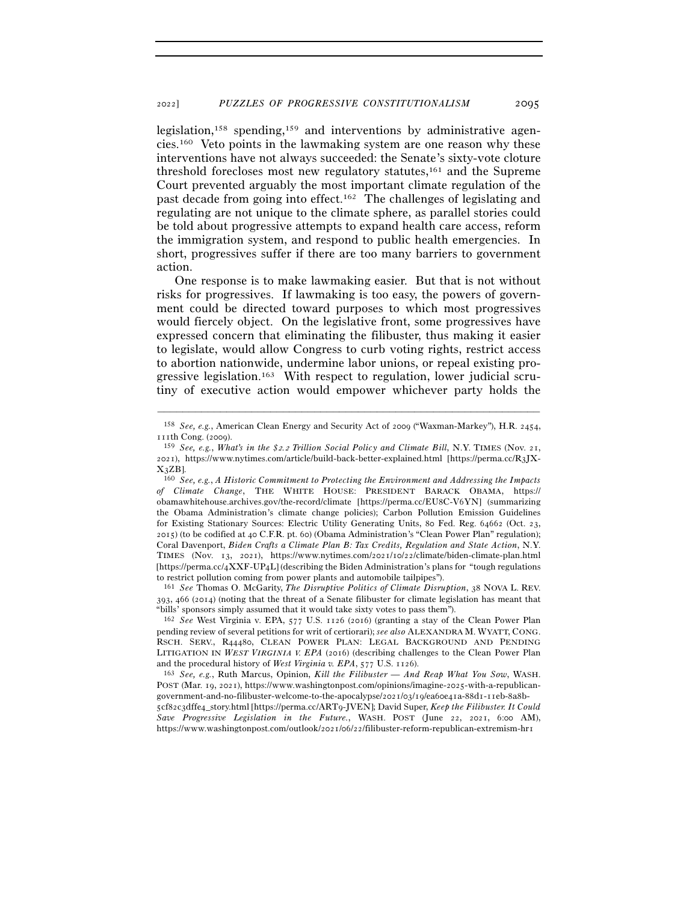legislation,158 spending,159 and interventions by administrative agencies.160 Veto points in the lawmaking system are one reason why these interventions have not always succeeded: the Senate's sixty-vote cloture threshold forecloses most new regulatory statutes,161 and the Supreme Court prevented arguably the most important climate regulation of the past decade from going into effect.162 The challenges of legislating and regulating are not unique to the climate sphere, as parallel stories could be told about progressive attempts to expand health care access, reform the immigration system, and respond to public health emergencies. In short, progressives suffer if there are too many barriers to government action.

One response is to make lawmaking easier. But that is not without risks for progressives. If lawmaking is too easy, the powers of government could be directed toward purposes to which most progressives would fiercely object. On the legislative front, some progressives have expressed concern that eliminating the filibuster, thus making it easier to legislate, would allow Congress to curb voting rights, restrict access to abortion nationwide, undermine labor unions, or repeal existing progressive legislation.163 With respect to regulation, lower judicial scrutiny of executive action would empower whichever party holds the

<sup>161</sup> *See* Thomas O. McGarity, *The Disruptive Politics of Climate Disruption*, 38 NOVA L. REV. 393, 466 (2014) (noting that the threat of a Senate filibuster for climate legislation has meant that "bills' sponsors simply assumed that it would take sixty votes to pass them").

<sup>162</sup> *See* West Virginia v. EPA, 577 U.S. 1126 (2016) (granting a stay of the Clean Power Plan pending review of several petitions for writ of certiorari); *see also* ALEXANDRA M. WYATT, CONG. RSCH. SERV., R44480, CLEAN POWER PLAN: LEGAL BACKGROUND AND PENDING LITIGATION IN *WEST VIRGINIA V. EPA* (2016) (describing challenges to the Clean Power Plan and the procedural history of *West Virginia v. EPA*, 577 U.S. <sup>1126</sup>). 163 *See, e.g.*, Ruth Marcus, Opinion, *Kill the Filibuster — And Reap What You Sow*, WASH.

POST (Mar. 19, 2021), https://www.washingtonpost.com/opinions/imagine-2025-with-a-republicangovernment-and-no-filibuster-welcome-to-the-apocalypse/2021/03/19/ea60e41a-88d1-11eb-8a8b-

5cf82c3dffe4\_story.html [https://perma.cc/ART9-JVEN]; David Super, *Keep the Filibuster. It Could Save Progressive Legislation in the Future.*, WASH. POST (June 22, 2021, 6:00 AM), https://www.washingtonpost.com/outlook/2021/06/22/filibuster-reform-republican-extremism-hr1

<sup>–––––––––––––––––––––––––––––––––––––––––––––––––––––––––––––</sup> <sup>158</sup> *See, e.g.*, American Clean Energy and Security Act of 2009 ("Waxman-Markey"), H.R. 2454, 111th Cong. (2009).

<sup>159</sup> *See, e.g.*, *What's in the \$*2*.*2 *Trillion Social Policy and Climate Bill*, N.Y. TIMES (Nov. 21, 2021), https://www.nytimes.com/article/build-back-better-explained.html [https://perma.cc/R3JX- $X_3ZB$ ].

<sup>160</sup> *See, e.g.*, *A Historic Commitment to Protecting the Environment and Addressing the Impacts of Climate Change*, THE WHITE HOUSE: PRESIDENT BARACK OBAMA, https:// obamawhitehouse.archives.gov/the-record/climate [https://perma.cc/EU8C-V6YN] (summarizing the Obama Administration's climate change policies); Carbon Pollution Emission Guidelines for Existing Stationary Sources: Electric Utility Generating Units, 80 Fed. Reg. 64662 (Oct. 23, 2015) (to be codified at 40 C.F.R. pt. 60) (Obama Administration's "Clean Power Plan" regulation); Coral Davenport, *Biden Crafts a Climate Plan B: Tax Credits, Regulation and State Action*, N.Y. TIMES (Nov. 13, 2021), https://www.nytimes.com/2021/10/22/climate/biden-climate-plan.html [https://perma.cc/4XXF-UP4L] (describing the Biden Administration's plans for "tough regulations to restrict pollution coming from power plants and automobile tailpipes").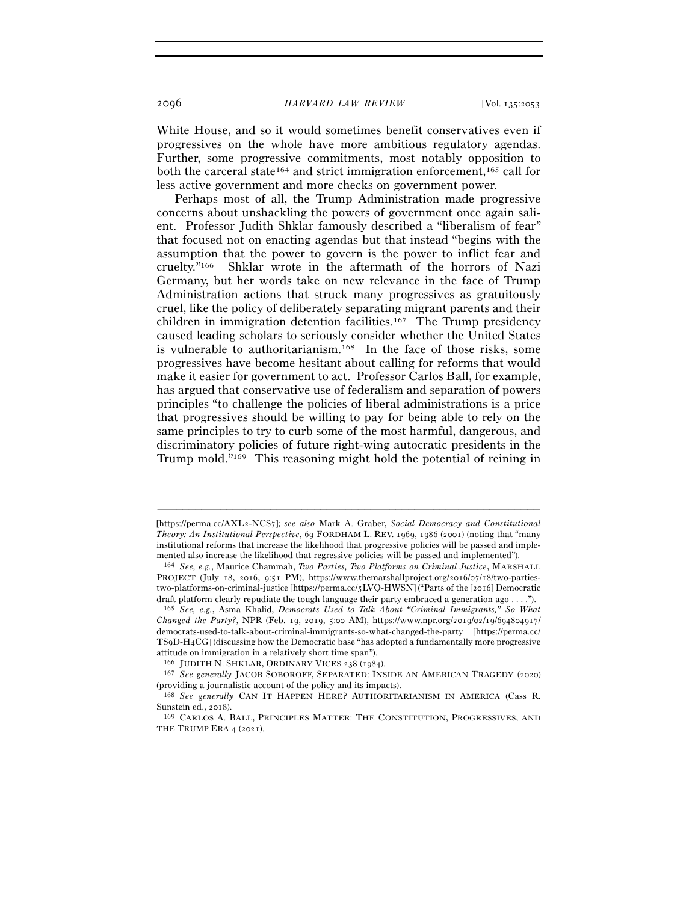White House, and so it would sometimes benefit conservatives even if progressives on the whole have more ambitious regulatory agendas. Further, some progressive commitments, most notably opposition to both the carceral state<sup>164</sup> and strict immigration enforcement,<sup>165</sup> call for less active government and more checks on government power.

Perhaps most of all, the Trump Administration made progressive concerns about unshackling the powers of government once again salient. Professor Judith Shklar famously described a "liberalism of fear" that focused not on enacting agendas but that instead "begins with the assumption that the power to govern is the power to inflict fear and cruelty."166 Shklar wrote in the aftermath of the horrors of Nazi Germany, but her words take on new relevance in the face of Trump Administration actions that struck many progressives as gratuitously cruel, like the policy of deliberately separating migrant parents and their children in immigration detention facilities.167 The Trump presidency caused leading scholars to seriously consider whether the United States is vulnerable to authoritarianism.168 In the face of those risks, some progressives have become hesitant about calling for reforms that would make it easier for government to act. Professor Carlos Ball, for example, has argued that conservative use of federalism and separation of powers principles "to challenge the policies of liberal administrations is a price that progressives should be willing to pay for being able to rely on the same principles to try to curb some of the most harmful, dangerous, and discriminatory policies of future right-wing autocratic presidents in the Trump mold."169 This reasoning might hold the potential of reining in

<sup>[</sup>https://perma.cc/AXL2-NCS7]; *see also* Mark A. Graber, *Social Democracy and Constitutional Theory: An Institutional Perspective*, 69 FORDHAM L. REV. 1969, 1986 (2001) (noting that "many institutional reforms that increase the likelihood that progressive policies will be passed and implemented also increase the likelihood that regressive policies will be passed and implemented"). 164 *See, e.g.*, Maurice Chammah, *Two Parties, Two Platforms on Criminal Justice*, MARSHALL

PROJECT (July 18, 2016, 9:51 PM), https://www.themarshallproject.org/2016/07/18/two-partiestwo-platforms-on-criminal-justice [https://perma.cc/5LVQ-HWSN] ("Parts of the [2016] Democratic draft platform clearly repudiate the tough language their party embraced a generation ago . . . ."). 165 *See, e.g.*, Asma Khalid, *Democrats Used to Talk About "Criminal Immigrants," So What* 

*Changed the Party?*, NPR (Feb. 19, 2019, 5:00 AM), https://www.npr.org/2019/02/19/694804917/ democrats-used-to-talk-about-criminal-immigrants-so-what-changed-the-party [https://perma.cc/ TS9D-H4CG] (discussing how the Democratic base "has adopted a fundamentally more progressive attitude on immigration in a relatively short time span").

<sup>166</sup> JUDITH N. SHKLAR, ORDINARY VICES <sup>238</sup> (<sup>1984</sup>). 167 *See generally* JACOB SOBOROFF, SEPARATED: INSIDE AN AMERICAN TRAGEDY (2020) (providing a journalistic account of the policy and its impacts).

<sup>168</sup> *See generally* CAN IT HAPPEN HERE? AUTHORITARIANISM IN AMERICA (Cass R. Sunstein ed., 2018). 169 CARLOS A. BALL, PRINCIPLES MATTER: THE CONSTITUTION, PROGRESSIVES, AND

THE TRUMP ERA 4 (2021).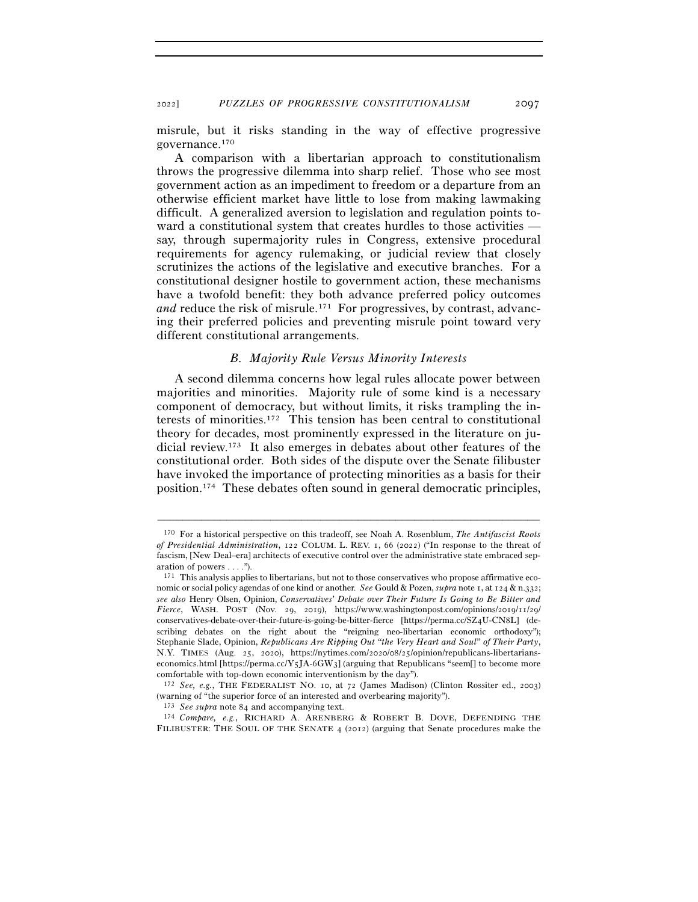<sup>2022</sup>] *PUZZLES OF PROGRESSIVE CONSTITUTIONALISM* 2097

misrule, but it risks standing in the way of effective progressive governance.170

A comparison with a libertarian approach to constitutionalism throws the progressive dilemma into sharp relief. Those who see most government action as an impediment to freedom or a departure from an otherwise efficient market have little to lose from making lawmaking difficult. A generalized aversion to legislation and regulation points toward a constitutional system that creates hurdles to those activities say, through supermajority rules in Congress, extensive procedural requirements for agency rulemaking, or judicial review that closely scrutinizes the actions of the legislative and executive branches. For a constitutional designer hostile to government action, these mechanisms have a twofold benefit: they both advance preferred policy outcomes *and* reduce the risk of misrule.<sup>171</sup> For progressives, by contrast, advancing their preferred policies and preventing misrule point toward very different constitutional arrangements.

# *B. Majority Rule Versus Minority Interests*

A second dilemma concerns how legal rules allocate power between majorities and minorities. Majority rule of some kind is a necessary component of democracy, but without limits, it risks trampling the interests of minorities.172 This tension has been central to constitutional theory for decades, most prominently expressed in the literature on judicial review.173 It also emerges in debates about other features of the constitutional order. Both sides of the dispute over the Senate filibuster have invoked the importance of protecting minorities as a basis for their position.174 These debates often sound in general democratic principles,

<sup>170</sup> For a historical perspective on this tradeoff, see Noah A. Rosenblum, *The Antifascist Roots of Presidential Administration*, 122 COLUM. L. REV. 1, 66 (2022) ("In response to the threat of fascism, [New Deal–era] architects of executive control over the administrative state embraced separation of powers . . . .").

<sup>171</sup> This analysis applies to libertarians, but not to those conservatives who propose affirmative economic or social policy agendas of one kind or another. *See* Gould & Pozen, *supra* note 1, at 124 & n.332; *see also* Henry Olsen, Opinion, *Conservatives' Debate over Their Future Is Going to Be Bitter and Fierce*, WASH. POST (Nov. 29, 2019), https://www.washingtonpost.com/opinions/2019/11/29/ conservatives-debate-over-their-future-is-going-be-bitter-fierce [https://perma.cc/SZ4U-CN8L] (describing debates on the right about the "reigning neo-libertarian economic orthodoxy"); Stephanie Slade, Opinion, *Republicans Are Ripping Out "the Very Heart and Soul" of Their Party*, N.Y. TIMES (Aug. 25, 2020), https://nytimes.com/2020/08/25/opinion/republicans-libertarianseconomics.html [https://perma.cc/Y5JA-6GW3] (arguing that Republicans "seem[] to become more comfortable with top-down economic interventionism by the day").

<sup>172</sup> *See, e.g.*, THE FEDERALIST NO. 10, at 72 (James Madison) (Clinton Rossiter ed., 2003) (warning of "the superior force of an interested and overbearing majority").  $173 \text{ See } \text{supra}$  note 84 and accompanying text.

<sup>&</sup>lt;sup>174</sup> Compare, e.g., RICHARD A. ARENBERG & ROBERT B. DOVE, DEFENDING THE FILIBUSTER: THE SOUL OF THE SENATE 4 (2012) (arguing that Senate procedures make the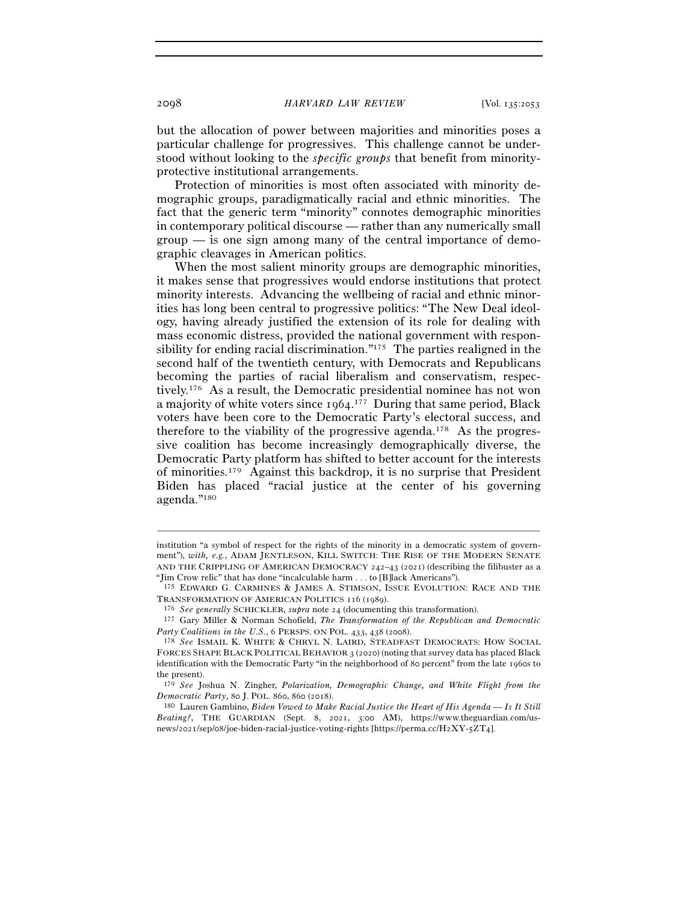but the allocation of power between majorities and minorities poses a particular challenge for progressives. This challenge cannot be understood without looking to the *specific groups* that benefit from minorityprotective institutional arrangements.

Protection of minorities is most often associated with minority demographic groups, paradigmatically racial and ethnic minorities. The fact that the generic term "minority" connotes demographic minorities in contemporary political discourse — rather than any numerically small group — is one sign among many of the central importance of demographic cleavages in American politics.

When the most salient minority groups are demographic minorities, it makes sense that progressives would endorse institutions that protect minority interests. Advancing the wellbeing of racial and ethnic minorities has long been central to progressive politics: "The New Deal ideology, having already justified the extension of its role for dealing with mass economic distress, provided the national government with responsibility for ending racial discrimination."175 The parties realigned in the second half of the twentieth century, with Democrats and Republicans becoming the parties of racial liberalism and conservatism, respectively.176 As a result, the Democratic presidential nominee has not won a majority of white voters since 1964.<sup>177</sup> During that same period, Black voters have been core to the Democratic Party's electoral success, and therefore to the viability of the progressive agenda.178 As the progressive coalition has become increasingly demographically diverse, the Democratic Party platform has shifted to better account for the interests of minorities.179 Against this backdrop, it is no surprise that President Biden has placed "racial justice at the center of his governing agenda."180

institution "a symbol of respect for the rights of the minority in a democratic system of government"), *with, e.g.*, ADAM JENTLESON, KILL SWITCH: THE RISE OF THE MODERN SENATE AND THE CRIPPLING OF AMERICAN DEMOCRACY 242–43 (2021) (describing the filibuster as a

<sup>&</sup>quot;Jim Crow relic" that has done "incalculable harm . . . to [B]lack Americans").<br>175 EDWARD G. CARMINES & JAMES A. STIMSON, ISSUE EVOLUTION: RACE AND THE TRANSFORMATION OF AMERICAN POLITICS 116 (1989).

<sup>&</sup>lt;sup>176</sup> See generally SCHICKLER, supra note 24 (documenting this transformation).<br><sup>177</sup> Gary Miller & Norman Schofield, *The Transformation of the Republican and Democratic Party Coalitions in the U.S.*, 6 PERSPS. ON POL.

<sup>&</sup>lt;sup>178</sup> See ISMAIL K. WHITE & CHRYL N. LAIRD, STEADFAST DEMOCRATS: HOW SOCIAL FORCES SHAPE BLACK POLITICAL BEHAVIOR 3 (2020) (noting that survey data has placed Black identification with the Democratic Party "in the neighborhood of 80 percent" from the late 1960s to the present).

<sup>179</sup> *See* Joshua N. Zingher, *Polarization, Demographic Change, and White Flight from the Democratic Party*, 80 J. POL. 860, 860 (2018).<br><sup>180</sup> Lauren Gambino, *Biden Vowed to Make Racial Justice the Heart of His Agenda — Is It Still* 

*Beating?*, THE GUARDIAN (Sept. 8, 2021, 3:00 AM), https://www.theguardian.com/usnews/2021/sep/08/joe-biden-racial-justice-voting-rights [https://perma.cc/H2XY-5ZT4].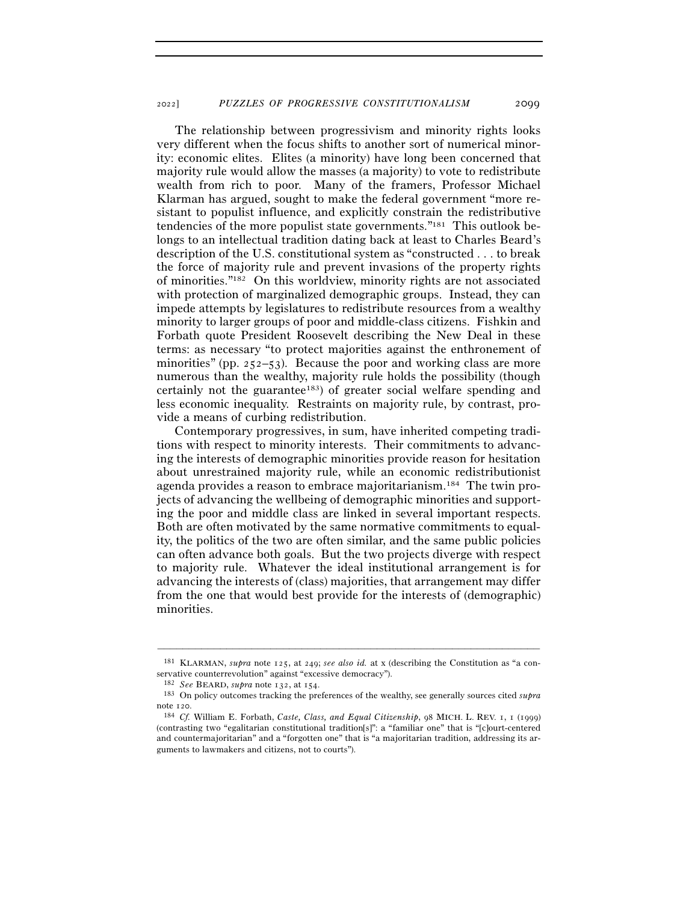The relationship between progressivism and minority rights looks very different when the focus shifts to another sort of numerical minority: economic elites. Elites (a minority) have long been concerned that majority rule would allow the masses (a majority) to vote to redistribute wealth from rich to poor. Many of the framers, Professor Michael Klarman has argued, sought to make the federal government "more resistant to populist influence, and explicitly constrain the redistributive tendencies of the more populist state governments."181 This outlook belongs to an intellectual tradition dating back at least to Charles Beard's description of the U.S. constitutional system as "constructed . . . to break the force of majority rule and prevent invasions of the property rights of minorities."182 On this worldview, minority rights are not associated with protection of marginalized demographic groups. Instead, they can impede attempts by legislatures to redistribute resources from a wealthy minority to larger groups of poor and middle-class citizens. Fishkin and Forbath quote President Roosevelt describing the New Deal in these terms: as necessary "to protect majorities against the enthronement of minorities" (pp.  $252-53$ ). Because the poor and working class are more numerous than the wealthy, majority rule holds the possibility (though certainly not the guarantee<sup>183</sup>) of greater social welfare spending and less economic inequality. Restraints on majority rule, by contrast, provide a means of curbing redistribution.

Contemporary progressives, in sum, have inherited competing traditions with respect to minority interests. Their commitments to advancing the interests of demographic minorities provide reason for hesitation about unrestrained majority rule, while an economic redistributionist agenda provides a reason to embrace majoritarianism.184 The twin projects of advancing the wellbeing of demographic minorities and supporting the poor and middle class are linked in several important respects. Both are often motivated by the same normative commitments to equality, the politics of the two are often similar, and the same public policies can often advance both goals. But the two projects diverge with respect to majority rule. Whatever the ideal institutional arrangement is for advancing the interests of (class) majorities, that arrangement may differ from the one that would best provide for the interests of (demographic) minorities.

<sup>–––––––––––––––––––––––––––––––––––––––––––––––––––––––––––––</sup> <sup>181</sup> KLARMAN, *supra* note 125, at 249; *see also id.* at x (describing the Constitution as "a conservative counterrevolution" against "excessive democracy").

<sup>182</sup> *See* BEARD, *supra* note 132, at <sup>154</sup>. 183 On policy outcomes tracking the preferences of the wealthy, see generally sources cited *supra*

note <sup>120</sup>. 184 *Cf.* William E. Forbath, *Caste, Class, and Equal Citizenship*, 98 MICH. L. REV. 1, 1 (1999) (contrasting two "egalitarian constitutional tradition[s]": a "familiar one" that is "[c]ourt-centered and countermajoritarian" and a "forgotten one" that is "a majoritarian tradition, addressing its arguments to lawmakers and citizens, not to courts").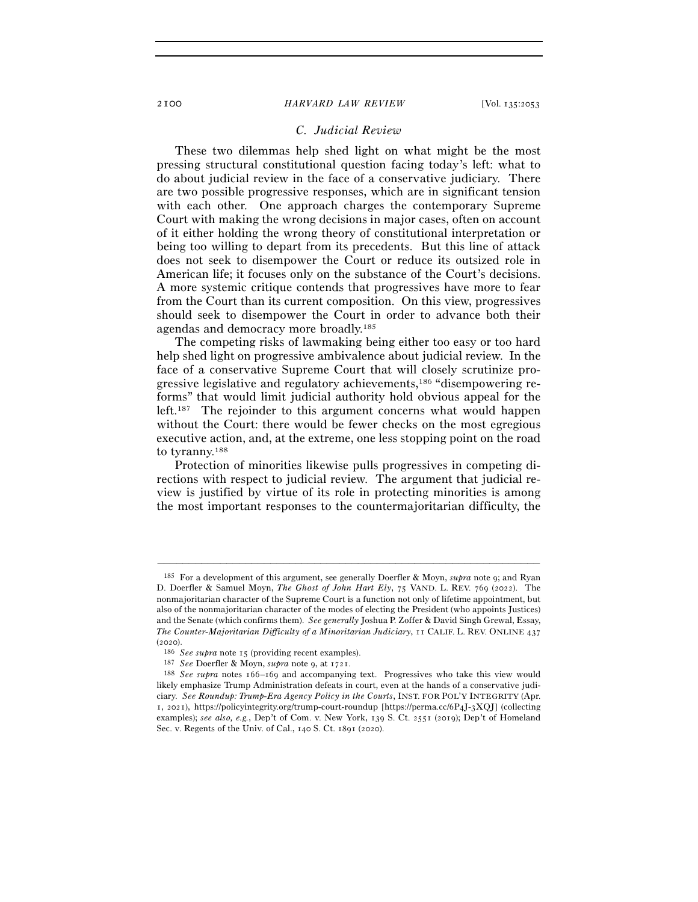# *C. Judicial Review*

These two dilemmas help shed light on what might be the most pressing structural constitutional question facing today's left: what to do about judicial review in the face of a conservative judiciary. There are two possible progressive responses, which are in significant tension with each other. One approach charges the contemporary Supreme Court with making the wrong decisions in major cases, often on account of it either holding the wrong theory of constitutional interpretation or being too willing to depart from its precedents. But this line of attack does not seek to disempower the Court or reduce its outsized role in American life; it focuses only on the substance of the Court's decisions. A more systemic critique contends that progressives have more to fear from the Court than its current composition. On this view, progressives should seek to disempower the Court in order to advance both their agendas and democracy more broadly.185

The competing risks of lawmaking being either too easy or too hard help shed light on progressive ambivalence about judicial review. In the face of a conservative Supreme Court that will closely scrutinize progressive legislative and regulatory achievements,186 "disempowering reforms" that would limit judicial authority hold obvious appeal for the left.187 The rejoinder to this argument concerns what would happen without the Court: there would be fewer checks on the most egregious executive action, and, at the extreme, one less stopping point on the road to tyranny.188

Protection of minorities likewise pulls progressives in competing directions with respect to judicial review. The argument that judicial review is justified by virtue of its role in protecting minorities is among the most important responses to the countermajoritarian difficulty, the

<sup>185</sup> For a development of this argument, see generally Doerfler & Moyn, *supra* note 9; and Ryan D. Doerfler & Samuel Moyn, *The Ghost of John Hart Ely*, 75 VAND. L. REV. 769 (2022). The nonmajoritarian character of the Supreme Court is a function not only of lifetime appointment, but also of the nonmajoritarian character of the modes of electing the President (who appoints Justices) and the Senate (which confirms them). *See generally* Joshua P. Zoffer & David Singh Grewal, Essay, *The Counter-Majoritarian Difficulty of a Minoritarian Judiciary*, 11 CALIF. L. REV. ONLINE 437

<sup>(2020).&</sup>lt;br>
<sup>186</sup> *See supra* note 15 (providing recent examples).<br>
<sup>187</sup> *See Doerfler & Moyn, supra* note 9, at 1721.<br>
<sup>188</sup> *See supra* notes 166–169 and accompanying text. Progressives who take this view would likely emphasize Trump Administration defeats in court, even at the hands of a conservative judiciary. *See Roundup: Trump-Era Agency Policy in the Courts*, INST. FOR POL'Y INTEGRITY (Apr. 1, 2021), https://policyintegrity.org/trump-court-roundup [https://perma.cc/6P4J-3XQJ] (collecting examples); *see also, e.g.*, Dep't of Com. v. New York, 139 S. Ct. 2551 (2019); Dep't of Homeland Sec. v. Regents of the Univ. of Cal., 140 S. Ct. 1891 (2020).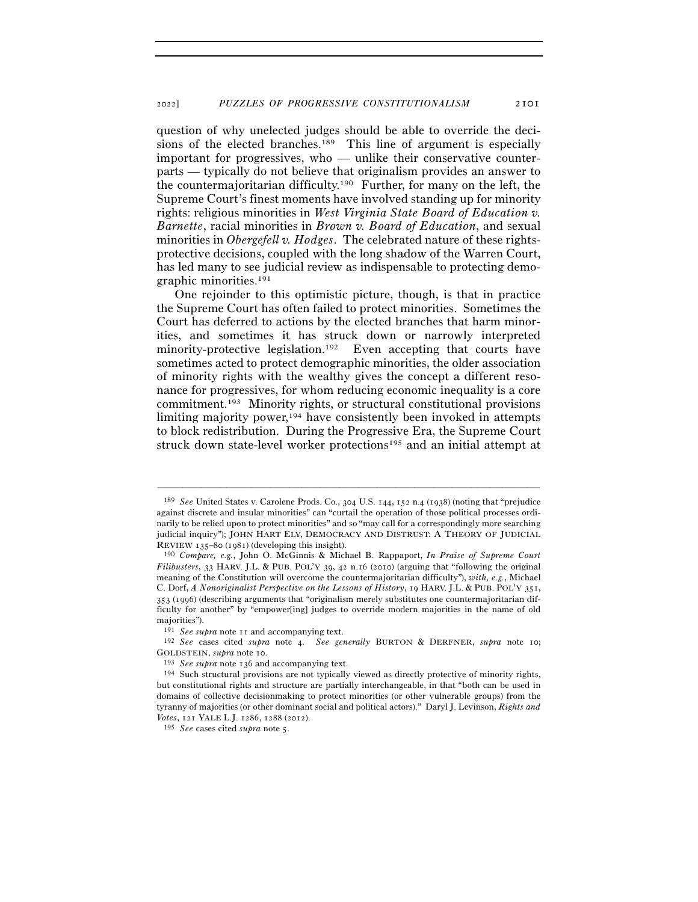question of why unelected judges should be able to override the decisions of the elected branches.<sup>189</sup> This line of argument is especially important for progressives, who — unlike their conservative counterparts — typically do not believe that originalism provides an answer to the countermajoritarian difficulty.190 Further, for many on the left, the Supreme Court's finest moments have involved standing up for minority rights: religious minorities in *West Virginia State Board of Education v. Barnette*, racial minorities in *Brown v. Board of Education*, and sexual minorities in *Obergefell v. Hodges*. The celebrated nature of these rightsprotective decisions, coupled with the long shadow of the Warren Court, has led many to see judicial review as indispensable to protecting demographic minorities.191

One rejoinder to this optimistic picture, though, is that in practice the Supreme Court has often failed to protect minorities. Sometimes the Court has deferred to actions by the elected branches that harm minorities, and sometimes it has struck down or narrowly interpreted minority-protective legislation.<sup>192</sup> Even accepting that courts have sometimes acted to protect demographic minorities, the older association of minority rights with the wealthy gives the concept a different resonance for progressives, for whom reducing economic inequality is a core commitment.193 Minority rights, or structural constitutional provisions limiting majority power,<sup>194</sup> have consistently been invoked in attempts to block redistribution. During the Progressive Era, the Supreme Court struck down state-level worker protections<sup>195</sup> and an initial attempt at

<sup>189</sup> *See* United States v. Carolene Prods. Co., 304 U.S. 144, 152 n.4 (1938) (noting that "prejudice against discrete and insular minorities" can "curtail the operation of those political processes ordinarily to be relied upon to protect minorities" and so "may call for a correspondingly more searching judicial inquiry"); JOHN HART ELY, DEMOCRACY AND DISTRUST: A THEORY OF JUDICIAL REVIEW <sup>135</sup>–80 (<sup>1981</sup>) (developing this insight). 190 *Compare, e.g.*, John O. McGinnis & Michael B. Rappaport, *In Praise of Supreme Court* 

*Filibusters*, 33 HARV. J.L. & PUB. POL'Y 39, 42 n.16 (2010) (arguing that "following the original meaning of the Constitution will overcome the countermajoritarian difficulty"), *with, e.g.*, Michael C. Dorf, *A Nonoriginalist Perspective on the Lessons of History*, 19 HARV. J.L. & PUB. POL'Y 351, 353 (1996) (describing arguments that "originalism merely substitutes one countermajoritarian difficulty for another" by "empower[ing] judges to override modern majorities in the name of old majorities").

<sup>191</sup> *See supra* note <sup>11</sup> and accompanying text. 192 *See* cases cited *supra* note 4. *See generally* BURTON & DERFNER, *supra* note 10; GOLDSTEIN, *supra* note 10.<br><sup>193</sup> *See supra* note 136 and accompanying text.<br><sup>194</sup> Such structural provisions are not typically viewed as directly protective of minority rights,

but constitutional rights and structure are partially interchangeable, in that "both can be used in domains of collective decisionmaking to protect minorities (or other vulnerable groups) from the tyranny of majorities (or other dominant social and political actors)." Daryl J. Levinson, *Rights and Votes*, 121 YALE L.J. 1286, 1288 (2012).

<sup>195</sup> *See* cases cited *supra* note 5.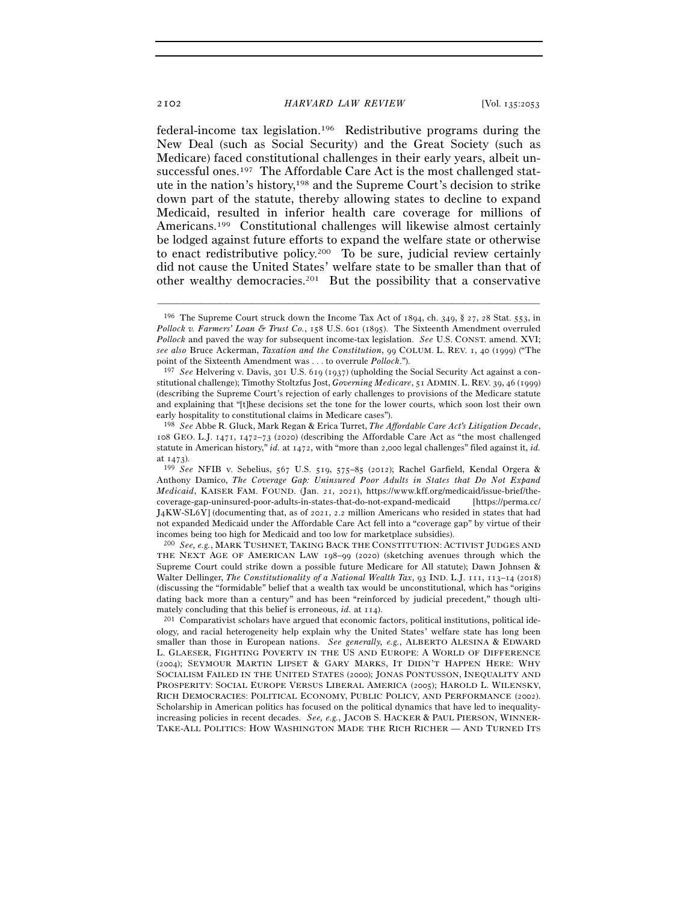federal-income tax legislation.196 Redistributive programs during the New Deal (such as Social Security) and the Great Society (such as Medicare) faced constitutional challenges in their early years, albeit unsuccessful ones.197 The Affordable Care Act is the most challenged statute in the nation's history,198 and the Supreme Court's decision to strike down part of the statute, thereby allowing states to decline to expand Medicaid, resulted in inferior health care coverage for millions of Americans.199 Constitutional challenges will likewise almost certainly be lodged against future efforts to expand the welfare state or otherwise to enact redistributive policy.200 To be sure, judicial review certainly did not cause the United States' welfare state to be smaller than that of other wealthy democracies.201 But the possibility that a conservative

<sup>&</sup>lt;sup>196</sup> The Supreme Court struck down the Income Tax Act of 1894, ch. 349, § 27, 28 Stat. 553, in *Pollock v. Farmers' Loan & Trust Co.*, 158 U.S. 601 (1895). The Sixteenth Amendment overruled *Pollock* and paved the way for subsequent income-tax legislation. *See* U.S. CONST. amend. XVI; *see also* Bruce Ackerman, *Taxation and the Constitution*, 99 COLUM. L. REV. 1, 40 (1999) ("The point of the Sixteenth Amendment was . . . to overrule *Pollock*.").

<sup>197</sup> *See* Helvering v. Davis, 301 U.S. 619 (1937) (upholding the Social Security Act against a constitutional challenge); Timothy Stoltzfus Jost, *Governing Medicare*, 51 ADMIN. L. REV. 39, 46 (1999) (describing the Supreme Court's rejection of early challenges to provisions of the Medicare statute and explaining that "[t]hese decisions set the tone for the lower courts, which soon lost their own early hospitality to constitutional claims in Medicare cases").

<sup>198</sup> *See* Abbe R. Gluck, Mark Regan & Erica Turret, *The Affordable Care Act's Litigation Decade*, 108 GEO. L.J. 1471, 1472–73 (2020) (describing the Affordable Care Act as "the most challenged statute in American history," *id.* at 1472, with "more than 2,000 legal challenges" filed against it, *id.* 

at <sup>1473</sup>). 199 *See* NFIB v. Sebelius, 567 U.S. 519, 575–85 (2012); Rachel Garfield, Kendal Orgera & Anthony Damico, *The Coverage Gap: Uninsured Poor Adults in States that Do Not Expand Medicaid*, KAISER FAM. FOUND. (Jan. 21, 2021), https://www.kff.org/medicaid/issue-brief/thecoverage-gap-uninsured-poor-adults-in-states-that-do-not-expand-medicaid [https://perma.cc/ J4KW-SL6Y] (documenting that, as of 2021, 2.2 million Americans who resided in states that had not expanded Medicaid under the Affordable Care Act fell into a "coverage gap" by virtue of their incomes being too high for Medicaid and too low for marketplace subsidies).

<sup>200</sup> *See, e.g.*, MARK TUSHNET, TAKING BACK THE CONSTITUTION: ACTIVIST JUDGES AND THE NEXT AGE OF AMERICAN LAW 198–99 (2020) (sketching avenues through which the Supreme Court could strike down a possible future Medicare for All statute); Dawn Johnsen & Walter Dellinger, *The Constitutionality of a National Wealth Tax*, 93 IND. L.J. 111, 113–14 (2018) (discussing the "formidable" belief that a wealth tax would be unconstitutional, which has "origins dating back more than a century" and has been "reinforced by judicial precedent," though ulti-

mately concluding that this belief is erroneous, *id.* at 114).<br><sup>201</sup> Comparativist scholars have argued that economic factors, political institutions, political ideology, and racial heterogeneity help explain why the United States' welfare state has long been smaller than those in European nations. *See generally, e.g.*, ALBERTO ALESINA & EDWARD L. GLAESER, FIGHTING POVERTY IN THE US AND EUROPE: A WORLD OF DIFFERENCE (2004); SEYMOUR MARTIN LIPSET & GARY MARKS, IT DIDN'T HAPPEN HERE: WHY SOCIALISM FAILED IN THE UNITED STATES (2000); JONAS PONTUSSON, INEQUALITY AND PROSPERITY: SOCIAL EUROPE VERSUS LIBERAL AMERICA (2005); HAROLD L. WILENSKY, RICH DEMOCRACIES: POLITICAL ECONOMY, PUBLIC POLICY, AND PERFORMANCE (2002). Scholarship in American politics has focused on the political dynamics that have led to inequalityincreasing policies in recent decades. *See, e.g.*, JACOB S. HACKER & PAUL PIERSON, WINNER-TAKE-ALL POLITICS: HOW WASHINGTON MADE THE RICH RICHER — AND TURNED ITS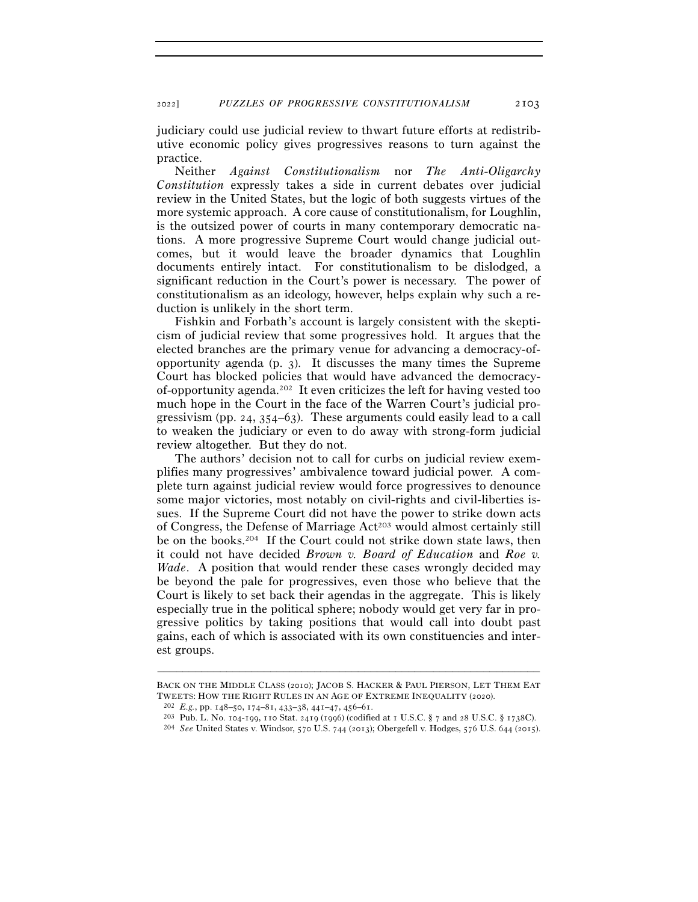judiciary could use judicial review to thwart future efforts at redistributive economic policy gives progressives reasons to turn against the practice.

Neither *Against Constitutionalism* nor *The Anti-Oligarchy Constitution* expressly takes a side in current debates over judicial review in the United States, but the logic of both suggests virtues of the more systemic approach. A core cause of constitutionalism, for Loughlin, is the outsized power of courts in many contemporary democratic nations. A more progressive Supreme Court would change judicial outcomes, but it would leave the broader dynamics that Loughlin documents entirely intact. For constitutionalism to be dislodged, a significant reduction in the Court's power is necessary. The power of constitutionalism as an ideology, however, helps explain why such a reduction is unlikely in the short term.

Fishkin and Forbath's account is largely consistent with the skepticism of judicial review that some progressives hold. It argues that the elected branches are the primary venue for advancing a democracy-ofopportunity agenda (p. 3). It discusses the many times the Supreme Court has blocked policies that would have advanced the democracyof-opportunity agenda.202 It even criticizes the left for having vested too much hope in the Court in the face of the Warren Court's judicial progressivism (pp. 24,  $354-63$ ). These arguments could easily lead to a call to weaken the judiciary or even to do away with strong-form judicial review altogether. But they do not.

The authors' decision not to call for curbs on judicial review exemplifies many progressives' ambivalence toward judicial power. A complete turn against judicial review would force progressives to denounce some major victories, most notably on civil-rights and civil-liberties issues. If the Supreme Court did not have the power to strike down acts of Congress, the Defense of Marriage Act<sup>203</sup> would almost certainly still be on the books.204 If the Court could not strike down state laws, then it could not have decided *Brown v. Board of Education* and *Roe v. Wade*. A position that would render these cases wrongly decided may be beyond the pale for progressives, even those who believe that the Court is likely to set back their agendas in the aggregate. This is likely especially true in the political sphere; nobody would get very far in progressive politics by taking positions that would call into doubt past gains, each of which is associated with its own constituencies and interest groups.

<sup>–––––––––––––––––––––––––––––––––––––––––––––––––––––––––––––</sup> BACK ON THE MIDDLE CLASS (2010); JACOB S. HACKER & PAUL PIERSON, LET THEM EAT TWEETS: HOW THE RIGHT RULES IN AN AGE OF EXTREME INEQUALITY (2020).<br>
<sup>202</sup> E.g., pp. 148–50, 174–81, 433–38, 441–47, 456–61.<br>
<sup>203</sup> Pub. L. No. 104-199, 110 Stat. 2419 (1996) (codified at 1 U.S.C. § 7 and 28 U.S.C. § 1738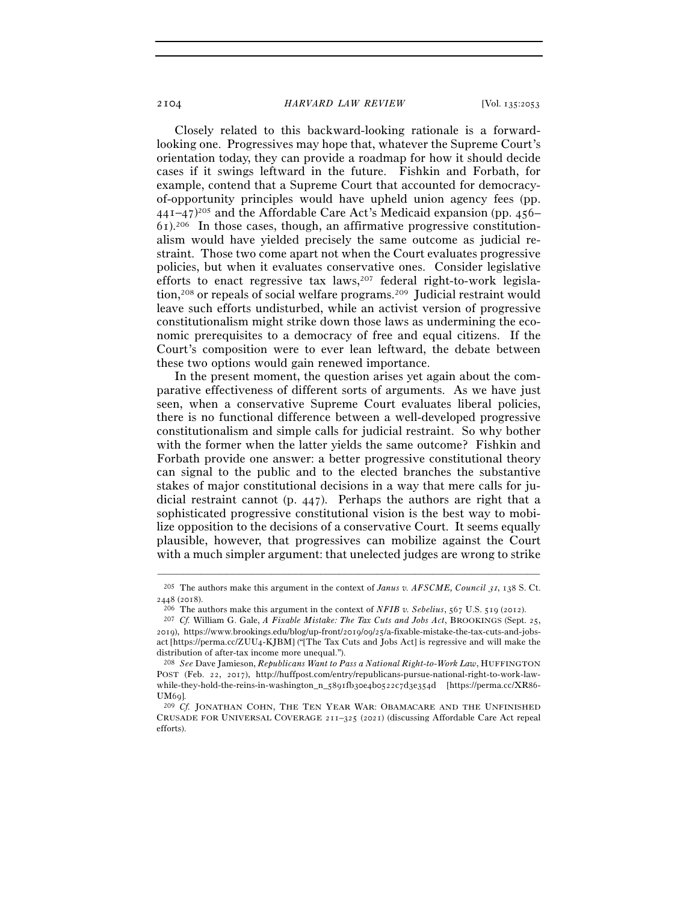Closely related to this backward-looking rationale is a forwardlooking one. Progressives may hope that, whatever the Supreme Court's orientation today, they can provide a roadmap for how it should decide cases if it swings leftward in the future. Fishkin and Forbath, for example, contend that a Supreme Court that accounted for democracyof-opportunity principles would have upheld union agency fees (pp.  $441-47$ <sup>205</sup> and the Affordable Care Act's Medicaid expansion (pp. 456–  $61$ ).<sup>206</sup> In those cases, though, an affirmative progressive constitutionalism would have yielded precisely the same outcome as judicial restraint. Those two come apart not when the Court evaluates progressive policies, but when it evaluates conservative ones. Consider legislative efforts to enact regressive tax  $laws<sub>1</sub><sup>207</sup>$  federal right-to-work legislation,208 or repeals of social welfare programs.209 Judicial restraint would leave such efforts undisturbed, while an activist version of progressive constitutionalism might strike down those laws as undermining the economic prerequisites to a democracy of free and equal citizens. If the Court's composition were to ever lean leftward, the debate between these two options would gain renewed importance.

In the present moment, the question arises yet again about the comparative effectiveness of different sorts of arguments. As we have just seen, when a conservative Supreme Court evaluates liberal policies, there is no functional difference between a well-developed progressive constitutionalism and simple calls for judicial restraint. So why bother with the former when the latter yields the same outcome? Fishkin and Forbath provide one answer: a better progressive constitutional theory can signal to the public and to the elected branches the substantive stakes of major constitutional decisions in a way that mere calls for judicial restraint cannot (p. 447). Perhaps the authors are right that a sophisticated progressive constitutional vision is the best way to mobilize opposition to the decisions of a conservative Court. It seems equally plausible, however, that progressives can mobilize against the Court with a much simpler argument: that unelected judges are wrong to strike

<sup>–––––––––––––––––––––––––––––––––––––––––––––––––––––––––––––</sup> <sup>205</sup> The authors make this argument in the context of *Janus v. AFSCME, Council 31*, 138 S. Ct.  $2448$  (2018).

<sup>&</sup>lt;sup>206</sup> The authors make this argument in the context of *NFIB v. Sebelius*, 567 U.S. 519 (2012).<br><sup>207</sup> *Cf.* William G. Gale, *A Fixable Mistake: The Tax Cuts and Jobs Act*, BROOKINGS (Sept. 25, 2019), https://www.brookings.edu/blog/up-front/2019/09/25/a-fixable-mistake-the-tax-cuts-and-jobsact [https://perma.cc/ZUU4-KJBM] ("[The Tax Cuts and Jobs Act] is regressive and will make the distribution of after-tax income more unequal.").

<sup>208</sup> *See* Dave Jamieson, *Republicans Want to Pass a National Right-to-Work Law*, HUFFINGTON POST (Feb. 22, 2017), http://huffpost.com/entry/republicans-pursue-national-right-to-work-lawwhile-they-hold-the-reins-in-washington\_n\_5891fb30e4b0522c7d3e354d [https://perma.cc/XR86- UM69].<br><sup>209</sup> *Cf.* JONATHAN COHN, THE TEN YEAR WAR: OBAMACARE AND THE UNFINISHED

CRUSADE FOR UNIVERSAL COVERAGE 211–325 (2021) (discussing Affordable Care Act repeal efforts).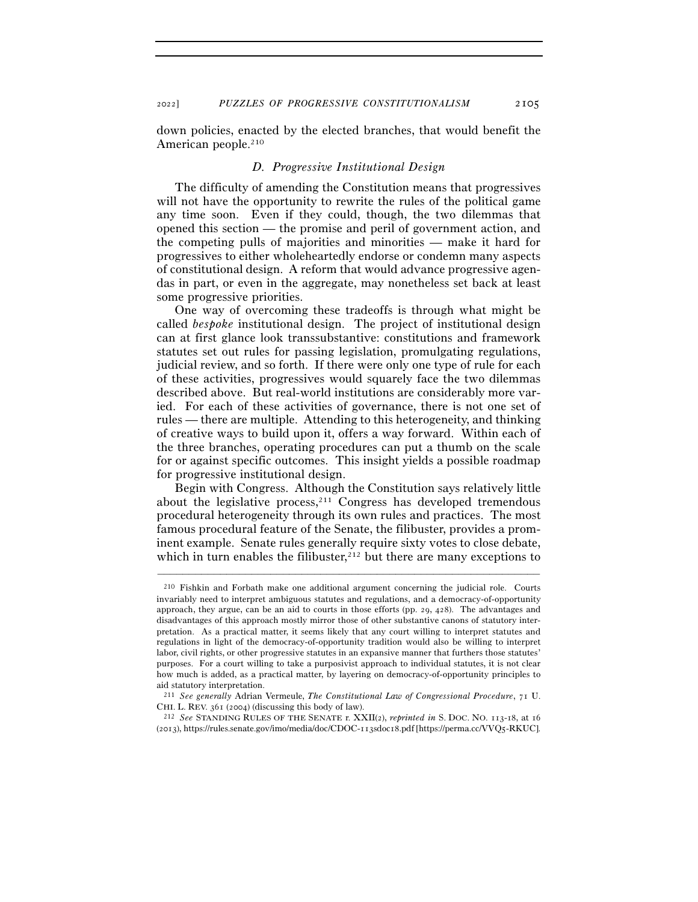<sup>2022</sup>] *PUZZLES OF PROGRESSIVE CONSTITUTIONALISM* 2105

down policies, enacted by the elected branches, that would benefit the American people.<sup>210</sup>

#### *D. Progressive Institutional Design*

The difficulty of amending the Constitution means that progressives will not have the opportunity to rewrite the rules of the political game any time soon. Even if they could, though, the two dilemmas that opened this section — the promise and peril of government action, and the competing pulls of majorities and minorities — make it hard for progressives to either wholeheartedly endorse or condemn many aspects of constitutional design. A reform that would advance progressive agendas in part, or even in the aggregate, may nonetheless set back at least some progressive priorities.

One way of overcoming these tradeoffs is through what might be called *bespoke* institutional design. The project of institutional design can at first glance look transsubstantive: constitutions and framework statutes set out rules for passing legislation, promulgating regulations, judicial review, and so forth. If there were only one type of rule for each of these activities, progressives would squarely face the two dilemmas described above. But real-world institutions are considerably more varied. For each of these activities of governance, there is not one set of rules — there are multiple. Attending to this heterogeneity, and thinking of creative ways to build upon it, offers a way forward. Within each of the three branches, operating procedures can put a thumb on the scale for or against specific outcomes. This insight yields a possible roadmap for progressive institutional design.

Begin with Congress. Although the Constitution says relatively little about the legislative process, $211$  Congress has developed tremendous procedural heterogeneity through its own rules and practices. The most famous procedural feature of the Senate, the filibuster, provides a prominent example. Senate rules generally require sixty votes to close debate, which in turn enables the filibuster,  $212$  but there are many exceptions to

<sup>210</sup> Fishkin and Forbath make one additional argument concerning the judicial role. Courts invariably need to interpret ambiguous statutes and regulations, and a democracy-of-opportunity approach, they argue, can be an aid to courts in those efforts (pp. 29, 428). The advantages and disadvantages of this approach mostly mirror those of other substantive canons of statutory interpretation. As a practical matter, it seems likely that any court willing to interpret statutes and regulations in light of the democracy-of-opportunity tradition would also be willing to interpret labor, civil rights, or other progressive statutes in an expansive manner that furthers those statutes' purposes. For a court willing to take a purposivist approach to individual statutes, it is not clear how much is added, as a practical matter, by layering on democracy-of-opportunity principles to aid statutory interpretation.

<sup>211</sup> *See generally* Adrian Vermeule, *The Constitutional Law of Congressional Procedure*, 71 U. CHI. L. REV. 361 (<sup>2004</sup>) (discussing this body of law). 212 *See* STANDING RULES OF THE SENATE r. XXII(2), *reprinted in* S. DOC. NO. 113-18, at <sup>16</sup>

<sup>(</sup>2013), https://rules.senate.gov/imo/media/doc/CDOC-113sdoc18.pdf [https://perma.cc/VVQ5-RKUC].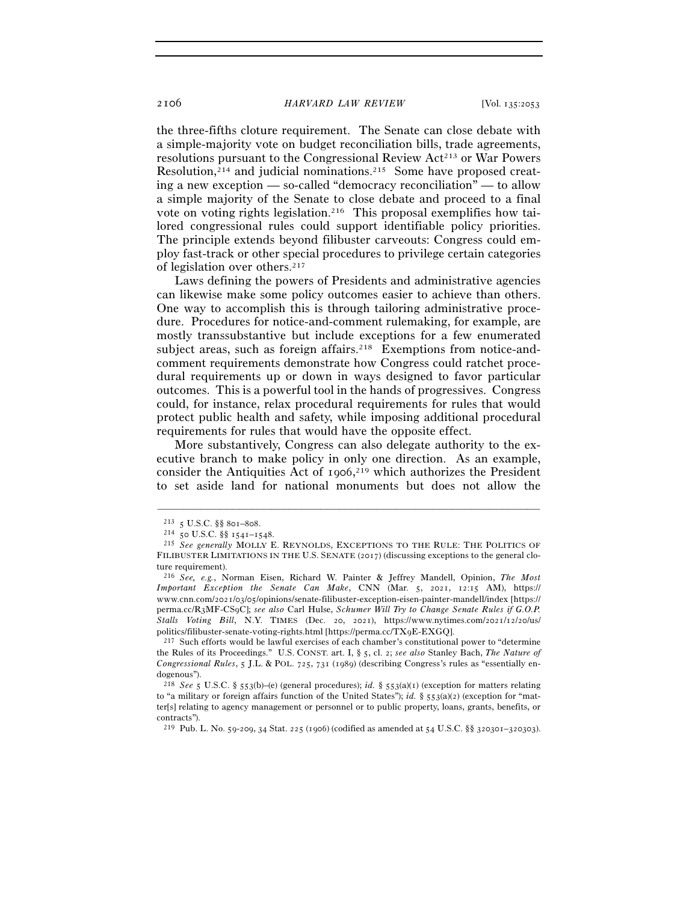the three-fifths cloture requirement. The Senate can close debate with a simple-majority vote on budget reconciliation bills, trade agreements, resolutions pursuant to the Congressional Review Act<sup>213</sup> or War Powers Resolution,214 and judicial nominations.215 Some have proposed creating a new exception — so-called "democracy reconciliation" — to allow a simple majority of the Senate to close debate and proceed to a final vote on voting rights legislation.216 This proposal exemplifies how tailored congressional rules could support identifiable policy priorities. The principle extends beyond filibuster carveouts: Congress could employ fast-track or other special procedures to privilege certain categories of legislation over others.217

Laws defining the powers of Presidents and administrative agencies can likewise make some policy outcomes easier to achieve than others. One way to accomplish this is through tailoring administrative procedure. Procedures for notice-and-comment rulemaking, for example, are mostly transsubstantive but include exceptions for a few enumerated subject areas, such as foreign affairs.<sup>218</sup> Exemptions from notice-andcomment requirements demonstrate how Congress could ratchet procedural requirements up or down in ways designed to favor particular outcomes. This is a powerful tool in the hands of progressives. Congress could, for instance, relax procedural requirements for rules that would protect public health and safety, while imposing additional procedural requirements for rules that would have the opposite effect.

More substantively, Congress can also delegate authority to the executive branch to make policy in only one direction. As an example, consider the Antiquities Act of 1906, 219 which authorizes the President to set aside land for national monuments but does not allow the

–––––––––––––––––––––––––––––––––––––––––––––––––––––––––––––

the Rules of its Proceedings." U.S. CONST. art. I, § 5, cl. 2; *see also* Stanley Bach, *The Nature of Congressional Rules*, 5 J.L. & POL. 725, 731 (1989) (describing Congress's rules as "essentially endogenous").

<sup>213</sup> <sup>5</sup> U.S.C. §§ 801–<sup>808</sup>. 214 <sup>50</sup> U.S.C. §§ 1541–<sup>1548</sup>. 215 *See generally* MOLLY E. REYNOLDS, EXCEPTIONS TO THE RULE: THE POLITICS OF FILIBUSTER LIMITATIONS IN THE U.S. SENATE (2017) (discussing exceptions to the general cloture requirement).

<sup>216</sup> *See, e.g.*, Norman Eisen, Richard W. Painter & Jeffrey Mandell, Opinion, *The Most Important Exception the Senate Can Make*, CNN (Mar. 5, 2021, 12:15 AM), https:// www.cnn.com/2021/03/05/opinions/senate-filibuster-exception-eisen-painter-mandell/index [https:// perma.cc/R3MF-CS9C]; *see also* Carl Hulse, *Schumer Will Try to Change Senate Rules if G.O.P. Stalls Voting Bill*, N.Y. TIMES (Dec. 20, 2021), https://www.nytimes.com/2021/12/20/us/ politics/filibuster-senate-voting-rights.html [https://perma.cc/TX9E-EXGQ].<br><sup>217</sup> Such efforts would be lawful exercises of each chamber's constitutional power to "determine

<sup>218</sup> *See* 5 U.S.C. § 553(b)–(e) (general procedures); *id.* § 553(a)(1) (exception for matters relating to "a military or foreign affairs function of the United States"); *id.* § 553(a)(2) (exception for "matter[s] relating to agency management or personnel or to public property, loans, grants, benefits, or contracts").

<sup>219</sup> Pub. L. No. 59-209, 34 Stat. 225 (1906) (codified as amended at 54 U.S.C. §§ 320301–320303).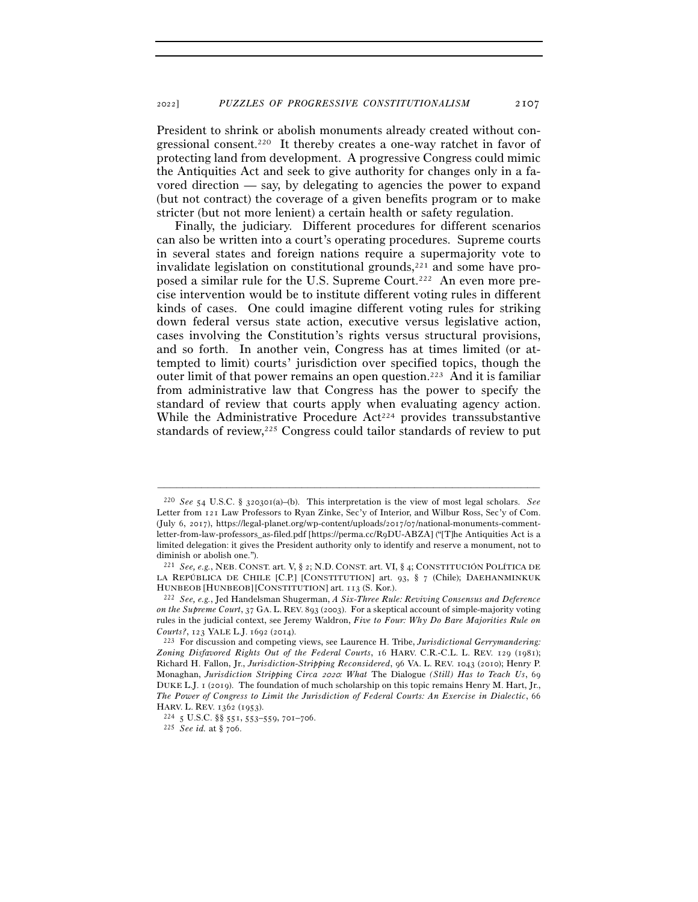President to shrink or abolish monuments already created without congressional consent.220 It thereby creates a one-way ratchet in favor of protecting land from development. A progressive Congress could mimic the Antiquities Act and seek to give authority for changes only in a favored direction — say, by delegating to agencies the power to expand (but not contract) the coverage of a given benefits program or to make stricter (but not more lenient) a certain health or safety regulation.

Finally, the judiciary. Different procedures for different scenarios can also be written into a court's operating procedures. Supreme courts in several states and foreign nations require a supermajority vote to invalidate legislation on constitutional grounds, $221$  and some have proposed a similar rule for the U.S. Supreme Court.222 An even more precise intervention would be to institute different voting rules in different kinds of cases. One could imagine different voting rules for striking down federal versus state action, executive versus legislative action, cases involving the Constitution's rights versus structural provisions, and so forth. In another vein, Congress has at times limited (or attempted to limit) courts' jurisdiction over specified topics, though the outer limit of that power remains an open question.223 And it is familiar from administrative law that Congress has the power to specify the standard of review that courts apply when evaluating agency action. While the Administrative Procedure  $Act<sup>224</sup>$  provides transsubstantive standards of review,<sup>225</sup> Congress could tailor standards of review to put

<sup>220</sup> *See* 54 U.S.C. § 320301(a)–(b). This interpretation is the view of most legal scholars. *See* Letter from 121 Law Professors to Ryan Zinke, Sec'y of Interior, and Wilbur Ross, Sec'y of Com. (July 6, 2017), https://legal-planet.org/wp-content/uploads/2017/07/national-monuments-commentletter-from-law-professors\_as-filed.pdf [https://perma.cc/R9DU-ABZA] ("[T]he Antiquities Act is a limited delegation: it gives the President authority only to identify and reserve a monument, not to diminish or abolish one.").

<sup>221</sup> *See, e.g.*, NEB. CONST. art. V, § 2; N.D. CONST. art. VI, § 4; CONSTITUCIÓN POLÍTICA DE LA REPÚBLICA DE CHILE [C.P.] [CONSTITUTION] art. 93, § 7 (Chile); DAEHANMINKUK HUNBEOB [HUNBEOB] [CONSTITUTION] art. <sup>113</sup> (S. Kor.). 222 *See, e.g.*, Jed Handelsman Shugerman, *A Six-Three Rule: Reviving Consensus and Deference* 

*on the Supreme Court*, 37 GA. L. REV. 893 (2003). For a skeptical account of simple-majority voting rules in the judicial context, see Jeremy Waldron, *Five to Four: Why Do Bare Majorities Rule on Courts?*, 123 YALE L.J. <sup>1692</sup> (<sup>2014</sup>). 223 For discussion and competing views, see Laurence H. Tribe, *Jurisdictional Gerrymandering:* 

*Zoning Disfavored Rights Out of the Federal Courts*, 16 HARV. C.R.-C.L. L. REV. 129 (1981); Richard H. Fallon, Jr., *Jurisdiction-Stripping Reconsidered*, 96 VA. L. REV. 1043 (2010); Henry P. Monaghan, *Jurisdiction Stripping Circa* 2020*: What* The Dialogue *(Still) Has to Teach Us*, 69 DUKE L.J. 1 (2019). The foundation of much scholarship on this topic remains Henry M. Hart, Jr., *The Power of Congress to Limit the Jurisdiction of Federal Courts: An Exercise in Dialectic*, 66 **HARV. L. REV.** 1362 (1953).

HARV. L. REV. 1362 (<sup>1953</sup>). 224 <sup>5</sup> U.S.C. §§ 551, 553–559, 701–<sup>706</sup>. 225 *See id.* at § <sup>706</sup>.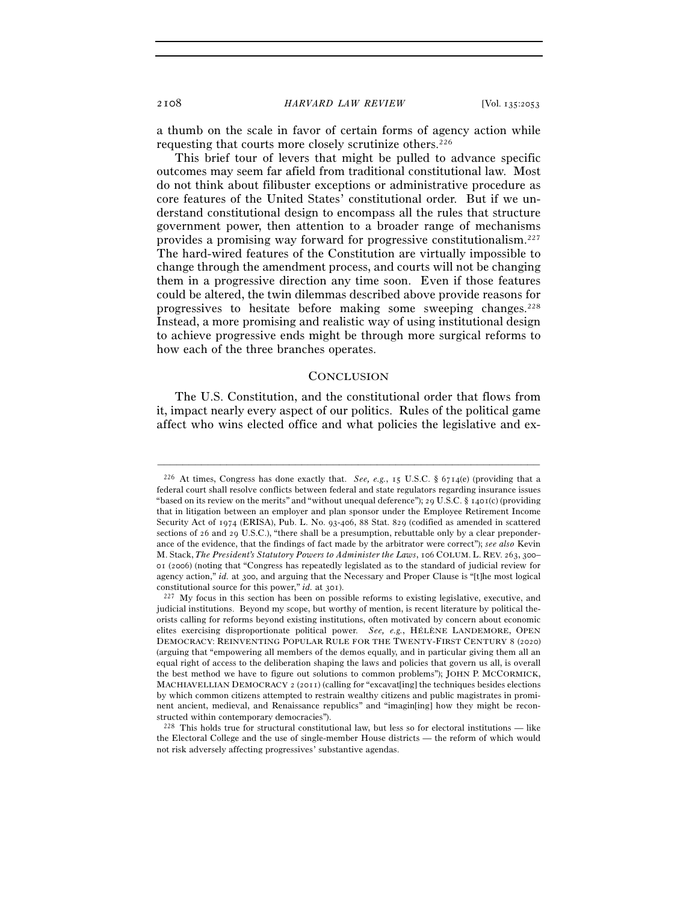a thumb on the scale in favor of certain forms of agency action while requesting that courts more closely scrutinize others.226

This brief tour of levers that might be pulled to advance specific outcomes may seem far afield from traditional constitutional law. Most do not think about filibuster exceptions or administrative procedure as core features of the United States' constitutional order. But if we understand constitutional design to encompass all the rules that structure government power, then attention to a broader range of mechanisms provides a promising way forward for progressive constitutionalism.227 The hard-wired features of the Constitution are virtually impossible to change through the amendment process, and courts will not be changing them in a progressive direction any time soon. Even if those features could be altered, the twin dilemmas described above provide reasons for progressives to hesitate before making some sweeping changes.228 Instead, a more promising and realistic way of using institutional design to achieve progressive ends might be through more surgical reforms to how each of the three branches operates.

## **CONCLUSION**

The U.S. Constitution, and the constitutional order that flows from it, impact nearly every aspect of our politics. Rules of the political game affect who wins elected office and what policies the legislative and ex-

<sup>226</sup> At times, Congress has done exactly that. *See, e.g.*, 15 U.S.C. § 6714(e) (providing that a federal court shall resolve conflicts between federal and state regulators regarding insurance issues "based on its review on the merits" and "without unequal deference"); 29 U.S.C. § 1401(c) (providing that in litigation between an employer and plan sponsor under the Employee Retirement Income Security Act of 1974 (ERISA), Pub. L. No. 93-406, 88 Stat. 829 (codified as amended in scattered sections of 26 and 29 U.S.C.), "there shall be a presumption, rebuttable only by a clear preponderance of the evidence, that the findings of fact made by the arbitrator were correct"); *see also* Kevin M. Stack, *The President's Statutory Powers to Administer the Laws*, 106 COLUM. L. REV. 263, 300– 01 (2006) (noting that "Congress has repeatedly legislated as to the standard of judicial review for agency action," *id.* at 300, and arguing that the Necessary and Proper Clause is "[t]he most logical constitutional source for this power," *id.* at 301).<br><sup>227</sup> My focus in this section has been on possible reforms to existing legislative, executive, and

judicial institutions. Beyond my scope, but worthy of mention, is recent literature by political theorists calling for reforms beyond existing institutions, often motivated by concern about economic elites exercising disproportionate political power. *See, e.g.*, HÉLÈNE LANDEMORE, OPEN DEMOCRACY: REINVENTING POPULAR RULE FOR THE TWENTY-FIRST CENTURY 8 (2020) (arguing that "empowering all members of the demos equally, and in particular giving them all an equal right of access to the deliberation shaping the laws and policies that govern us all, is overall the best method we have to figure out solutions to common problems"); JOHN P. MCCORMICK, MACHIAVELLIAN DEMOCRACY 2 (2011) (calling for "excavat[ing] the techniques besides elections by which common citizens attempted to restrain wealthy citizens and public magistrates in prominent ancient, medieval, and Renaissance republics" and "imagin[ing] how they might be reconstructed within contemporary democracies").

 $^{228}$  This holds true for structural constitutional law, but less so for electoral institutions — like the Electoral College and the use of single-member House districts — the reform of which would not risk adversely affecting progressives' substantive agendas.